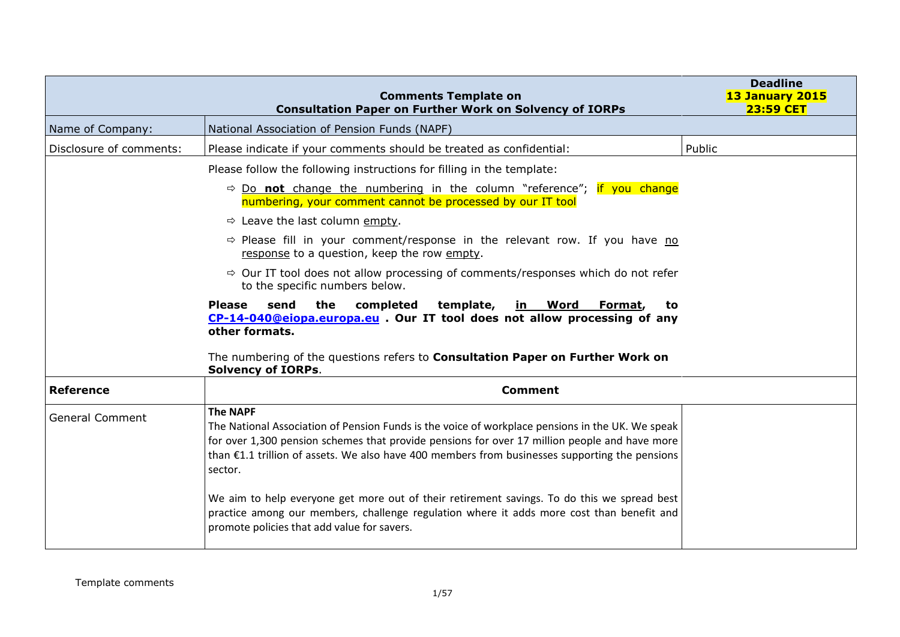|                         | <b>Comments Template on</b><br><b>Consultation Paper on Further Work on Solvency of IORPs</b>                                                                                                                                                                                                                                                                                                                                                                                                                                                                                  | <b>Deadline</b><br>13 January 2015<br><b>23:59 CET</b> |
|-------------------------|--------------------------------------------------------------------------------------------------------------------------------------------------------------------------------------------------------------------------------------------------------------------------------------------------------------------------------------------------------------------------------------------------------------------------------------------------------------------------------------------------------------------------------------------------------------------------------|--------------------------------------------------------|
| Name of Company:        | National Association of Pension Funds (NAPF)                                                                                                                                                                                                                                                                                                                                                                                                                                                                                                                                   |                                                        |
| Disclosure of comments: | Please indicate if your comments should be treated as confidential:                                                                                                                                                                                                                                                                                                                                                                                                                                                                                                            | Public                                                 |
|                         | Please follow the following instructions for filling in the template:                                                                                                                                                                                                                                                                                                                                                                                                                                                                                                          |                                                        |
|                         | $\Rightarrow$ Do <b>not</b> change the numbering in the column "reference"; if you change<br>numbering, your comment cannot be processed by our IT tool                                                                                                                                                                                                                                                                                                                                                                                                                        |                                                        |
|                         | $\Rightarrow$ Leave the last column empty.                                                                                                                                                                                                                                                                                                                                                                                                                                                                                                                                     |                                                        |
|                         | $\Rightarrow$ Please fill in your comment/response in the relevant row. If you have no<br>response to a question, keep the row empty.                                                                                                                                                                                                                                                                                                                                                                                                                                          |                                                        |
|                         | $\Rightarrow$ Our IT tool does not allow processing of comments/responses which do not refer<br>to the specific numbers below.                                                                                                                                                                                                                                                                                                                                                                                                                                                 |                                                        |
|                         | the<br><b>Please</b><br>completed<br>template,<br>Word<br>send<br>Format,<br>in l<br>to<br>CP-14-040@eiopa.europa.eu . Our IT tool does not allow processing of any<br>other formats.<br>The numbering of the questions refers to Consultation Paper on Further Work on<br><b>Solvency of IORPs.</b>                                                                                                                                                                                                                                                                           |                                                        |
| <b>Reference</b>        | <b>Comment</b>                                                                                                                                                                                                                                                                                                                                                                                                                                                                                                                                                                 |                                                        |
| <b>General Comment</b>  | <b>The NAPF</b><br>The National Association of Pension Funds is the voice of workplace pensions in the UK. We speak<br>for over 1,300 pension schemes that provide pensions for over 17 million people and have more<br>than $£1.1$ trillion of assets. We also have 400 members from businesses supporting the pensions<br>sector.<br>We aim to help everyone get more out of their retirement savings. To do this we spread best<br>practice among our members, challenge regulation where it adds more cost than benefit and<br>promote policies that add value for savers. |                                                        |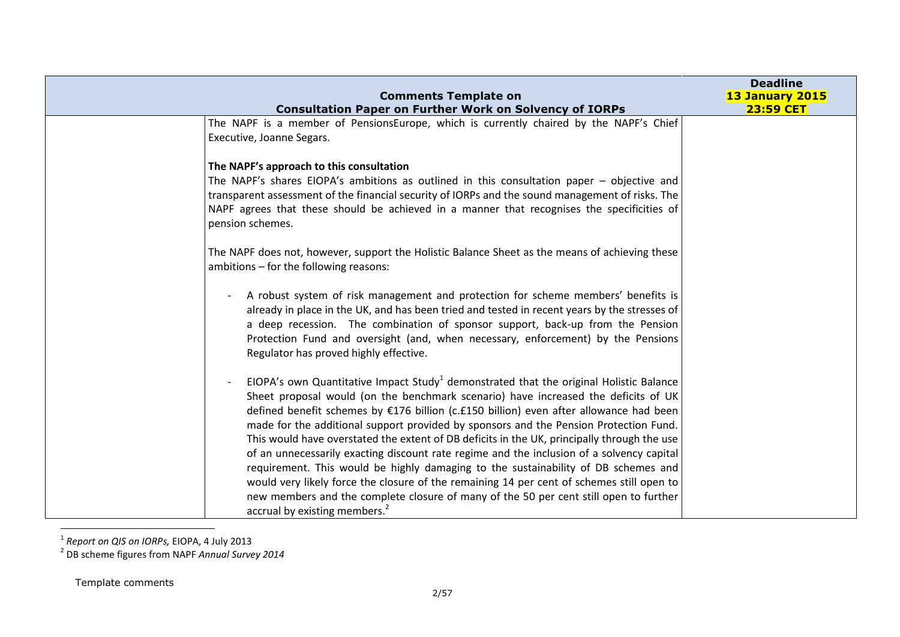| <b>Comments Template on</b><br><b>Consultation Paper on Further Work on Solvency of IORPs</b>                                                                                                                                                                                                                                                                                                                                                                                                                                                                                                                                                                                                                                                                                                                                                                                            | <b>Deadline</b><br><b>13 January 2015</b><br><b>23:59 CET</b> |
|------------------------------------------------------------------------------------------------------------------------------------------------------------------------------------------------------------------------------------------------------------------------------------------------------------------------------------------------------------------------------------------------------------------------------------------------------------------------------------------------------------------------------------------------------------------------------------------------------------------------------------------------------------------------------------------------------------------------------------------------------------------------------------------------------------------------------------------------------------------------------------------|---------------------------------------------------------------|
| The NAPF is a member of PensionsEurope, which is currently chaired by the NAPF's Chief<br>Executive, Joanne Segars.                                                                                                                                                                                                                                                                                                                                                                                                                                                                                                                                                                                                                                                                                                                                                                      |                                                               |
| The NAPF's approach to this consultation<br>The NAPF's shares EIOPA's ambitions as outlined in this consultation paper - objective and<br>transparent assessment of the financial security of IORPs and the sound management of risks. The<br>NAPF agrees that these should be achieved in a manner that recognises the specificities of<br>pension schemes.                                                                                                                                                                                                                                                                                                                                                                                                                                                                                                                             |                                                               |
| The NAPF does not, however, support the Holistic Balance Sheet as the means of achieving these<br>ambitions - for the following reasons:                                                                                                                                                                                                                                                                                                                                                                                                                                                                                                                                                                                                                                                                                                                                                 |                                                               |
| A robust system of risk management and protection for scheme members' benefits is<br>already in place in the UK, and has been tried and tested in recent years by the stresses of<br>a deep recession. The combination of sponsor support, back-up from the Pension<br>Protection Fund and oversight (and, when necessary, enforcement) by the Pensions<br>Regulator has proved highly effective.                                                                                                                                                                                                                                                                                                                                                                                                                                                                                        |                                                               |
| EIOPA's own Quantitative Impact $Study1$ demonstrated that the original Holistic Balance<br>Sheet proposal would (on the benchmark scenario) have increased the deficits of UK<br>defined benefit schemes by $E176$ billion (c.£150 billion) even after allowance had been<br>made for the additional support provided by sponsors and the Pension Protection Fund.<br>This would have overstated the extent of DB deficits in the UK, principally through the use<br>of an unnecessarily exacting discount rate regime and the inclusion of a solvency capital<br>requirement. This would be highly damaging to the sustainability of DB schemes and<br>would very likely force the closure of the remaining 14 per cent of schemes still open to<br>new members and the complete closure of many of the 50 per cent still open to further<br>accrual by existing members. <sup>2</sup> |                                                               |

 1 *Report on QIS on IORPs,* EIOPA, 4 July 2013 2 DB scheme figures from NAPF *Annual Survey 2014*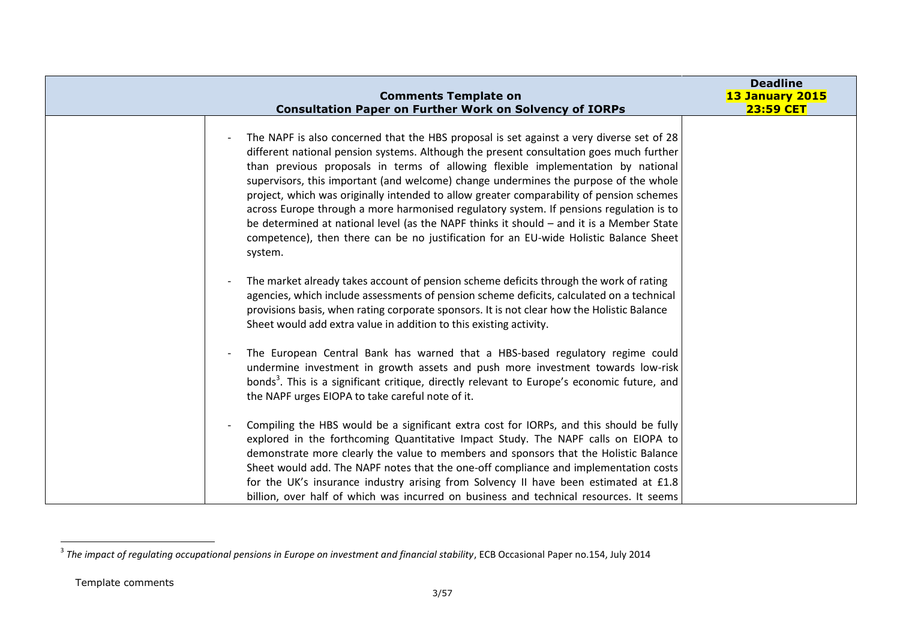| <b>Comments Template on</b><br><b>Consultation Paper on Further Work on Solvency of IORPs</b>                                                                                                                                                                                                                                                                                                                                                                                                                                                                                                                                                                                                                                                          | <b>Deadline</b><br><b>13 January 2015</b><br><b>23:59 CET</b> |
|--------------------------------------------------------------------------------------------------------------------------------------------------------------------------------------------------------------------------------------------------------------------------------------------------------------------------------------------------------------------------------------------------------------------------------------------------------------------------------------------------------------------------------------------------------------------------------------------------------------------------------------------------------------------------------------------------------------------------------------------------------|---------------------------------------------------------------|
| The NAPF is also concerned that the HBS proposal is set against a very diverse set of 28<br>different national pension systems. Although the present consultation goes much further<br>than previous proposals in terms of allowing flexible implementation by national<br>supervisors, this important (and welcome) change undermines the purpose of the whole<br>project, which was originally intended to allow greater comparability of pension schemes<br>across Europe through a more harmonised regulatory system. If pensions regulation is to<br>be determined at national level (as the NAPF thinks it should - and it is a Member State<br>competence), then there can be no justification for an EU-wide Holistic Balance Sheet<br>system. |                                                               |
| The market already takes account of pension scheme deficits through the work of rating<br>agencies, which include assessments of pension scheme deficits, calculated on a technical<br>provisions basis, when rating corporate sponsors. It is not clear how the Holistic Balance<br>Sheet would add extra value in addition to this existing activity.                                                                                                                                                                                                                                                                                                                                                                                                |                                                               |
| The European Central Bank has warned that a HBS-based regulatory regime could<br>undermine investment in growth assets and push more investment towards low-risk<br>bonds <sup>3</sup> . This is a significant critique, directly relevant to Europe's economic future, and<br>the NAPF urges EIOPA to take careful note of it.                                                                                                                                                                                                                                                                                                                                                                                                                        |                                                               |
| Compiling the HBS would be a significant extra cost for IORPs, and this should be fully<br>explored in the forthcoming Quantitative Impact Study. The NAPF calls on EIOPA to<br>demonstrate more clearly the value to members and sponsors that the Holistic Balance<br>Sheet would add. The NAPF notes that the one-off compliance and implementation costs<br>for the UK's insurance industry arising from Solvency II have been estimated at £1.8<br>billion, over half of which was incurred on business and technical resources. It seems                                                                                                                                                                                                         |                                                               |

 3 *The impact of regulating occupational pensions in Europe on investment and financial stability*, ECB Occasional Paper no.154, July 2014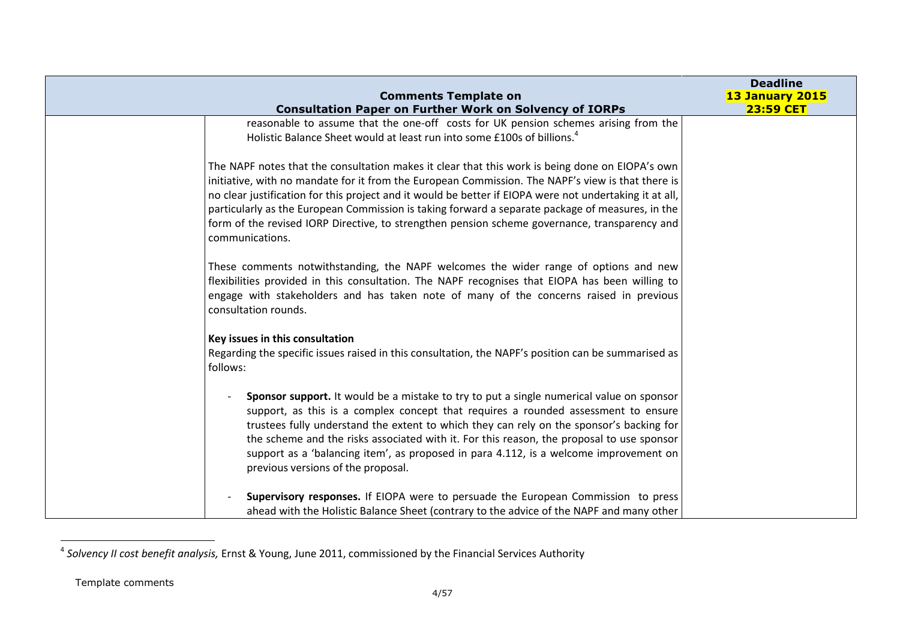| <b>Comments Template on</b>                                                                                                                                                                                                                                                                                                                                                                                                                                                                                                             | <b>Deadline</b><br>13 January 2015 |
|-----------------------------------------------------------------------------------------------------------------------------------------------------------------------------------------------------------------------------------------------------------------------------------------------------------------------------------------------------------------------------------------------------------------------------------------------------------------------------------------------------------------------------------------|------------------------------------|
| <b>Consultation Paper on Further Work on Solvency of IORPs</b><br>reasonable to assume that the one-off costs for UK pension schemes arising from the<br>Holistic Balance Sheet would at least run into some £100s of billions. <sup>4</sup>                                                                                                                                                                                                                                                                                            | 23:59 CET                          |
| The NAPF notes that the consultation makes it clear that this work is being done on EIOPA's own<br>initiative, with no mandate for it from the European Commission. The NAPF's view is that there is<br>no clear justification for this project and it would be better if EIOPA were not undertaking it at all,<br>particularly as the European Commission is taking forward a separate package of measures, in the<br>form of the revised IORP Directive, to strengthen pension scheme governance, transparency and<br>communications. |                                    |
| These comments notwithstanding, the NAPF welcomes the wider range of options and new<br>flexibilities provided in this consultation. The NAPF recognises that EIOPA has been willing to<br>engage with stakeholders and has taken note of many of the concerns raised in previous<br>consultation rounds.                                                                                                                                                                                                                               |                                    |
| Key issues in this consultation<br>Regarding the specific issues raised in this consultation, the NAPF's position can be summarised as<br>follows:                                                                                                                                                                                                                                                                                                                                                                                      |                                    |
| Sponsor support. It would be a mistake to try to put a single numerical value on sponsor<br>support, as this is a complex concept that requires a rounded assessment to ensure<br>trustees fully understand the extent to which they can rely on the sponsor's backing for<br>the scheme and the risks associated with it. For this reason, the proposal to use sponsor<br>support as a 'balancing item', as proposed in para 4.112, is a welcome improvement on<br>previous versions of the proposal.                                  |                                    |
| Supervisory responses. If EIOPA were to persuade the European Commission to press<br>ahead with the Holistic Balance Sheet (contrary to the advice of the NAPF and many other                                                                                                                                                                                                                                                                                                                                                           |                                    |

 4 *Solvency II cost benefit analysis,* Ernst & Young, June 2011, commissioned by the Financial Services Authority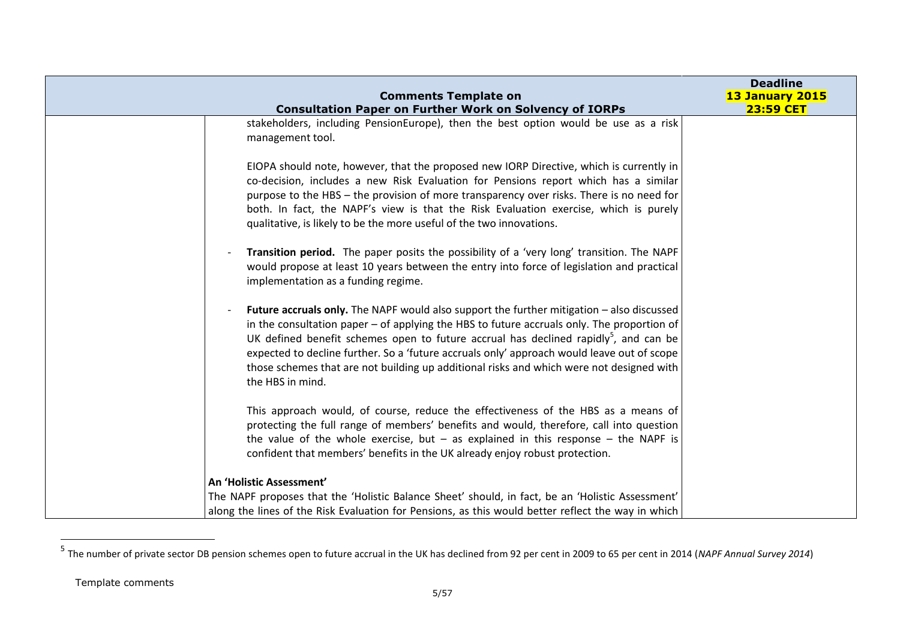| <b>Comments Template on</b>                                                                                                                                                                                                                                                                                                                                                                                                                                                                                      | <b>Deadline</b><br>13 January 2015 |
|------------------------------------------------------------------------------------------------------------------------------------------------------------------------------------------------------------------------------------------------------------------------------------------------------------------------------------------------------------------------------------------------------------------------------------------------------------------------------------------------------------------|------------------------------------|
| <b>Consultation Paper on Further Work on Solvency of IORPs</b>                                                                                                                                                                                                                                                                                                                                                                                                                                                   | <b>23:59 CET</b>                   |
| stakeholders, including PensionEurope), then the best option would be use as a risk<br>management tool.                                                                                                                                                                                                                                                                                                                                                                                                          |                                    |
| EIOPA should note, however, that the proposed new IORP Directive, which is currently in<br>co-decision, includes a new Risk Evaluation for Pensions report which has a similar<br>purpose to the HBS - the provision of more transparency over risks. There is no need for<br>both. In fact, the NAPF's view is that the Risk Evaluation exercise, which is purely<br>qualitative, is likely to be the more useful of the two innovations.                                                                       |                                    |
| Transition period. The paper posits the possibility of a 'very long' transition. The NAPF<br>would propose at least 10 years between the entry into force of legislation and practical<br>implementation as a funding regime.                                                                                                                                                                                                                                                                                    |                                    |
| <b>Future accruals only.</b> The NAPF would also support the further mitigation – also discussed<br>in the consultation paper – of applying the HBS to future accruals only. The proportion of<br>UK defined benefit schemes open to future accrual has declined rapidly <sup>5</sup> , and can be<br>expected to decline further. So a 'future accruals only' approach would leave out of scope<br>those schemes that are not building up additional risks and which were not designed with<br>the HBS in mind. |                                    |
| This approach would, of course, reduce the effectiveness of the HBS as a means of<br>protecting the full range of members' benefits and would, therefore, call into question<br>the value of the whole exercise, but $-$ as explained in this response $-$ the NAPF is<br>confident that members' benefits in the UK already enjoy robust protection.                                                                                                                                                            |                                    |
| An 'Holistic Assessment'                                                                                                                                                                                                                                                                                                                                                                                                                                                                                         |                                    |
| The NAPF proposes that the 'Holistic Balance Sheet' should, in fact, be an 'Holistic Assessment'<br>along the lines of the Risk Evaluation for Pensions, as this would better reflect the way in which                                                                                                                                                                                                                                                                                                           |                                    |

<sup>&</sup>lt;sup>5</sup> The number of private sector DB pension schemes open to future accrual in the UK has declined from 92 per cent in 2009 to 65 per cent in 2014 (*NAPF Annual Survey 2014*)

 $\overline{a}$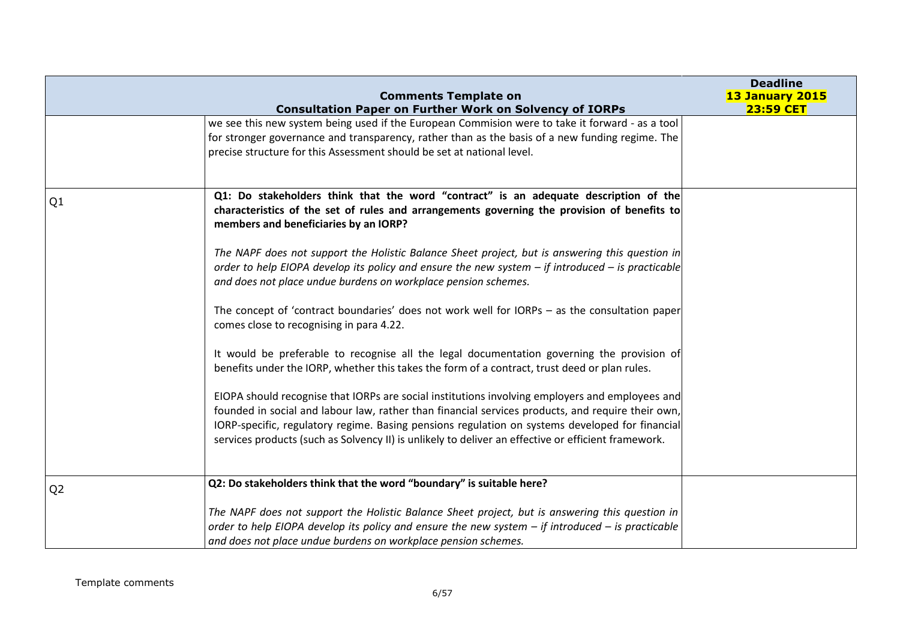|                | <b>Comments Template on</b>                                                                                                                                                                                                                                                                                                                                                                                    | <b>Deadline</b><br><b>13 January 2015</b> |
|----------------|----------------------------------------------------------------------------------------------------------------------------------------------------------------------------------------------------------------------------------------------------------------------------------------------------------------------------------------------------------------------------------------------------------------|-------------------------------------------|
|                | <b>Consultation Paper on Further Work on Solvency of IORPs</b>                                                                                                                                                                                                                                                                                                                                                 | <b>23:59 CET</b>                          |
|                | we see this new system being used if the European Commision were to take it forward - as a tool<br>for stronger governance and transparency, rather than as the basis of a new funding regime. The<br>precise structure for this Assessment should be set at national level.                                                                                                                                   |                                           |
| Q1             | Q1: Do stakeholders think that the word "contract" is an adequate description of the<br>characteristics of the set of rules and arrangements governing the provision of benefits to<br>members and beneficiaries by an IORP?                                                                                                                                                                                   |                                           |
|                | The NAPF does not support the Holistic Balance Sheet project, but is answering this question in<br>order to help EIOPA develop its policy and ensure the new system $-$ if introduced $-$ is practicable<br>and does not place undue burdens on workplace pension schemes.                                                                                                                                     |                                           |
|                | The concept of 'contract boundaries' does not work well for IORPs - as the consultation paper<br>comes close to recognising in para 4.22.                                                                                                                                                                                                                                                                      |                                           |
|                | It would be preferable to recognise all the legal documentation governing the provision of<br>benefits under the IORP, whether this takes the form of a contract, trust deed or plan rules.                                                                                                                                                                                                                    |                                           |
|                | EIOPA should recognise that IORPs are social institutions involving employers and employees and<br>founded in social and labour law, rather than financial services products, and require their own,<br>IORP-specific, regulatory regime. Basing pensions regulation on systems developed for financial<br>services products (such as Solvency II) is unlikely to deliver an effective or efficient framework. |                                           |
| Q <sub>2</sub> | Q2: Do stakeholders think that the word "boundary" is suitable here?                                                                                                                                                                                                                                                                                                                                           |                                           |
|                | The NAPF does not support the Holistic Balance Sheet project, but is answering this question in<br>order to help EIOPA develop its policy and ensure the new system $-$ if introduced $-$ is practicable<br>and does not place undue burdens on workplace pension schemes.                                                                                                                                     |                                           |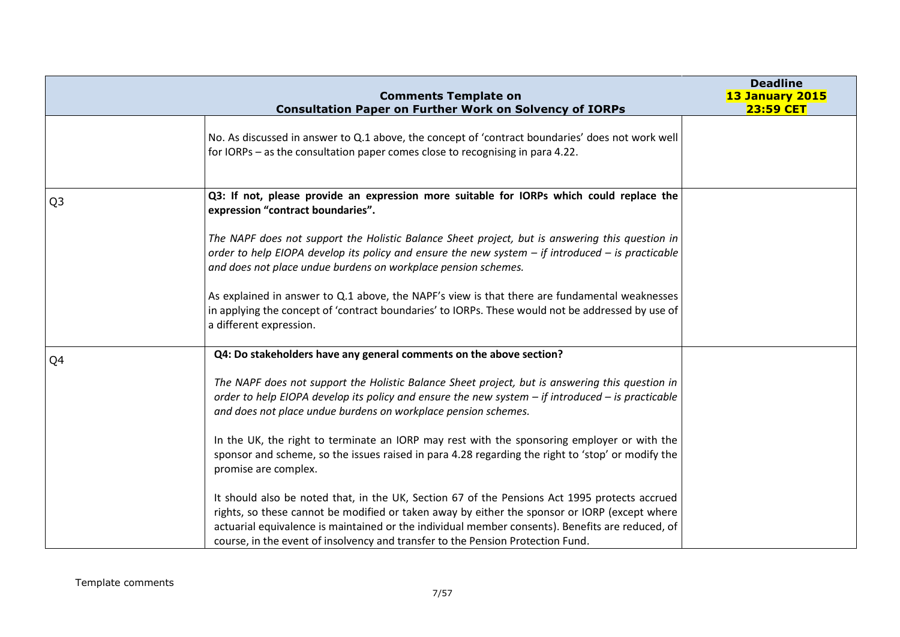|                | <b>Comments Template on</b>                                                                                                                                                                                                                                                                                                                                                           | <b>Deadline</b><br>13 January 2015 |
|----------------|---------------------------------------------------------------------------------------------------------------------------------------------------------------------------------------------------------------------------------------------------------------------------------------------------------------------------------------------------------------------------------------|------------------------------------|
|                | <b>Consultation Paper on Further Work on Solvency of IORPs</b>                                                                                                                                                                                                                                                                                                                        | <b>23:59 CET</b>                   |
|                | No. As discussed in answer to Q.1 above, the concept of 'contract boundaries' does not work well<br>for IORPs - as the consultation paper comes close to recognising in para 4.22.                                                                                                                                                                                                    |                                    |
| Q <sub>3</sub> | Q3: If not, please provide an expression more suitable for IORPs which could replace the<br>expression "contract boundaries".                                                                                                                                                                                                                                                         |                                    |
|                | The NAPF does not support the Holistic Balance Sheet project, but is answering this question in<br>order to help EIOPA develop its policy and ensure the new system $-$ if introduced $-$ is practicable<br>and does not place undue burdens on workplace pension schemes.                                                                                                            |                                    |
|                | As explained in answer to Q.1 above, the NAPF's view is that there are fundamental weaknesses<br>in applying the concept of 'contract boundaries' to IORPs. These would not be addressed by use of<br>a different expression.                                                                                                                                                         |                                    |
| Q4             | Q4: Do stakeholders have any general comments on the above section?                                                                                                                                                                                                                                                                                                                   |                                    |
|                | The NAPF does not support the Holistic Balance Sheet project, but is answering this question in<br>order to help EIOPA develop its policy and ensure the new system $-$ if introduced $-$ is practicable<br>and does not place undue burdens on workplace pension schemes.                                                                                                            |                                    |
|                | In the UK, the right to terminate an IORP may rest with the sponsoring employer or with the<br>sponsor and scheme, so the issues raised in para 4.28 regarding the right to 'stop' or modify the<br>promise are complex.                                                                                                                                                              |                                    |
|                | It should also be noted that, in the UK, Section 67 of the Pensions Act 1995 protects accrued<br>rights, so these cannot be modified or taken away by either the sponsor or IORP (except where<br>actuarial equivalence is maintained or the individual member consents). Benefits are reduced, of<br>course, in the event of insolvency and transfer to the Pension Protection Fund. |                                    |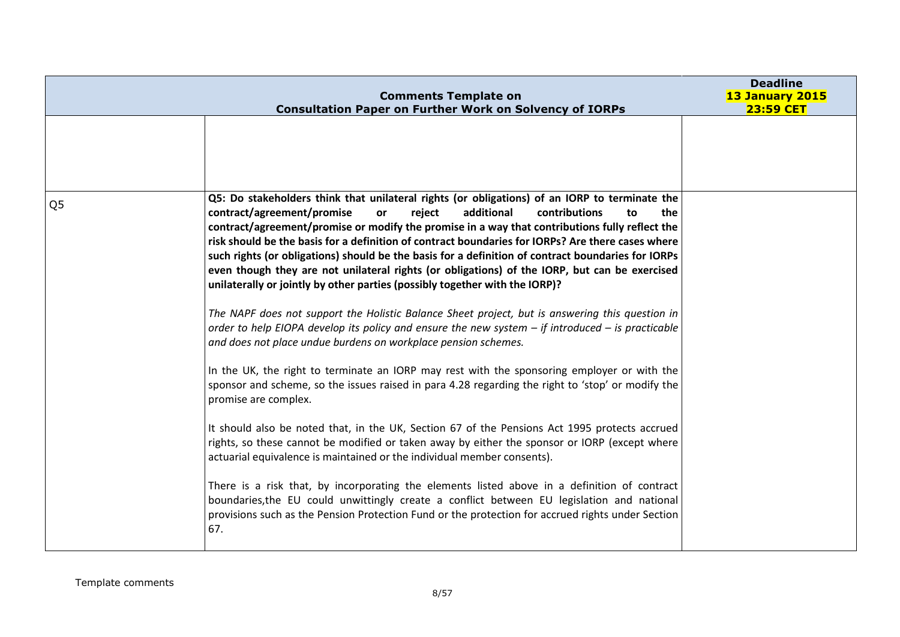|                | <b>Comments Template on</b><br><b>Consultation Paper on Further Work on Solvency of IORPs</b>                                                                                                                                                                                                                                                                                                                                                                                                                                                                                                                                                                                         | <b>Deadline</b><br><b>13 January 2015</b><br><b>23:59 CET</b> |
|----------------|---------------------------------------------------------------------------------------------------------------------------------------------------------------------------------------------------------------------------------------------------------------------------------------------------------------------------------------------------------------------------------------------------------------------------------------------------------------------------------------------------------------------------------------------------------------------------------------------------------------------------------------------------------------------------------------|---------------------------------------------------------------|
|                |                                                                                                                                                                                                                                                                                                                                                                                                                                                                                                                                                                                                                                                                                       |                                                               |
| Q <sub>5</sub> | Q5: Do stakeholders think that unilateral rights (or obligations) of an IORP to terminate the<br>contract/agreement/promise<br>additional<br>contributions<br>or<br>reject<br>to<br>the.<br>contract/agreement/promise or modify the promise in a way that contributions fully reflect the<br>risk should be the basis for a definition of contract boundaries for IORPs? Are there cases where<br>such rights (or obligations) should be the basis for a definition of contract boundaries for IORPs<br>even though they are not unilateral rights (or obligations) of the IORP, but can be exercised<br>unilaterally or jointly by other parties (possibly together with the IORP)? |                                                               |
|                | The NAPF does not support the Holistic Balance Sheet project, but is answering this question in<br>order to help EIOPA develop its policy and ensure the new system $-$ if introduced $-$ is practicable<br>and does not place undue burdens on workplace pension schemes.                                                                                                                                                                                                                                                                                                                                                                                                            |                                                               |
|                | In the UK, the right to terminate an IORP may rest with the sponsoring employer or with the<br>sponsor and scheme, so the issues raised in para 4.28 regarding the right to 'stop' or modify the<br>promise are complex.                                                                                                                                                                                                                                                                                                                                                                                                                                                              |                                                               |
|                | It should also be noted that, in the UK, Section 67 of the Pensions Act 1995 protects accrued<br>rights, so these cannot be modified or taken away by either the sponsor or IORP (except where<br>actuarial equivalence is maintained or the individual member consents).                                                                                                                                                                                                                                                                                                                                                                                                             |                                                               |
|                | There is a risk that, by incorporating the elements listed above in a definition of contract<br>boundaries, the EU could unwittingly create a conflict between EU legislation and national<br>provisions such as the Pension Protection Fund or the protection for accrued rights under Section<br>67.                                                                                                                                                                                                                                                                                                                                                                                |                                                               |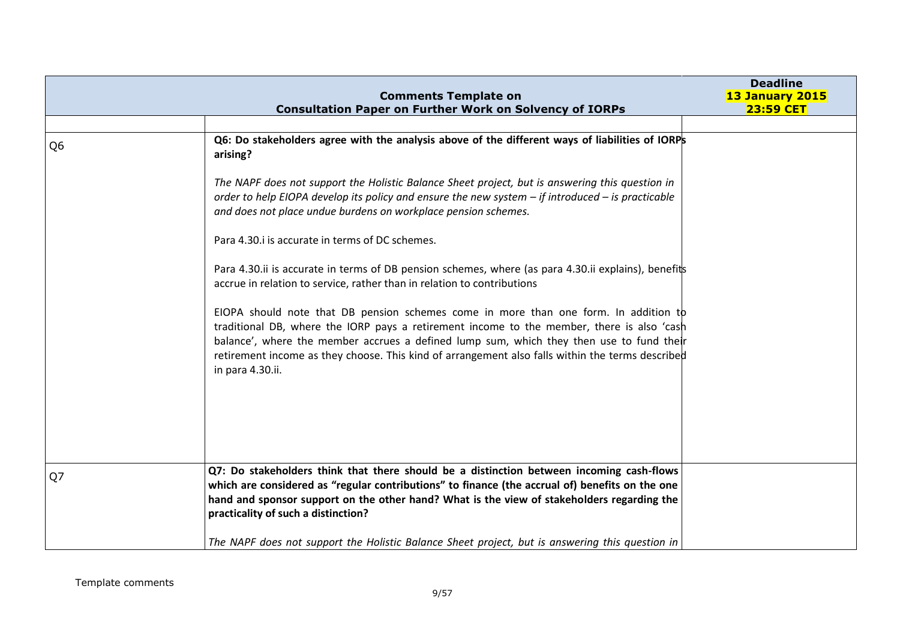|                | <b>Comments Template on</b><br><b>Consultation Paper on Further Work on Solvency of IORPs</b>                                                                                                                                                                                                                                                                                                          | <b>Deadline</b><br>13 January 2015<br><b>23:59 CET</b> |
|----------------|--------------------------------------------------------------------------------------------------------------------------------------------------------------------------------------------------------------------------------------------------------------------------------------------------------------------------------------------------------------------------------------------------------|--------------------------------------------------------|
|                |                                                                                                                                                                                                                                                                                                                                                                                                        |                                                        |
| Q <sub>6</sub> | Q6: Do stakeholders agree with the analysis above of the different ways of liabilities of IORPs<br>arising?                                                                                                                                                                                                                                                                                            |                                                        |
|                | The NAPF does not support the Holistic Balance Sheet project, but is answering this question in<br>order to help EIOPA develop its policy and ensure the new system $-$ if introduced $-$ is practicable<br>and does not place undue burdens on workplace pension schemes.                                                                                                                             |                                                        |
|                | Para 4.30.i is accurate in terms of DC schemes.                                                                                                                                                                                                                                                                                                                                                        |                                                        |
|                | Para 4.30.ii is accurate in terms of DB pension schemes, where (as para 4.30.ii explains), benefits<br>accrue in relation to service, rather than in relation to contributions                                                                                                                                                                                                                         |                                                        |
|                | EIOPA should note that DB pension schemes come in more than one form. In addition to<br>traditional DB, where the IORP pays a retirement income to the member, there is also 'cash<br>balance', where the member accrues a defined lump sum, which they then use to fund their<br>retirement income as they choose. This kind of arrangement also falls within the terms described<br>in para 4.30.ii. |                                                        |
|                |                                                                                                                                                                                                                                                                                                                                                                                                        |                                                        |
| Q7             | Q7: Do stakeholders think that there should be a distinction between incoming cash-flows                                                                                                                                                                                                                                                                                                               |                                                        |
|                | which are considered as "regular contributions" to finance (the accrual of) benefits on the one                                                                                                                                                                                                                                                                                                        |                                                        |
|                | hand and sponsor support on the other hand? What is the view of stakeholders regarding the<br>practicality of such a distinction?                                                                                                                                                                                                                                                                      |                                                        |
|                | The NAPF does not support the Holistic Balance Sheet project, but is answering this question in                                                                                                                                                                                                                                                                                                        |                                                        |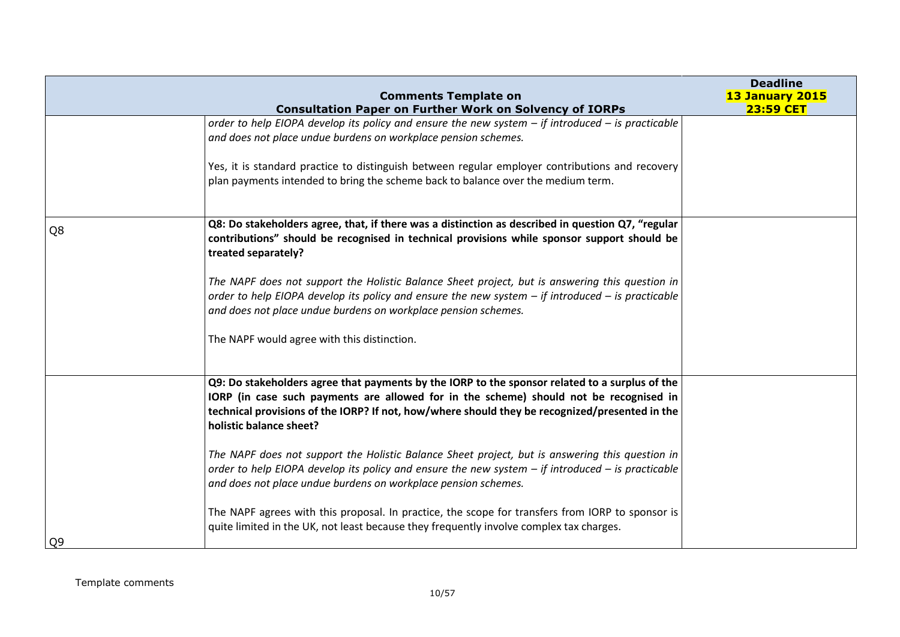|                | <b>Comments Template on</b>                                                                                                                                                                                                                                                                                           | <b>Deadline</b><br><b>13 January 2015</b> |
|----------------|-----------------------------------------------------------------------------------------------------------------------------------------------------------------------------------------------------------------------------------------------------------------------------------------------------------------------|-------------------------------------------|
|                | <b>Consultation Paper on Further Work on Solvency of IORPs</b><br>order to help EIOPA develop its policy and ensure the new system $-$ if introduced $-$ is practicable                                                                                                                                               | <b>23:59 CET</b>                          |
|                | and does not place undue burdens on workplace pension schemes.                                                                                                                                                                                                                                                        |                                           |
|                | Yes, it is standard practice to distinguish between regular employer contributions and recovery<br>plan payments intended to bring the scheme back to balance over the medium term.                                                                                                                                   |                                           |
|                |                                                                                                                                                                                                                                                                                                                       |                                           |
| Q <sub>8</sub> | Q8: Do stakeholders agree, that, if there was a distinction as described in question Q7, "regular<br>contributions" should be recognised in technical provisions while sponsor support should be<br>treated separately?                                                                                               |                                           |
|                | The NAPF does not support the Holistic Balance Sheet project, but is answering this question in<br>order to help EIOPA develop its policy and ensure the new system $-$ if introduced $-$ is practicable<br>and does not place undue burdens on workplace pension schemes.                                            |                                           |
|                | The NAPF would agree with this distinction.                                                                                                                                                                                                                                                                           |                                           |
|                | Q9: Do stakeholders agree that payments by the IORP to the sponsor related to a surplus of the<br>IORP (in case such payments are allowed for in the scheme) should not be recognised in<br>technical provisions of the IORP? If not, how/where should they be recognized/presented in the<br>holistic balance sheet? |                                           |
|                | The NAPF does not support the Holistic Balance Sheet project, but is answering this question in<br>order to help EIOPA develop its policy and ensure the new system $-$ if introduced $-$ is practicable<br>and does not place undue burdens on workplace pension schemes.                                            |                                           |
| Q <sub>9</sub> | The NAPF agrees with this proposal. In practice, the scope for transfers from IORP to sponsor is<br>quite limited in the UK, not least because they frequently involve complex tax charges.                                                                                                                           |                                           |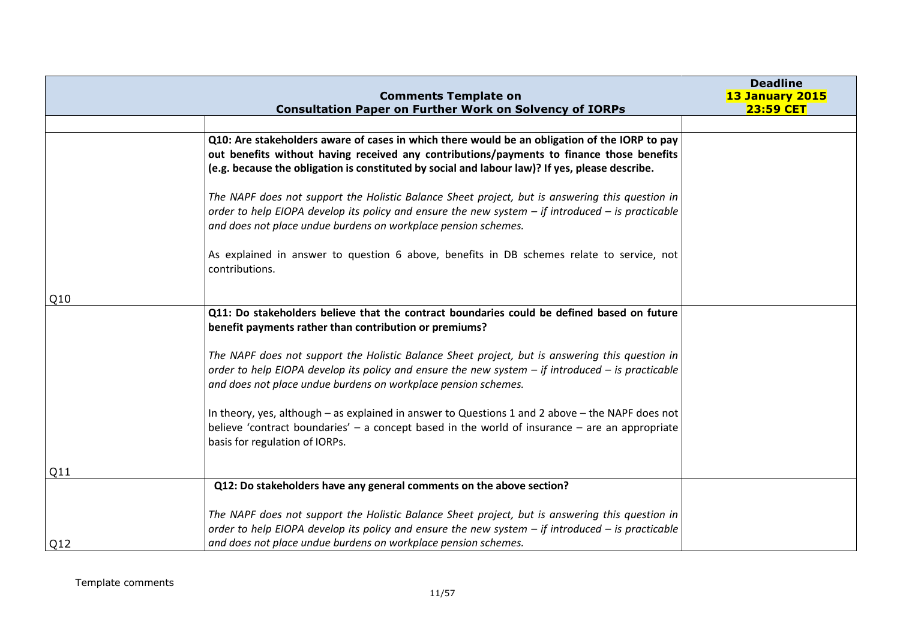|     |                                                                                                                                                                                                                                                                                               | <b>Deadline</b>                     |
|-----|-----------------------------------------------------------------------------------------------------------------------------------------------------------------------------------------------------------------------------------------------------------------------------------------------|-------------------------------------|
|     | <b>Comments Template on</b>                                                                                                                                                                                                                                                                   | 13 January 2015<br><b>23:59 CET</b> |
|     | <b>Consultation Paper on Further Work on Solvency of IORPs</b>                                                                                                                                                                                                                                |                                     |
|     | Q10: Are stakeholders aware of cases in which there would be an obligation of the IORP to pay<br>out benefits without having received any contributions/payments to finance those benefits<br>(e.g. because the obligation is constituted by social and labour law)? If yes, please describe. |                                     |
|     | The NAPF does not support the Holistic Balance Sheet project, but is answering this question in<br>order to help EIOPA develop its policy and ensure the new system $-$ if introduced $-$ is practicable<br>and does not place undue burdens on workplace pension schemes.                    |                                     |
|     | As explained in answer to question 6 above, benefits in DB schemes relate to service, not<br>contributions.                                                                                                                                                                                   |                                     |
| Q10 |                                                                                                                                                                                                                                                                                               |                                     |
|     | Q11: Do stakeholders believe that the contract boundaries could be defined based on future<br>benefit payments rather than contribution or premiums?                                                                                                                                          |                                     |
|     | The NAPF does not support the Holistic Balance Sheet project, but is answering this question in<br>order to help EIOPA develop its policy and ensure the new system $-$ if introduced $-$ is practicable<br>and does not place undue burdens on workplace pension schemes.                    |                                     |
|     | In theory, yes, although $-$ as explained in answer to Questions 1 and 2 above $-$ the NAPF does not<br>believe 'contract boundaries' $-$ a concept based in the world of insurance $-$ are an appropriate<br>basis for regulation of IORPs.                                                  |                                     |
| Q11 |                                                                                                                                                                                                                                                                                               |                                     |
|     | Q12: Do stakeholders have any general comments on the above section?                                                                                                                                                                                                                          |                                     |
| Q12 | The NAPF does not support the Holistic Balance Sheet project, but is answering this question in<br>order to help EIOPA develop its policy and ensure the new system $-$ if introduced $-$ is practicable<br>and does not place undue burdens on workplace pension schemes.                    |                                     |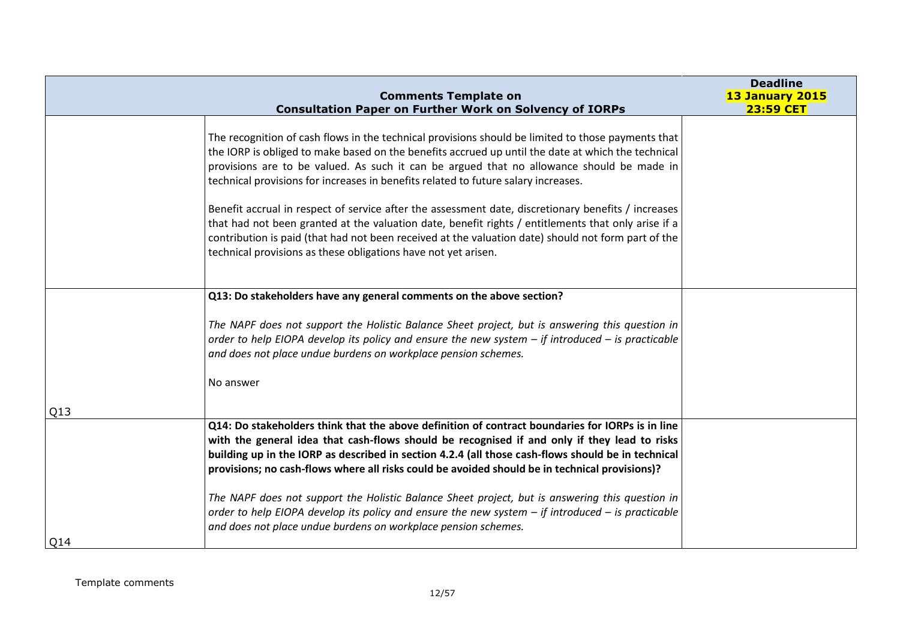|     | <b>Comments Template on</b>                                                                                                                                                                                                                                                                                                                                                                                                                                                                                                                                                                                                                                                                                                                                                        | <b>Deadline</b><br>13 January 2015 |
|-----|------------------------------------------------------------------------------------------------------------------------------------------------------------------------------------------------------------------------------------------------------------------------------------------------------------------------------------------------------------------------------------------------------------------------------------------------------------------------------------------------------------------------------------------------------------------------------------------------------------------------------------------------------------------------------------------------------------------------------------------------------------------------------------|------------------------------------|
|     | <b>Consultation Paper on Further Work on Solvency of IORPs</b>                                                                                                                                                                                                                                                                                                                                                                                                                                                                                                                                                                                                                                                                                                                     | <b>23:59 CET</b>                   |
|     | The recognition of cash flows in the technical provisions should be limited to those payments that<br>the IORP is obliged to make based on the benefits accrued up until the date at which the technical<br>provisions are to be valued. As such it can be argued that no allowance should be made in<br>technical provisions for increases in benefits related to future salary increases.<br>Benefit accrual in respect of service after the assessment date, discretionary benefits / increases<br>that had not been granted at the valuation date, benefit rights / entitlements that only arise if a<br>contribution is paid (that had not been received at the valuation date) should not form part of the<br>technical provisions as these obligations have not yet arisen. |                                    |
| Q13 | Q13: Do stakeholders have any general comments on the above section?<br>The NAPF does not support the Holistic Balance Sheet project, but is answering this question in<br>order to help EIOPA develop its policy and ensure the new system $-$ if introduced $-$ is practicable<br>and does not place undue burdens on workplace pension schemes.<br>No answer                                                                                                                                                                                                                                                                                                                                                                                                                    |                                    |
| Q14 | Q14: Do stakeholders think that the above definition of contract boundaries for IORPs is in line<br>with the general idea that cash-flows should be recognised if and only if they lead to risks<br>building up in the IORP as described in section 4.2.4 (all those cash-flows should be in technical<br>provisions; no cash-flows where all risks could be avoided should be in technical provisions)?<br>The NAPF does not support the Holistic Balance Sheet project, but is answering this question in<br>order to help EIOPA develop its policy and ensure the new system $-$ if introduced $-$ is practicable<br>and does not place undue burdens on workplace pension schemes.                                                                                             |                                    |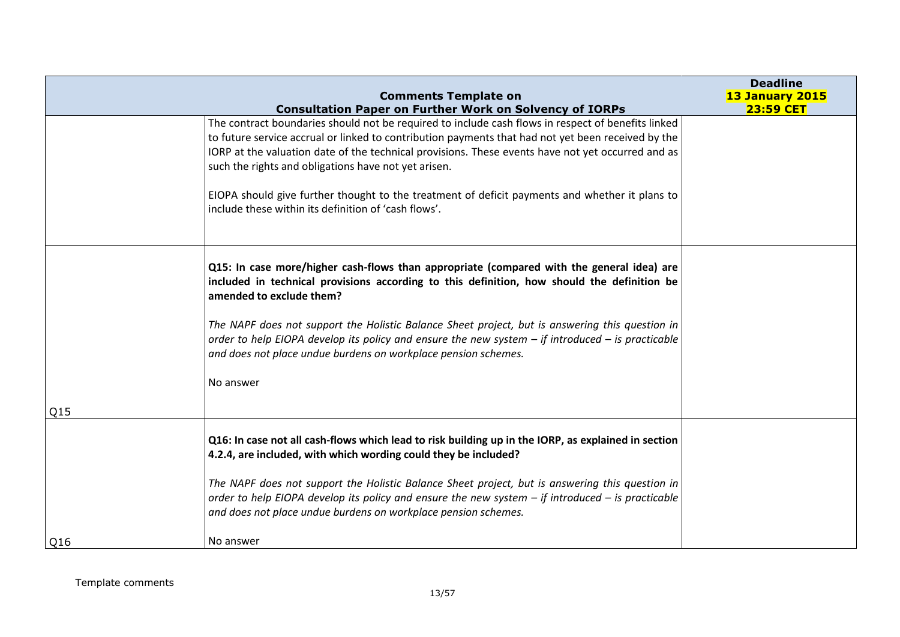|     | <b>Comments Template on</b>                                                                                                                                                                                                                                                                                                                                                                                                                                                                                                     | <b>Deadline</b><br><b>13 January 2015</b> |
|-----|---------------------------------------------------------------------------------------------------------------------------------------------------------------------------------------------------------------------------------------------------------------------------------------------------------------------------------------------------------------------------------------------------------------------------------------------------------------------------------------------------------------------------------|-------------------------------------------|
|     | <b>Consultation Paper on Further Work on Solvency of IORPs</b>                                                                                                                                                                                                                                                                                                                                                                                                                                                                  | <b>23:59 CET</b>                          |
|     | The contract boundaries should not be required to include cash flows in respect of benefits linked<br>to future service accrual or linked to contribution payments that had not yet been received by the<br>IORP at the valuation date of the technical provisions. These events have not yet occurred and as<br>such the rights and obligations have not yet arisen.<br>EIOPA should give further thought to the treatment of deficit payments and whether it plans to<br>include these within its definition of 'cash flows'. |                                           |
| Q15 | Q15: In case more/higher cash-flows than appropriate (compared with the general idea) are<br>included in technical provisions according to this definition, how should the definition be<br>amended to exclude them?<br>The NAPF does not support the Holistic Balance Sheet project, but is answering this question in<br>order to help EIOPA develop its policy and ensure the new system $-$ if introduced $-$ is practicable<br>and does not place undue burdens on workplace pension schemes.<br>No answer                 |                                           |
| Q16 | Q16: In case not all cash-flows which lead to risk building up in the IORP, as explained in section<br>4.2.4, are included, with which wording could they be included?<br>The NAPF does not support the Holistic Balance Sheet project, but is answering this question in<br>order to help EIOPA develop its policy and ensure the new system $-$ if introduced $-$ is practicable<br>and does not place undue burdens on workplace pension schemes.<br>No answer                                                               |                                           |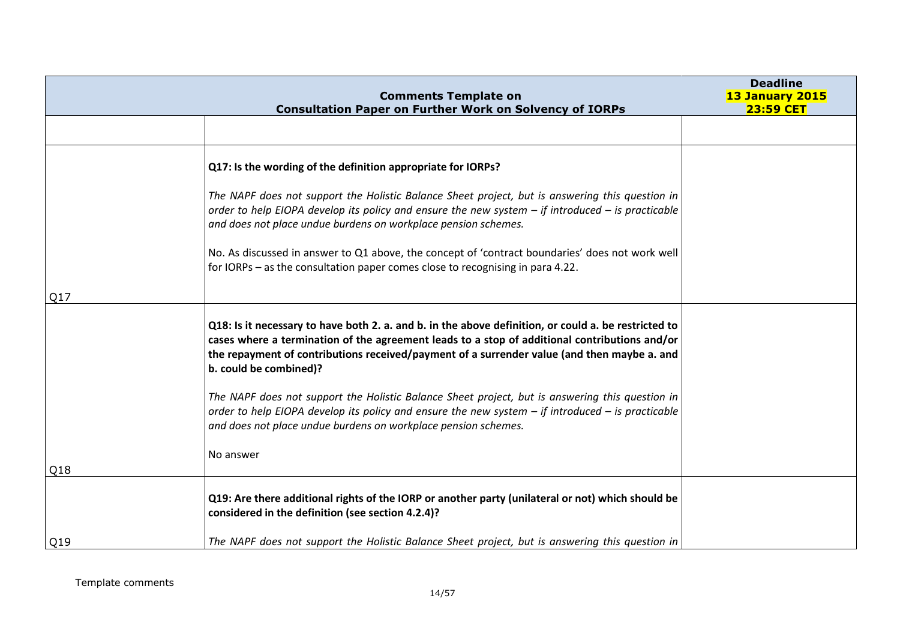|     | <b>Comments Template on</b><br><b>Consultation Paper on Further Work on Solvency of IORPs</b>                                                                                                                                                                                                                                  | <b>Deadline</b><br>13 January 2015<br><b>23:59 CET</b> |
|-----|--------------------------------------------------------------------------------------------------------------------------------------------------------------------------------------------------------------------------------------------------------------------------------------------------------------------------------|--------------------------------------------------------|
|     |                                                                                                                                                                                                                                                                                                                                |                                                        |
|     | Q17: Is the wording of the definition appropriate for IORPs?                                                                                                                                                                                                                                                                   |                                                        |
|     | The NAPF does not support the Holistic Balance Sheet project, but is answering this question in<br>order to help EIOPA develop its policy and ensure the new system $-$ if introduced $-$ is practicable<br>and does not place undue burdens on workplace pension schemes.                                                     |                                                        |
|     | No. As discussed in answer to Q1 above, the concept of 'contract boundaries' does not work well<br>for IORPs - as the consultation paper comes close to recognising in para 4.22.                                                                                                                                              |                                                        |
| Q17 |                                                                                                                                                                                                                                                                                                                                |                                                        |
|     | Q18: Is it necessary to have both 2. a. and b. in the above definition, or could a. be restricted to<br>cases where a termination of the agreement leads to a stop of additional contributions and/or<br>the repayment of contributions received/payment of a surrender value (and then maybe a. and<br>b. could be combined)? |                                                        |
|     | The NAPF does not support the Holistic Balance Sheet project, but is answering this question in<br>order to help EIOPA develop its policy and ensure the new system $-$ if introduced $-$ is practicable<br>and does not place undue burdens on workplace pension schemes.                                                     |                                                        |
|     | No answer                                                                                                                                                                                                                                                                                                                      |                                                        |
| Q18 |                                                                                                                                                                                                                                                                                                                                |                                                        |
|     | Q19: Are there additional rights of the IORP or another party (unilateral or not) which should be<br>considered in the definition (see section 4.2.4)?                                                                                                                                                                         |                                                        |
| Q19 | The NAPF does not support the Holistic Balance Sheet project, but is answering this question in                                                                                                                                                                                                                                |                                                        |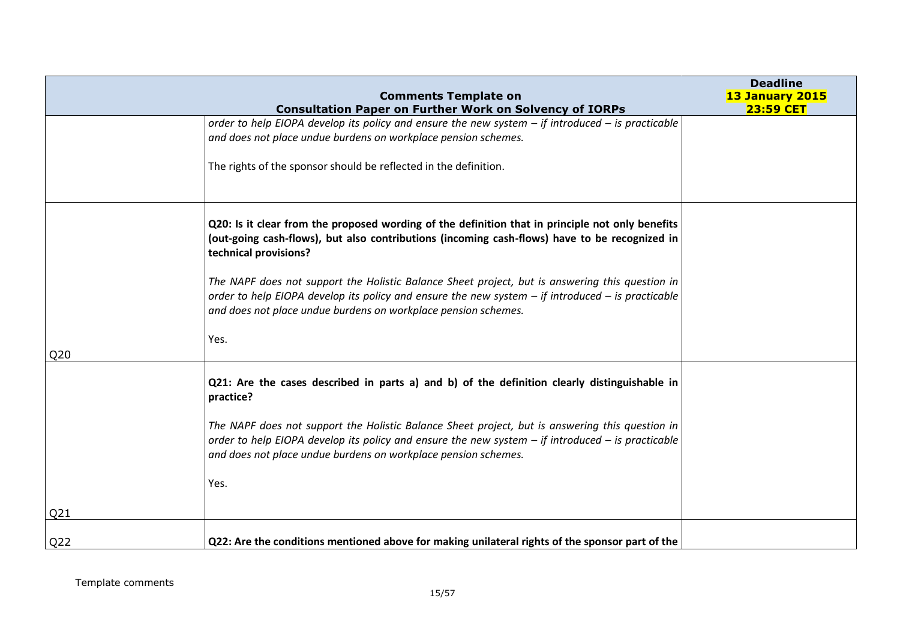|                 | <b>Comments Template on</b>                                                                                                                                                                                                                                                                                                                                                                                                                                                                                      | <b>Deadline</b><br><b>13 January 2015</b> |
|-----------------|------------------------------------------------------------------------------------------------------------------------------------------------------------------------------------------------------------------------------------------------------------------------------------------------------------------------------------------------------------------------------------------------------------------------------------------------------------------------------------------------------------------|-------------------------------------------|
|                 | <b>Consultation Paper on Further Work on Solvency of IORPs</b>                                                                                                                                                                                                                                                                                                                                                                                                                                                   | <b>23:59 CET</b>                          |
|                 | order to help EIOPA develop its policy and ensure the new system $-$ if introduced $-$ is practicable<br>and does not place undue burdens on workplace pension schemes.<br>The rights of the sponsor should be reflected in the definition.                                                                                                                                                                                                                                                                      |                                           |
| Q <sub>20</sub> | Q20: Is it clear from the proposed wording of the definition that in principle not only benefits<br>(out-going cash-flows), but also contributions (incoming cash-flows) have to be recognized in<br>technical provisions?<br>The NAPF does not support the Holistic Balance Sheet project, but is answering this question in<br>order to help EIOPA develop its policy and ensure the new system $-$ if introduced $-$ is practicable<br>and does not place undue burdens on workplace pension schemes.<br>Yes. |                                           |
|                 | Q21: Are the cases described in parts a) and b) of the definition clearly distinguishable in<br>practice?<br>The NAPF does not support the Holistic Balance Sheet project, but is answering this question in<br>order to help EIOPA develop its policy and ensure the new system $-$ if introduced $-$ is practicable<br>and does not place undue burdens on workplace pension schemes.<br>Yes.                                                                                                                  |                                           |
|                 |                                                                                                                                                                                                                                                                                                                                                                                                                                                                                                                  |                                           |
| Q <sub>21</sub> |                                                                                                                                                                                                                                                                                                                                                                                                                                                                                                                  |                                           |
| Q <sub>22</sub> | Q22: Are the conditions mentioned above for making unilateral rights of the sponsor part of the                                                                                                                                                                                                                                                                                                                                                                                                                  |                                           |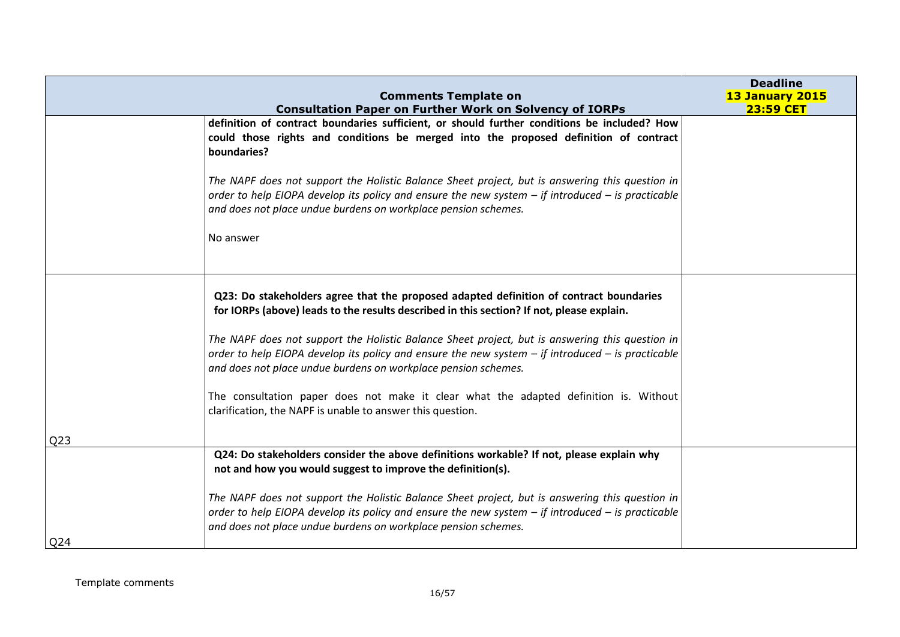|                 | <b>Comments Template on</b>                                                                                                                                                                                                                                                                                                                                                                                                                                                                                                                                                                                              | <b>Deadline</b><br>13 January 2015 |
|-----------------|--------------------------------------------------------------------------------------------------------------------------------------------------------------------------------------------------------------------------------------------------------------------------------------------------------------------------------------------------------------------------------------------------------------------------------------------------------------------------------------------------------------------------------------------------------------------------------------------------------------------------|------------------------------------|
|                 | <b>Consultation Paper on Further Work on Solvency of IORPs</b><br>definition of contract boundaries sufficient, or should further conditions be included? How<br>could those rights and conditions be merged into the proposed definition of contract<br>boundaries?<br>The NAPF does not support the Holistic Balance Sheet project, but is answering this question in                                                                                                                                                                                                                                                  | <b>23:59 CET</b>                   |
|                 | order to help EIOPA develop its policy and ensure the new system $-$ if introduced $-$ is practicable<br>and does not place undue burdens on workplace pension schemes.<br>No answer                                                                                                                                                                                                                                                                                                                                                                                                                                     |                                    |
| Q <sub>23</sub> | Q23: Do stakeholders agree that the proposed adapted definition of contract boundaries<br>for IORPs (above) leads to the results described in this section? If not, please explain.<br>The NAPF does not support the Holistic Balance Sheet project, but is answering this question in<br>order to help EIOPA develop its policy and ensure the new system $-$ if introduced $-$ is practicable<br>and does not place undue burdens on workplace pension schemes.<br>The consultation paper does not make it clear what the adapted definition is. Without<br>clarification, the NAPF is unable to answer this question. |                                    |
| Q <sub>24</sub> | Q24: Do stakeholders consider the above definitions workable? If not, please explain why<br>not and how you would suggest to improve the definition(s).<br>The NAPF does not support the Holistic Balance Sheet project, but is answering this question in<br>order to help EIOPA develop its policy and ensure the new system $-$ if introduced $-$ is practicable<br>and does not place undue burdens on workplace pension schemes.                                                                                                                                                                                    |                                    |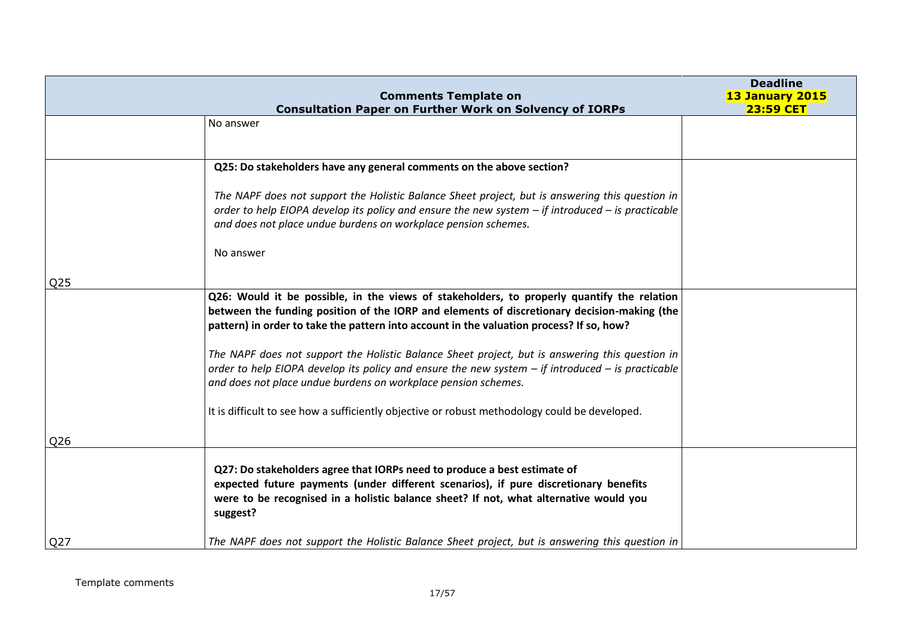|     |                                                                                                                                                                                                                                                                                       | <b>Deadline</b>  |
|-----|---------------------------------------------------------------------------------------------------------------------------------------------------------------------------------------------------------------------------------------------------------------------------------------|------------------|
|     | <b>Comments Template on</b>                                                                                                                                                                                                                                                           | 13 January 2015  |
|     | <b>Consultation Paper on Further Work on Solvency of IORPs</b><br>No answer                                                                                                                                                                                                           | <b>23:59 CET</b> |
|     |                                                                                                                                                                                                                                                                                       |                  |
|     |                                                                                                                                                                                                                                                                                       |                  |
|     | Q25: Do stakeholders have any general comments on the above section?                                                                                                                                                                                                                  |                  |
|     | The NAPF does not support the Holistic Balance Sheet project, but is answering this question in<br>order to help EIOPA develop its policy and ensure the new system $-$ if introduced $-$ is practicable<br>and does not place undue burdens on workplace pension schemes.            |                  |
|     | No answer                                                                                                                                                                                                                                                                             |                  |
| Q25 |                                                                                                                                                                                                                                                                                       |                  |
|     | Q26: Would it be possible, in the views of stakeholders, to properly quantify the relation<br>between the funding position of the IORP and elements of discretionary decision-making (the<br>pattern) in order to take the pattern into account in the valuation process? If so, how? |                  |
|     | The NAPF does not support the Holistic Balance Sheet project, but is answering this question in<br>order to help EIOPA develop its policy and ensure the new system $-$ if introduced $-$ is practicable<br>and does not place undue burdens on workplace pension schemes.            |                  |
|     | It is difficult to see how a sufficiently objective or robust methodology could be developed.                                                                                                                                                                                         |                  |
| Q26 |                                                                                                                                                                                                                                                                                       |                  |
|     | Q27: Do stakeholders agree that IORPs need to produce a best estimate of<br>expected future payments (under different scenarios), if pure discretionary benefits<br>were to be recognised in a holistic balance sheet? If not, what alternative would you<br>suggest?                 |                  |
| Q27 | The NAPF does not support the Holistic Balance Sheet project, but is answering this question in                                                                                                                                                                                       |                  |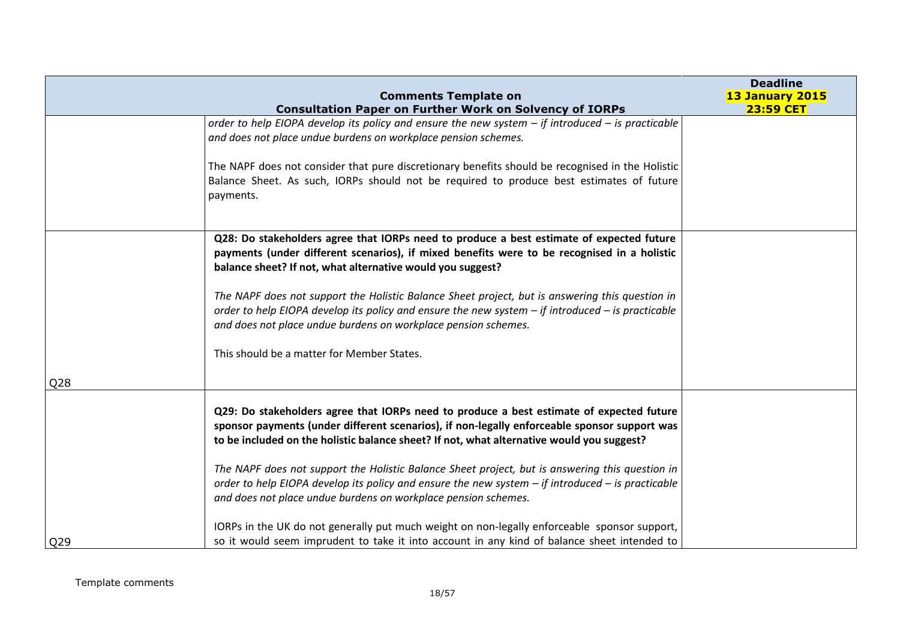|                 |                                                                                                                                                                                                                                                                                       | <b>Deadline</b>                            |
|-----------------|---------------------------------------------------------------------------------------------------------------------------------------------------------------------------------------------------------------------------------------------------------------------------------------|--------------------------------------------|
|                 | <b>Comments Template on</b><br><b>Consultation Paper on Further Work on Solvency of IORPs</b>                                                                                                                                                                                         | <b>13 January 2015</b><br><b>23:59 CET</b> |
|                 | order to help EIOPA develop its policy and ensure the new system $-$ if introduced $-$ is practicable<br>and does not place undue burdens on workplace pension schemes.                                                                                                               |                                            |
|                 | The NAPF does not consider that pure discretionary benefits should be recognised in the Holistic<br>Balance Sheet. As such, IORPs should not be required to produce best estimates of future<br>payments.                                                                             |                                            |
|                 | Q28: Do stakeholders agree that IORPs need to produce a best estimate of expected future<br>payments (under different scenarios), if mixed benefits were to be recognised in a holistic<br>balance sheet? If not, what alternative would you suggest?                                 |                                            |
|                 | The NAPF does not support the Holistic Balance Sheet project, but is answering this question in<br>order to help EIOPA develop its policy and ensure the new system $-i$ f introduced $-i$ is practicable<br>and does not place undue burdens on workplace pension schemes.           |                                            |
| Q <sub>28</sub> | This should be a matter for Member States.                                                                                                                                                                                                                                            |                                            |
|                 | Q29: Do stakeholders agree that IORPs need to produce a best estimate of expected future<br>sponsor payments (under different scenarios), if non-legally enforceable sponsor support was<br>to be included on the holistic balance sheet? If not, what alternative would you suggest? |                                            |
|                 | The NAPF does not support the Holistic Balance Sheet project, but is answering this question in<br>order to help EIOPA develop its policy and ensure the new system $-i$ f introduced $-i$ is practicable<br>and does not place undue burdens on workplace pension schemes.           |                                            |
| Q29             | IORPs in the UK do not generally put much weight on non-legally enforceable sponsor support,<br>so it would seem imprudent to take it into account in any kind of balance sheet intended to                                                                                           |                                            |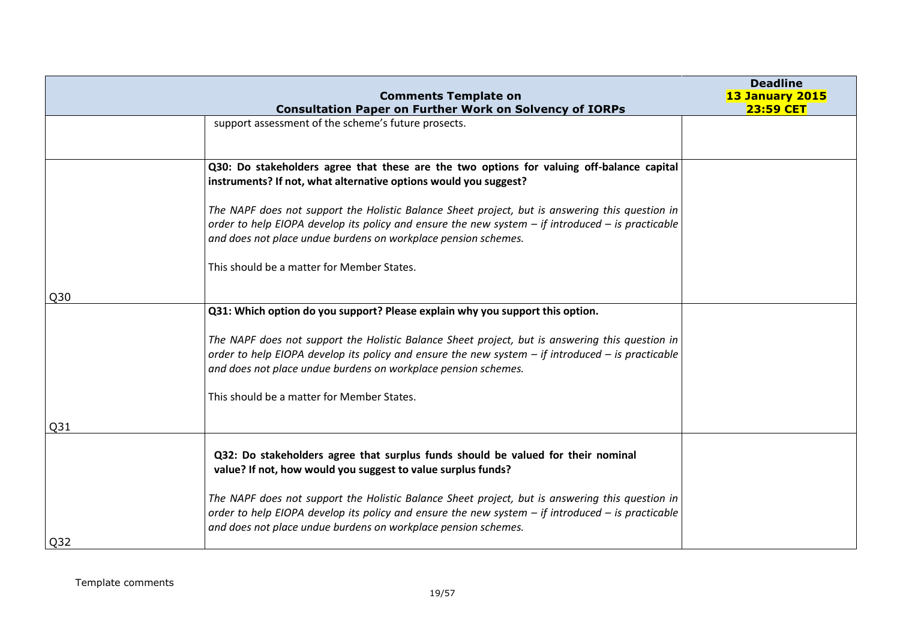|                 |                                                                                                                                                                                                                                                                                                                          | <b>Deadline</b>                            |
|-----------------|--------------------------------------------------------------------------------------------------------------------------------------------------------------------------------------------------------------------------------------------------------------------------------------------------------------------------|--------------------------------------------|
|                 | <b>Comments Template on</b><br><b>Consultation Paper on Further Work on Solvency of IORPs</b>                                                                                                                                                                                                                            | <b>13 January 2015</b><br><b>23:59 CET</b> |
|                 | support assessment of the scheme's future prosects.                                                                                                                                                                                                                                                                      |                                            |
|                 | Q30: Do stakeholders agree that these are the two options for valuing off-balance capital<br>instruments? If not, what alternative options would you suggest?                                                                                                                                                            |                                            |
|                 | The NAPF does not support the Holistic Balance Sheet project, but is answering this question in<br>order to help EIOPA develop its policy and ensure the new system $-$ if introduced $-$ is practicable<br>and does not place undue burdens on workplace pension schemes.                                               |                                            |
| Q <sub>30</sub> | This should be a matter for Member States.                                                                                                                                                                                                                                                                               |                                            |
|                 | Q31: Which option do you support? Please explain why you support this option.                                                                                                                                                                                                                                            |                                            |
|                 | The NAPF does not support the Holistic Balance Sheet project, but is answering this question in<br>order to help EIOPA develop its policy and ensure the new system $-$ if introduced $-$ is practicable<br>and does not place undue burdens on workplace pension schemes.<br>This should be a matter for Member States. |                                            |
| Q <sub>31</sub> |                                                                                                                                                                                                                                                                                                                          |                                            |
|                 | Q32: Do stakeholders agree that surplus funds should be valued for their nominal<br>value? If not, how would you suggest to value surplus funds?                                                                                                                                                                         |                                            |
|                 | The NAPF does not support the Holistic Balance Sheet project, but is answering this question in<br>order to help EIOPA develop its policy and ensure the new system $-$ if introduced $-$ is practicable<br>and does not place undue burdens on workplace pension schemes.                                               |                                            |
| Q <sub>32</sub> |                                                                                                                                                                                                                                                                                                                          |                                            |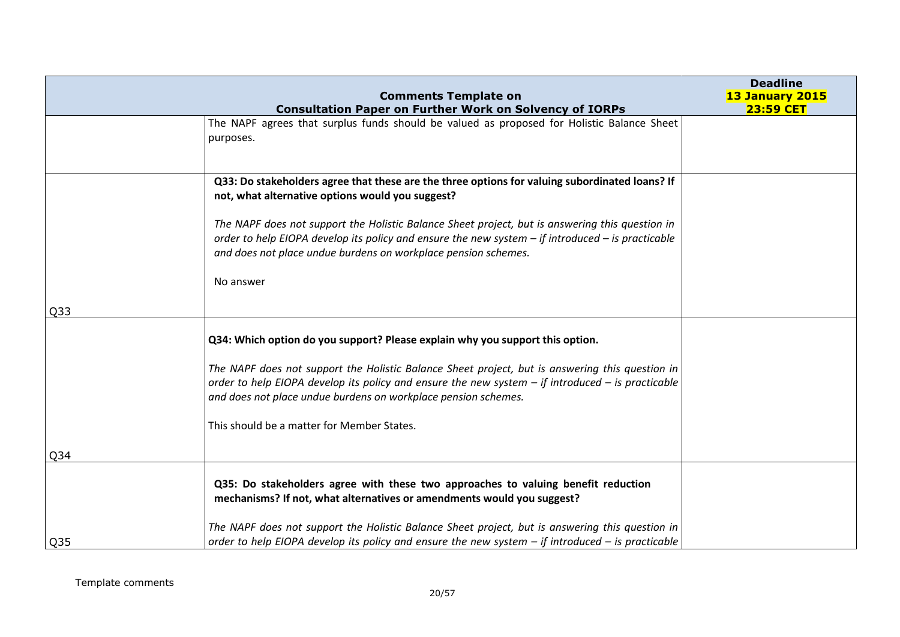|                 |                                                                                                                                                                                                                                                                                                                                                                                                                                  | <b>Deadline</b>                            |
|-----------------|----------------------------------------------------------------------------------------------------------------------------------------------------------------------------------------------------------------------------------------------------------------------------------------------------------------------------------------------------------------------------------------------------------------------------------|--------------------------------------------|
|                 | <b>Comments Template on</b><br><b>Consultation Paper on Further Work on Solvency of IORPs</b>                                                                                                                                                                                                                                                                                                                                    | <b>13 January 2015</b><br><b>23:59 CET</b> |
|                 | The NAPF agrees that surplus funds should be valued as proposed for Holistic Balance Sheet<br>purposes.                                                                                                                                                                                                                                                                                                                          |                                            |
|                 | Q33: Do stakeholders agree that these are the three options for valuing subordinated loans? If<br>not, what alternative options would you suggest?<br>The NAPF does not support the Holistic Balance Sheet project, but is answering this question in<br>order to help EIOPA develop its policy and ensure the new system $-$ if introduced $-$ is practicable<br>and does not place undue burdens on workplace pension schemes. |                                            |
| Q <sub>33</sub> | No answer                                                                                                                                                                                                                                                                                                                                                                                                                        |                                            |
|                 | Q34: Which option do you support? Please explain why you support this option.<br>The NAPF does not support the Holistic Balance Sheet project, but is answering this question in<br>order to help EIOPA develop its policy and ensure the new system $-$ if introduced $-$ is practicable<br>and does not place undue burdens on workplace pension schemes.<br>This should be a matter for Member States.                        |                                            |
| Q <sub>34</sub> |                                                                                                                                                                                                                                                                                                                                                                                                                                  |                                            |
|                 | Q35: Do stakeholders agree with these two approaches to valuing benefit reduction<br>mechanisms? If not, what alternatives or amendments would you suggest?<br>The NAPF does not support the Holistic Balance Sheet project, but is answering this question in                                                                                                                                                                   |                                            |
| Q <sub>35</sub> | order to help EIOPA develop its policy and ensure the new system $-$ if introduced $-$ is practicable                                                                                                                                                                                                                                                                                                                            |                                            |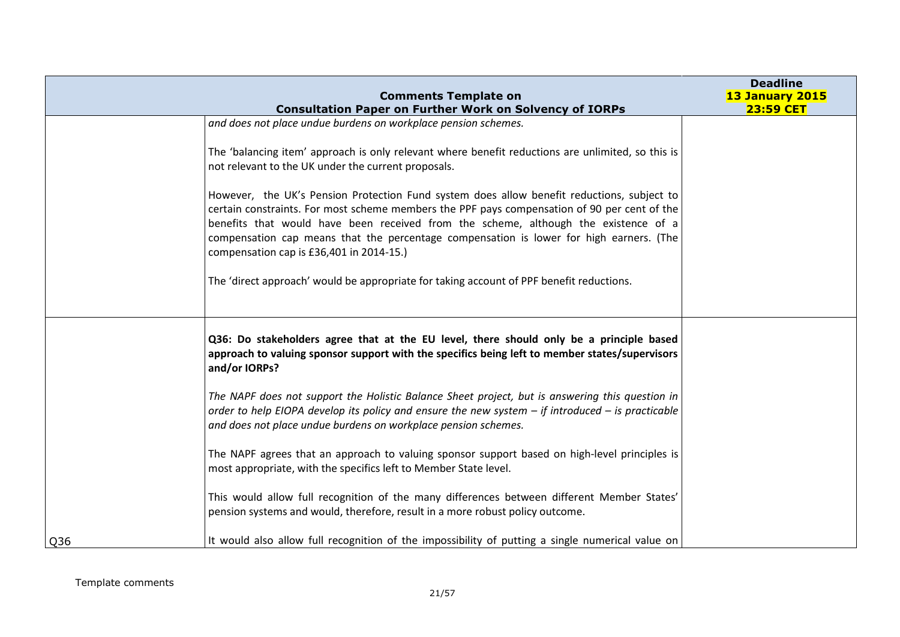|     | <b>Comments Template on</b><br><b>Consultation Paper on Further Work on Solvency of IORPs</b>                                                                                                                                                                                                                                                                                                                            | <b>Deadline</b><br><b>13 January 2015</b><br><b>23:59 CET</b> |
|-----|--------------------------------------------------------------------------------------------------------------------------------------------------------------------------------------------------------------------------------------------------------------------------------------------------------------------------------------------------------------------------------------------------------------------------|---------------------------------------------------------------|
|     | and does not place undue burdens on workplace pension schemes.                                                                                                                                                                                                                                                                                                                                                           |                                                               |
|     | The 'balancing item' approach is only relevant where benefit reductions are unlimited, so this is<br>not relevant to the UK under the current proposals.                                                                                                                                                                                                                                                                 |                                                               |
|     | However, the UK's Pension Protection Fund system does allow benefit reductions, subject to<br>certain constraints. For most scheme members the PPF pays compensation of 90 per cent of the<br>benefits that would have been received from the scheme, although the existence of a<br>compensation cap means that the percentage compensation is lower for high earners. (The<br>compensation cap is £36,401 in 2014-15.) |                                                               |
|     | The 'direct approach' would be appropriate for taking account of PPF benefit reductions.                                                                                                                                                                                                                                                                                                                                 |                                                               |
|     | Q36: Do stakeholders agree that at the EU level, there should only be a principle based<br>approach to valuing sponsor support with the specifics being left to member states/supervisors<br>and/or IORPs?                                                                                                                                                                                                               |                                                               |
|     | The NAPF does not support the Holistic Balance Sheet project, but is answering this question in<br>order to help EIOPA develop its policy and ensure the new system $-$ if introduced $-$ is practicable<br>and does not place undue burdens on workplace pension schemes.                                                                                                                                               |                                                               |
|     | The NAPF agrees that an approach to valuing sponsor support based on high-level principles is<br>most appropriate, with the specifics left to Member State level.                                                                                                                                                                                                                                                        |                                                               |
|     | This would allow full recognition of the many differences between different Member States'<br>pension systems and would, therefore, result in a more robust policy outcome.                                                                                                                                                                                                                                              |                                                               |
| Q36 | It would also allow full recognition of the impossibility of putting a single numerical value on                                                                                                                                                                                                                                                                                                                         |                                                               |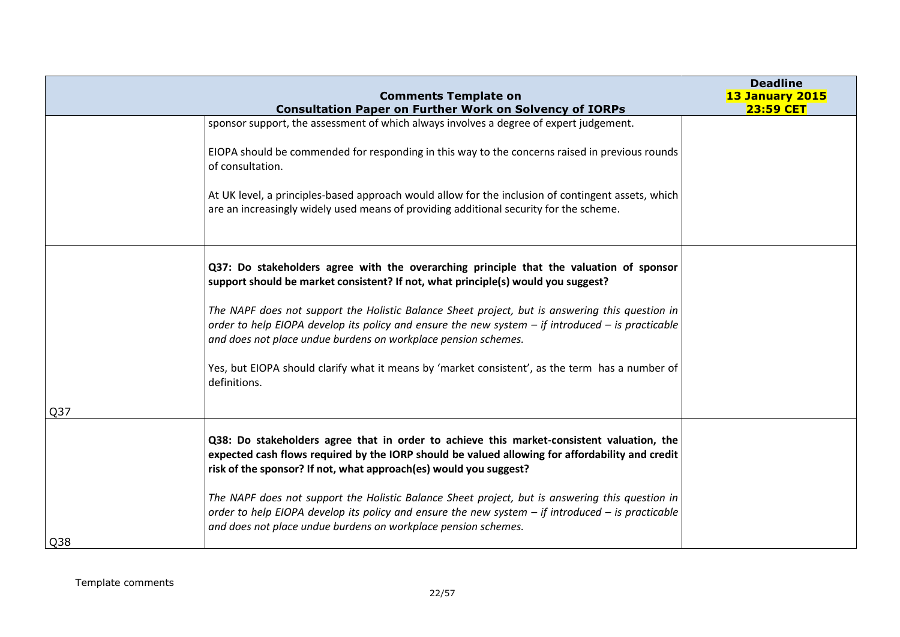|     | <b>Comments Template on</b>                                                                                                                                                                                                                                                | <b>Deadline</b><br>13 January 2015 |
|-----|----------------------------------------------------------------------------------------------------------------------------------------------------------------------------------------------------------------------------------------------------------------------------|------------------------------------|
|     | <b>Consultation Paper on Further Work on Solvency of IORPs</b>                                                                                                                                                                                                             | <b>23:59 CET</b>                   |
|     | sponsor support, the assessment of which always involves a degree of expert judgement.                                                                                                                                                                                     |                                    |
|     | EIOPA should be commended for responding in this way to the concerns raised in previous rounds<br>of consultation.                                                                                                                                                         |                                    |
|     | At UK level, a principles-based approach would allow for the inclusion of contingent assets, which<br>are an increasingly widely used means of providing additional security for the scheme.                                                                               |                                    |
|     | Q37: Do stakeholders agree with the overarching principle that the valuation of sponsor<br>support should be market consistent? If not, what principle(s) would you suggest?                                                                                               |                                    |
|     | The NAPF does not support the Holistic Balance Sheet project, but is answering this question in<br>order to help EIOPA develop its policy and ensure the new system $-$ if introduced $-$ is practicable<br>and does not place undue burdens on workplace pension schemes. |                                    |
|     | Yes, but EIOPA should clarify what it means by 'market consistent', as the term has a number of<br>definitions.                                                                                                                                                            |                                    |
| Q37 |                                                                                                                                                                                                                                                                            |                                    |
|     | Q38: Do stakeholders agree that in order to achieve this market-consistent valuation, the<br>expected cash flows required by the IORP should be valued allowing for affordability and credit<br>risk of the sponsor? If not, what approach(es) would you suggest?          |                                    |
| Q38 | The NAPF does not support the Holistic Balance Sheet project, but is answering this question in<br>order to help EIOPA develop its policy and ensure the new system $-$ if introduced $-$ is practicable<br>and does not place undue burdens on workplace pension schemes. |                                    |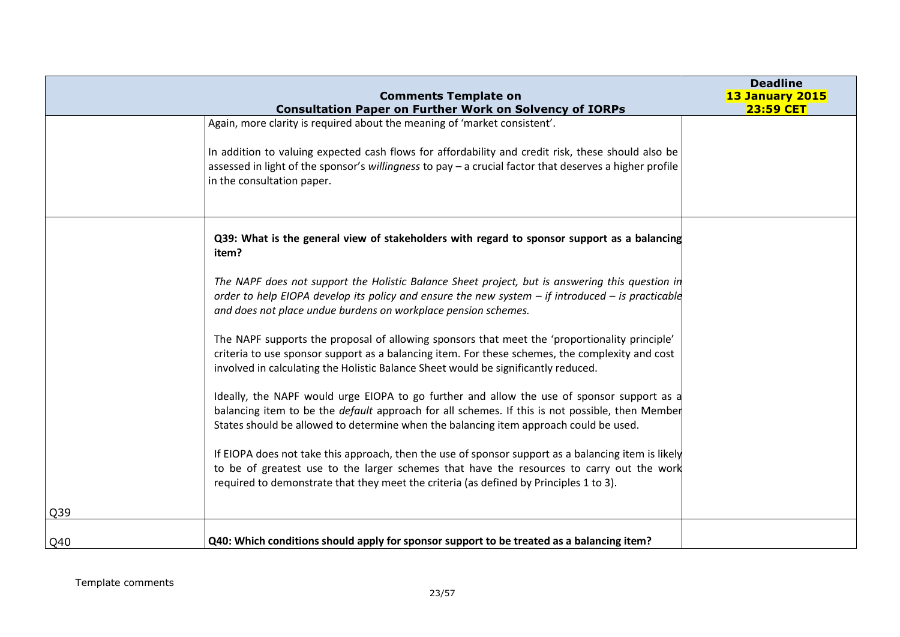|                 | <b>Comments Template on</b>                                                                                                                                                                                                                                                                   | <b>Deadline</b><br>13 January 2015 |
|-----------------|-----------------------------------------------------------------------------------------------------------------------------------------------------------------------------------------------------------------------------------------------------------------------------------------------|------------------------------------|
|                 | <b>Consultation Paper on Further Work on Solvency of IORPs</b>                                                                                                                                                                                                                                | <b>23:59 CET</b>                   |
|                 | Again, more clarity is required about the meaning of 'market consistent'.                                                                                                                                                                                                                     |                                    |
|                 | In addition to valuing expected cash flows for affordability and credit risk, these should also be<br>assessed in light of the sponsor's willingness to pay - a crucial factor that deserves a higher profile<br>in the consultation paper.                                                   |                                    |
|                 | Q39: What is the general view of stakeholders with regard to sponsor support as a balancing                                                                                                                                                                                                   |                                    |
|                 | item?                                                                                                                                                                                                                                                                                         |                                    |
|                 | The NAPF does not support the Holistic Balance Sheet project, but is answering this question in<br>order to help EIOPA develop its policy and ensure the new system $-$ if introduced $-$ is practicable<br>and does not place undue burdens on workplace pension schemes.                    |                                    |
|                 | The NAPF supports the proposal of allowing sponsors that meet the 'proportionality principle'<br>criteria to use sponsor support as a balancing item. For these schemes, the complexity and cost<br>involved in calculating the Holistic Balance Sheet would be significantly reduced.        |                                    |
|                 | Ideally, the NAPF would urge EIOPA to go further and allow the use of sponsor support as a<br>balancing item to be the <i>default</i> approach for all schemes. If this is not possible, then Member<br>States should be allowed to determine when the balancing item approach could be used. |                                    |
|                 | If EIOPA does not take this approach, then the use of sponsor support as a balancing item is likely<br>to be of greatest use to the larger schemes that have the resources to carry out the work<br>required to demonstrate that they meet the criteria (as defined by Principles 1 to 3).    |                                    |
| Q <sub>39</sub> |                                                                                                                                                                                                                                                                                               |                                    |
| Q40             | Q40: Which conditions should apply for sponsor support to be treated as a balancing item?                                                                                                                                                                                                     |                                    |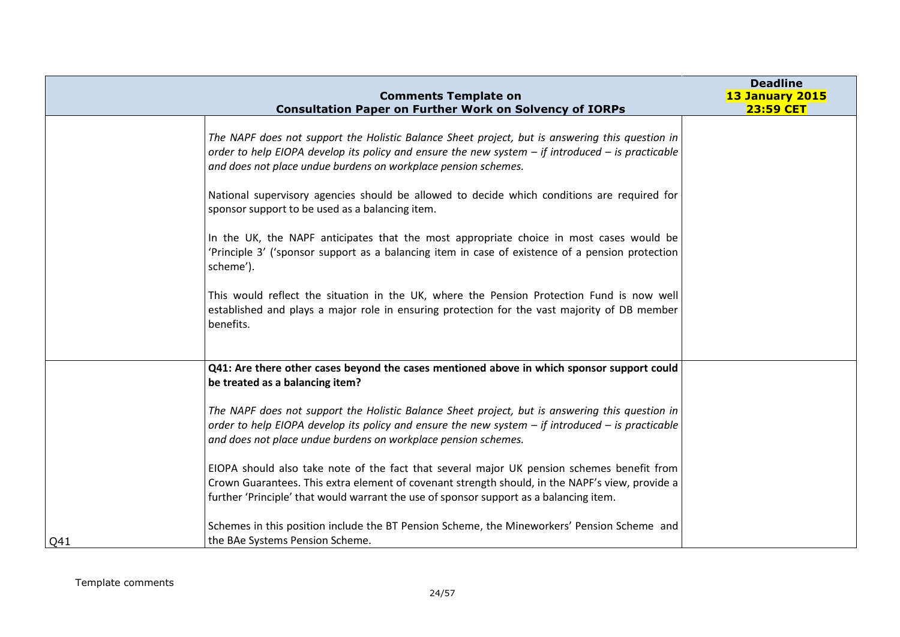|     | <b>Comments Template on</b>                                                                                                                                                                                                                                                                                                                                                                                                                                                                                                                                                                                                                                                                                                                                                                                                           | <b>Deadline</b><br>13 January 2015 |
|-----|---------------------------------------------------------------------------------------------------------------------------------------------------------------------------------------------------------------------------------------------------------------------------------------------------------------------------------------------------------------------------------------------------------------------------------------------------------------------------------------------------------------------------------------------------------------------------------------------------------------------------------------------------------------------------------------------------------------------------------------------------------------------------------------------------------------------------------------|------------------------------------|
|     | <b>Consultation Paper on Further Work on Solvency of IORPs</b>                                                                                                                                                                                                                                                                                                                                                                                                                                                                                                                                                                                                                                                                                                                                                                        | <b>23:59 CET</b>                   |
|     | The NAPF does not support the Holistic Balance Sheet project, but is answering this question in<br>order to help EIOPA develop its policy and ensure the new system $-$ if introduced $-$ is practicable<br>and does not place undue burdens on workplace pension schemes.<br>National supervisory agencies should be allowed to decide which conditions are required for<br>sponsor support to be used as a balancing item.<br>In the UK, the NAPF anticipates that the most appropriate choice in most cases would be<br>'Principle 3' ('sponsor support as a balancing item in case of existence of a pension protection<br>scheme').<br>This would reflect the situation in the UK, where the Pension Protection Fund is now well<br>established and plays a major role in ensuring protection for the vast majority of DB member |                                    |
|     | benefits.                                                                                                                                                                                                                                                                                                                                                                                                                                                                                                                                                                                                                                                                                                                                                                                                                             |                                    |
|     | Q41: Are there other cases beyond the cases mentioned above in which sponsor support could<br>be treated as a balancing item?                                                                                                                                                                                                                                                                                                                                                                                                                                                                                                                                                                                                                                                                                                         |                                    |
|     | The NAPF does not support the Holistic Balance Sheet project, but is answering this question in<br>order to help EIOPA develop its policy and ensure the new system $-$ if introduced $-$ is practicable<br>and does not place undue burdens on workplace pension schemes.                                                                                                                                                                                                                                                                                                                                                                                                                                                                                                                                                            |                                    |
|     | EIOPA should also take note of the fact that several major UK pension schemes benefit from<br>Crown Guarantees. This extra element of covenant strength should, in the NAPF's view, provide a<br>further 'Principle' that would warrant the use of sponsor support as a balancing item.                                                                                                                                                                                                                                                                                                                                                                                                                                                                                                                                               |                                    |
| Q41 | Schemes in this position include the BT Pension Scheme, the Mineworkers' Pension Scheme and<br>the BAe Systems Pension Scheme.                                                                                                                                                                                                                                                                                                                                                                                                                                                                                                                                                                                                                                                                                                        |                                    |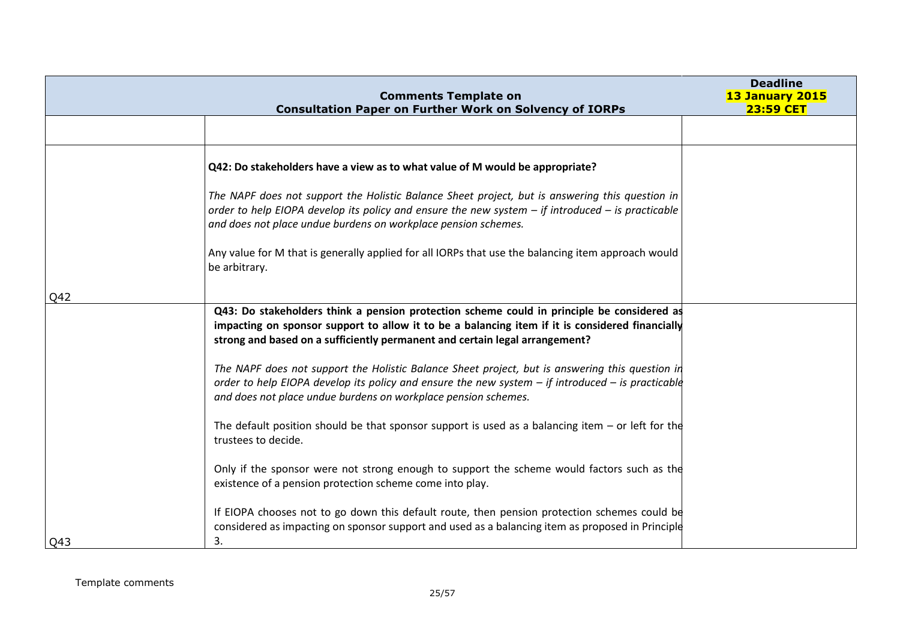|                  | <b>Comments Template on</b>                                                                                                                                                                                                                                                  | <b>Deadline</b><br>13 January 2015 |
|------------------|------------------------------------------------------------------------------------------------------------------------------------------------------------------------------------------------------------------------------------------------------------------------------|------------------------------------|
|                  | <b>Consultation Paper on Further Work on Solvency of IORPs</b>                                                                                                                                                                                                               | <b>23:59 CET</b>                   |
|                  |                                                                                                                                                                                                                                                                              |                                    |
|                  | Q42: Do stakeholders have a view as to what value of M would be appropriate?                                                                                                                                                                                                 |                                    |
|                  | The NAPF does not support the Holistic Balance Sheet project, but is answering this question in<br>order to help EIOPA develop its policy and ensure the new system $-$ if introduced $-$ is practicable<br>and does not place undue burdens on workplace pension schemes.   |                                    |
|                  | Any value for M that is generally applied for all IORPs that use the balancing item approach would<br>be arbitrary.                                                                                                                                                          |                                    |
| Q42              |                                                                                                                                                                                                                                                                              |                                    |
|                  | Q43: Do stakeholders think a pension protection scheme could in principle be considered as<br>impacting on sponsor support to allow it to be a balancing item if it is considered financially<br>strong and based on a sufficiently permanent and certain legal arrangement? |                                    |
|                  | The NAPF does not support the Holistic Balance Sheet project, but is answering this question in<br>order to help EIOPA develop its policy and ensure the new system $-$ if introduced $-$ is practicable<br>and does not place undue burdens on workplace pension schemes.   |                                    |
|                  | The default position should be that sponsor support is used as a balancing item $-$ or left for the<br>trustees to decide.                                                                                                                                                   |                                    |
|                  | Only if the sponsor were not strong enough to support the scheme would factors such as the<br>existence of a pension protection scheme come into play.                                                                                                                       |                                    |
| $\overline{Q43}$ | If EIOPA chooses not to go down this default route, then pension protection schemes could be<br>considered as impacting on sponsor support and used as a balancing item as proposed in Principle<br>3.                                                                       |                                    |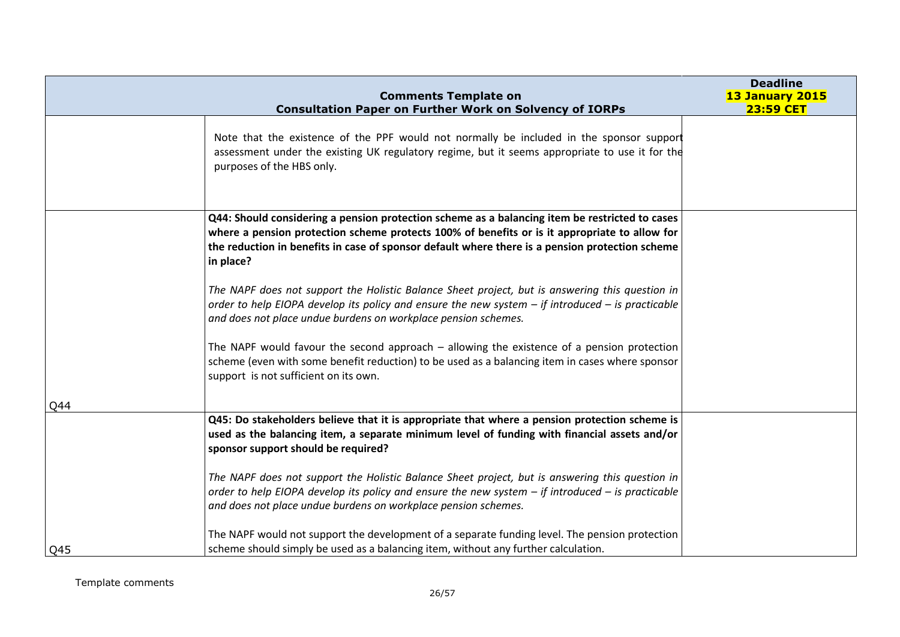|     |                                                                                                                                                                                                                                                                                                                 | <b>Deadline</b>  |
|-----|-----------------------------------------------------------------------------------------------------------------------------------------------------------------------------------------------------------------------------------------------------------------------------------------------------------------|------------------|
|     | <b>Comments Template on</b>                                                                                                                                                                                                                                                                                     | 13 January 2015  |
|     | <b>Consultation Paper on Further Work on Solvency of IORPs</b>                                                                                                                                                                                                                                                  | <b>23:59 CET</b> |
|     | Note that the existence of the PPF would not normally be included in the sponsor support<br>assessment under the existing UK regulatory regime, but it seems appropriate to use it for the<br>purposes of the HBS only.                                                                                         |                  |
|     | Q44: Should considering a pension protection scheme as a balancing item be restricted to cases<br>where a pension protection scheme protects 100% of benefits or is it appropriate to allow for<br>the reduction in benefits in case of sponsor default where there is a pension protection scheme<br>in place? |                  |
|     | The NAPF does not support the Holistic Balance Sheet project, but is answering this question in<br>order to help EIOPA develop its policy and ensure the new system $-$ if introduced $-$ is practicable<br>and does not place undue burdens on workplace pension schemes.                                      |                  |
|     | The NAPF would favour the second approach $-$ allowing the existence of a pension protection<br>scheme (even with some benefit reduction) to be used as a balancing item in cases where sponsor<br>support is not sufficient on its own.                                                                        |                  |
| Q44 |                                                                                                                                                                                                                                                                                                                 |                  |
|     | Q45: Do stakeholders believe that it is appropriate that where a pension protection scheme is<br>used as the balancing item, a separate minimum level of funding with financial assets and/or<br>sponsor support should be required?                                                                            |                  |
|     | The NAPF does not support the Holistic Balance Sheet project, but is answering this question in<br>order to help EIOPA develop its policy and ensure the new system $-$ if introduced $-$ is practicable<br>and does not place undue burdens on workplace pension schemes.                                      |                  |
| Q45 | The NAPF would not support the development of a separate funding level. The pension protection<br>scheme should simply be used as a balancing item, without any further calculation.                                                                                                                            |                  |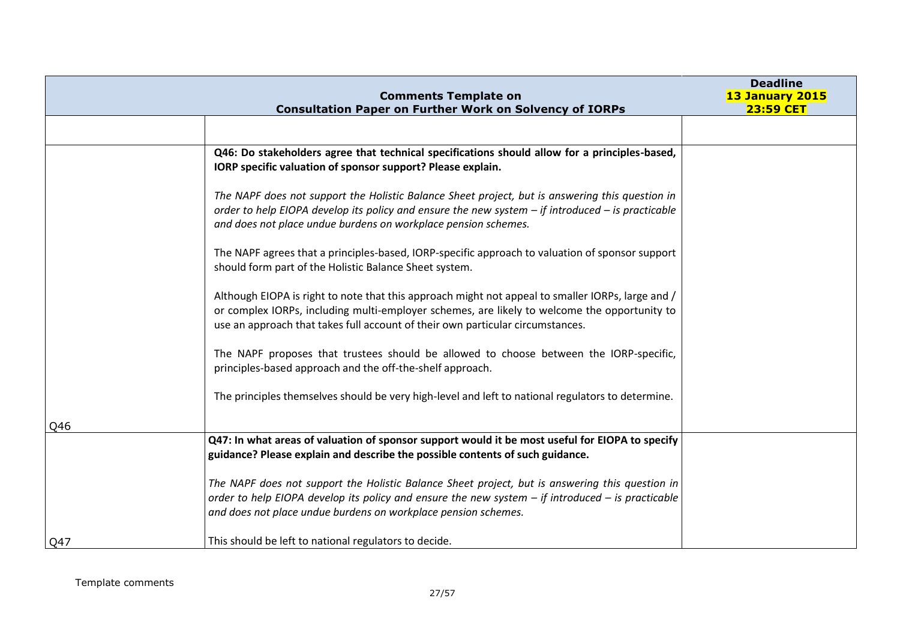|     | <b>Comments Template on</b>                                                                                                                                                                                                                                                         | <b>Deadline</b><br>13 January 2015 |
|-----|-------------------------------------------------------------------------------------------------------------------------------------------------------------------------------------------------------------------------------------------------------------------------------------|------------------------------------|
|     | <b>Consultation Paper on Further Work on Solvency of IORPs</b>                                                                                                                                                                                                                      | <b>23:59 CET</b>                   |
|     |                                                                                                                                                                                                                                                                                     |                                    |
|     | Q46: Do stakeholders agree that technical specifications should allow for a principles-based,<br>IORP specific valuation of sponsor support? Please explain.                                                                                                                        |                                    |
|     | The NAPF does not support the Holistic Balance Sheet project, but is answering this question in<br>order to help EIOPA develop its policy and ensure the new system $-i$ f introduced $-i$ is practicable<br>and does not place undue burdens on workplace pension schemes.         |                                    |
|     | The NAPF agrees that a principles-based, IORP-specific approach to valuation of sponsor support<br>should form part of the Holistic Balance Sheet system.                                                                                                                           |                                    |
|     | Although EIOPA is right to note that this approach might not appeal to smaller IORPs, large and /<br>or complex IORPs, including multi-employer schemes, are likely to welcome the opportunity to<br>use an approach that takes full account of their own particular circumstances. |                                    |
|     | The NAPF proposes that trustees should be allowed to choose between the IORP-specific,<br>principles-based approach and the off-the-shelf approach.                                                                                                                                 |                                    |
|     | The principles themselves should be very high-level and left to national regulators to determine.                                                                                                                                                                                   |                                    |
| Q46 |                                                                                                                                                                                                                                                                                     |                                    |
|     | Q47: In what areas of valuation of sponsor support would it be most useful for EIOPA to specify<br>guidance? Please explain and describe the possible contents of such guidance.                                                                                                    |                                    |
|     | The NAPF does not support the Holistic Balance Sheet project, but is answering this question in<br>order to help EIOPA develop its policy and ensure the new system $-$ if introduced $-$ is practicable<br>and does not place undue burdens on workplace pension schemes.          |                                    |
| Q47 | This should be left to national regulators to decide.                                                                                                                                                                                                                               |                                    |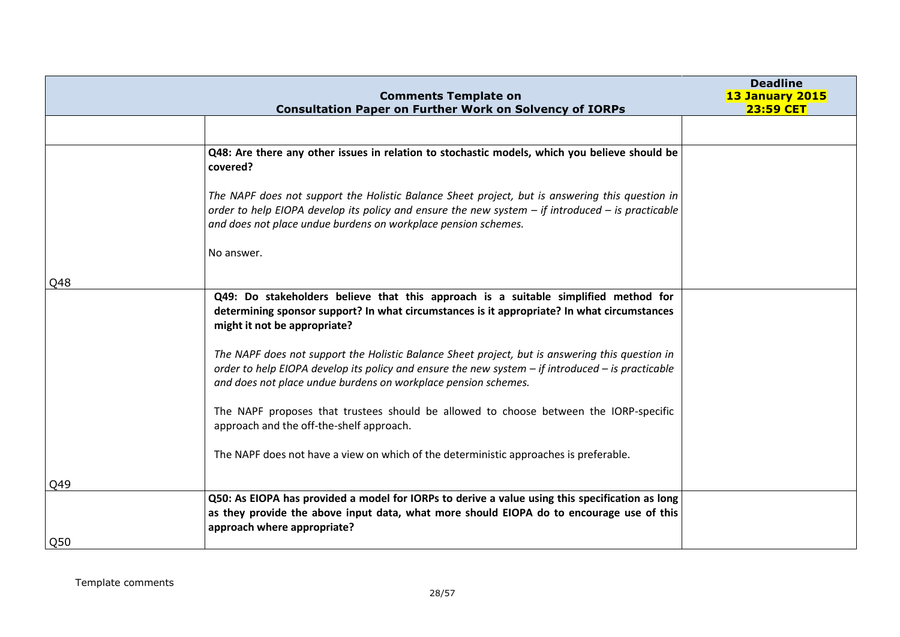|                  | <b>Comments Template on</b>                                                                                                                                                                                                                                                | <b>Deadline</b><br>13 January 2015 |
|------------------|----------------------------------------------------------------------------------------------------------------------------------------------------------------------------------------------------------------------------------------------------------------------------|------------------------------------|
|                  | <b>Consultation Paper on Further Work on Solvency of IORPs</b>                                                                                                                                                                                                             | <b>23:59 CET</b>                   |
|                  |                                                                                                                                                                                                                                                                            |                                    |
|                  | Q48: Are there any other issues in relation to stochastic models, which you believe should be<br>covered?                                                                                                                                                                  |                                    |
|                  | The NAPF does not support the Holistic Balance Sheet project, but is answering this question in<br>order to help EIOPA develop its policy and ensure the new system $-$ if introduced $-$ is practicable<br>and does not place undue burdens on workplace pension schemes. |                                    |
|                  | No answer.                                                                                                                                                                                                                                                                 |                                    |
| Q48              |                                                                                                                                                                                                                                                                            |                                    |
|                  | Q49: Do stakeholders believe that this approach is a suitable simplified method for<br>determining sponsor support? In what circumstances is it appropriate? In what circumstances<br>might it not be appropriate?                                                         |                                    |
|                  | The NAPF does not support the Holistic Balance Sheet project, but is answering this question in<br>order to help EIOPA develop its policy and ensure the new system $-$ if introduced $-$ is practicable<br>and does not place undue burdens on workplace pension schemes. |                                    |
|                  | The NAPF proposes that trustees should be allowed to choose between the IORP-specific<br>approach and the off-the-shelf approach.                                                                                                                                          |                                    |
|                  | The NAPF does not have a view on which of the deterministic approaches is preferable.                                                                                                                                                                                      |                                    |
| Q49              |                                                                                                                                                                                                                                                                            |                                    |
|                  | Q50: As EIOPA has provided a model for IORPs to derive a value using this specification as long<br>as they provide the above input data, what more should EIOPA do to encourage use of this<br>approach where appropriate?                                                 |                                    |
| $\overline{Q50}$ |                                                                                                                                                                                                                                                                            |                                    |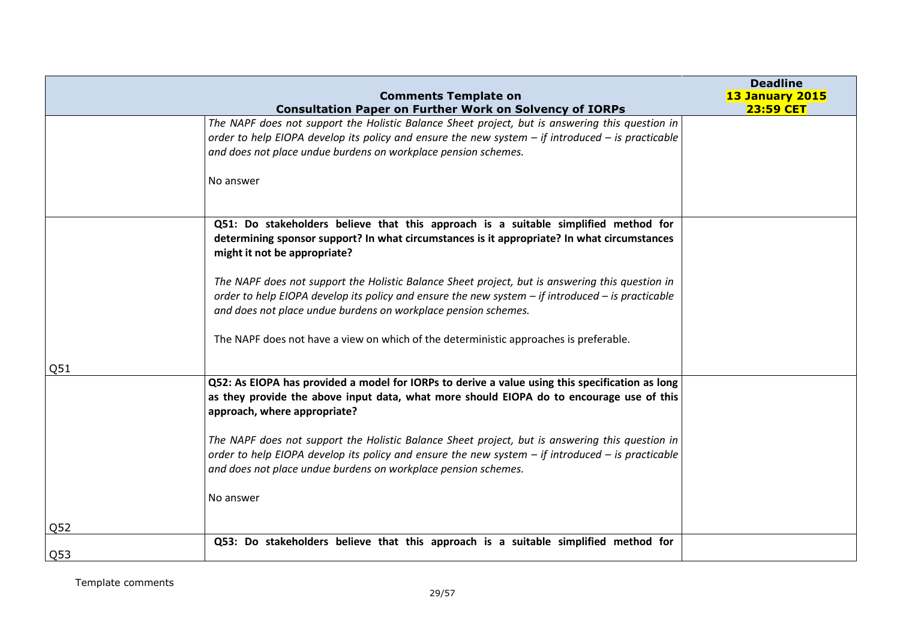|                 |                                                                                                                                                                                                                                                                                         | <b>Deadline</b>                     |
|-----------------|-----------------------------------------------------------------------------------------------------------------------------------------------------------------------------------------------------------------------------------------------------------------------------------------|-------------------------------------|
|                 | <b>Comments Template on</b><br><b>Consultation Paper on Further Work on Solvency of IORPs</b>                                                                                                                                                                                           | 13 January 2015<br><b>23:59 CET</b> |
|                 | The NAPF does not support the Holistic Balance Sheet project, but is answering this question in<br>order to help EIOPA develop its policy and ensure the new system $-$ if introduced $-$ is practicable<br>and does not place undue burdens on workplace pension schemes.<br>No answer |                                     |
|                 | Q51: Do stakeholders believe that this approach is a suitable simplified method for<br>determining sponsor support? In what circumstances is it appropriate? In what circumstances<br>might it not be appropriate?                                                                      |                                     |
|                 | The NAPF does not support the Holistic Balance Sheet project, but is answering this question in<br>order to help EIOPA develop its policy and ensure the new system $-$ if introduced $-$ is practicable<br>and does not place undue burdens on workplace pension schemes.              |                                     |
| Q51             | The NAPF does not have a view on which of the deterministic approaches is preferable.                                                                                                                                                                                                   |                                     |
|                 | Q52: As EIOPA has provided a model for IORPs to derive a value using this specification as long<br>as they provide the above input data, what more should EIOPA do to encourage use of this<br>approach, where appropriate?                                                             |                                     |
|                 | The NAPF does not support the Holistic Balance Sheet project, but is answering this question in<br>order to help EIOPA develop its policy and ensure the new system $-$ if introduced $-$ is practicable<br>and does not place undue burdens on workplace pension schemes.              |                                     |
|                 | No answer                                                                                                                                                                                                                                                                               |                                     |
| Q52             | Q53: Do stakeholders believe that this approach is a suitable simplified method for                                                                                                                                                                                                     |                                     |
| Q <sub>53</sub> |                                                                                                                                                                                                                                                                                         |                                     |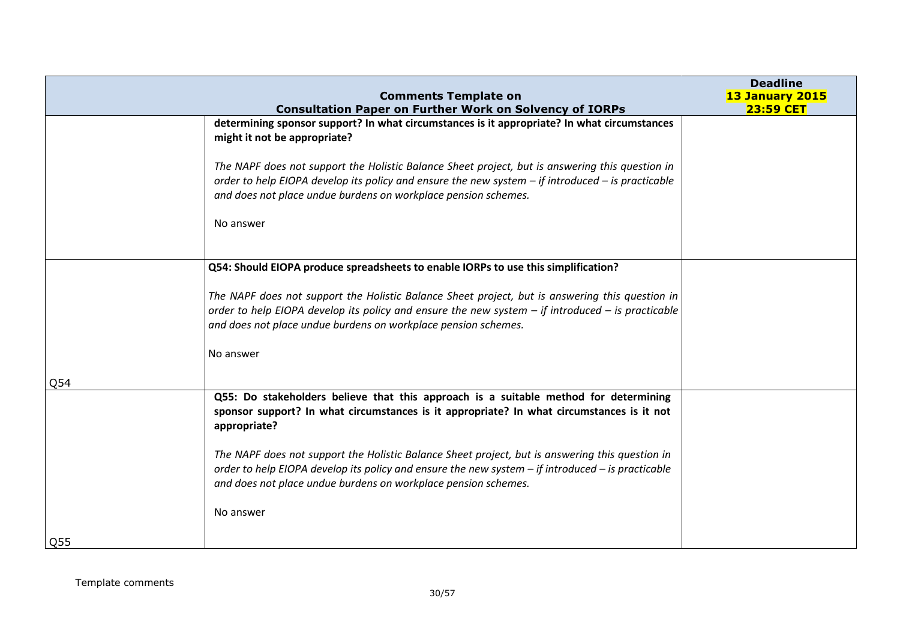|     |                                                                                                                                                                                                                                                                             | <b>Deadline</b>  |
|-----|-----------------------------------------------------------------------------------------------------------------------------------------------------------------------------------------------------------------------------------------------------------------------------|------------------|
|     | <b>Comments Template on</b>                                                                                                                                                                                                                                                 | 13 January 2015  |
|     | <b>Consultation Paper on Further Work on Solvency of IORPs</b>                                                                                                                                                                                                              | <b>23:59 CET</b> |
|     | determining sponsor support? In what circumstances is it appropriate? In what circumstances<br>might it not be appropriate?                                                                                                                                                 |                  |
|     | The NAPF does not support the Holistic Balance Sheet project, but is answering this question in<br>order to help EIOPA develop its policy and ensure the new system $-$ if introduced $-$ is practicable<br>and does not place undue burdens on workplace pension schemes.  |                  |
|     | No answer                                                                                                                                                                                                                                                                   |                  |
|     | Q54: Should EIOPA produce spreadsheets to enable IORPs to use this simplification?                                                                                                                                                                                          |                  |
|     | The NAPF does not support the Holistic Balance Sheet project, but is answering this question in<br>order to help EIOPA develop its policy and ensure the new system $-$ if introduced $-$ is practicable<br>and does not place undue burdens on workplace pension schemes.  |                  |
|     | No answer                                                                                                                                                                                                                                                                   |                  |
| Q54 |                                                                                                                                                                                                                                                                             |                  |
|     | Q55: Do stakeholders believe that this approach is a suitable method for determining<br>sponsor support? In what circumstances is it appropriate? In what circumstances is it not<br>appropriate?                                                                           |                  |
|     | The NAPF does not support the Holistic Balance Sheet project, but is answering this question in<br>order to help EIOPA develop its policy and ensure the new system $-i$ f introduced $-i$ is practicable<br>and does not place undue burdens on workplace pension schemes. |                  |
|     | No answer                                                                                                                                                                                                                                                                   |                  |
| Q55 |                                                                                                                                                                                                                                                                             |                  |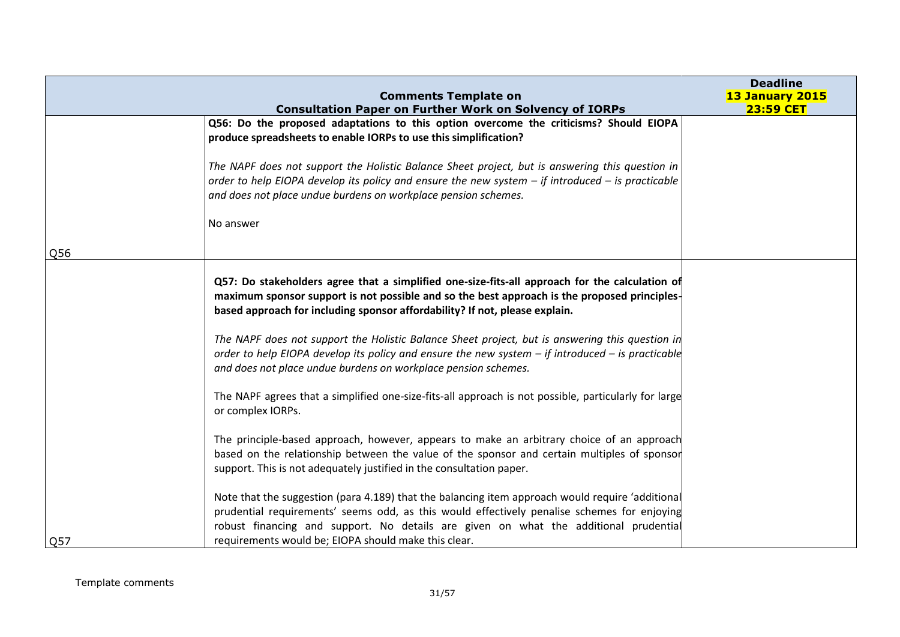|     | <b>Comments Template on</b>                                                                                                                                                                                                                                                                                                                                                                                                                                                                                                                                                                                                                                                              | <b>Deadline</b><br>13 January 2015 |
|-----|------------------------------------------------------------------------------------------------------------------------------------------------------------------------------------------------------------------------------------------------------------------------------------------------------------------------------------------------------------------------------------------------------------------------------------------------------------------------------------------------------------------------------------------------------------------------------------------------------------------------------------------------------------------------------------------|------------------------------------|
|     | <b>Consultation Paper on Further Work on Solvency of IORPs</b><br>Q56: Do the proposed adaptations to this option overcome the criticisms? Should EIOPA<br>produce spreadsheets to enable IORPs to use this simplification?<br>The NAPF does not support the Holistic Balance Sheet project, but is answering this question in<br>order to help EIOPA develop its policy and ensure the new system $-$ if introduced $-$ is practicable<br>and does not place undue burdens on workplace pension schemes.<br>No answer                                                                                                                                                                   | <b>23:59 CET</b>                   |
| Q56 |                                                                                                                                                                                                                                                                                                                                                                                                                                                                                                                                                                                                                                                                                          |                                    |
|     | Q57: Do stakeholders agree that a simplified one-size-fits-all approach for the calculation of<br>maximum sponsor support is not possible and so the best approach is the proposed principles-<br>based approach for including sponsor affordability? If not, please explain.<br>The NAPF does not support the Holistic Balance Sheet project, but is answering this question in<br>order to help EIOPA develop its policy and ensure the new system $-$ if introduced $-$ is practicable<br>and does not place undue burdens on workplace pension schemes.<br>The NAPF agrees that a simplified one-size-fits-all approach is not possible, particularly for large<br>or complex IORPs. |                                    |
|     | The principle-based approach, however, appears to make an arbitrary choice of an approach<br>based on the relationship between the value of the sponsor and certain multiples of sponsor<br>support. This is not adequately justified in the consultation paper.                                                                                                                                                                                                                                                                                                                                                                                                                         |                                    |
| Q57 | Note that the suggestion (para 4.189) that the balancing item approach would require 'additional<br>prudential requirements' seems odd, as this would effectively penalise schemes for enjoying<br>robust financing and support. No details are given on what the additional prudential<br>requirements would be; EIOPA should make this clear.                                                                                                                                                                                                                                                                                                                                          |                                    |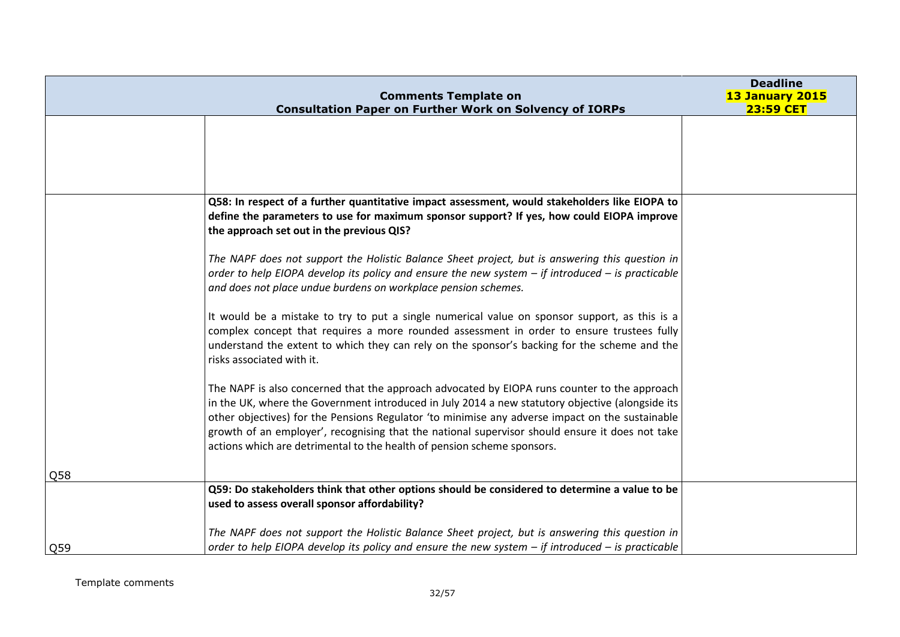|     | <b>Comments Template on</b>                                                                                                                                                                                                                                                                                                                                                                                                                                                       | <b>Deadline</b><br>13 January 2015 |
|-----|-----------------------------------------------------------------------------------------------------------------------------------------------------------------------------------------------------------------------------------------------------------------------------------------------------------------------------------------------------------------------------------------------------------------------------------------------------------------------------------|------------------------------------|
|     | <b>Consultation Paper on Further Work on Solvency of IORPs</b>                                                                                                                                                                                                                                                                                                                                                                                                                    | <b>23:59 CET</b>                   |
|     | Q58: In respect of a further quantitative impact assessment, would stakeholders like EIOPA to                                                                                                                                                                                                                                                                                                                                                                                     |                                    |
|     | define the parameters to use for maximum sponsor support? If yes, how could EIOPA improve<br>the approach set out in the previous QIS?                                                                                                                                                                                                                                                                                                                                            |                                    |
|     | The NAPF does not support the Holistic Balance Sheet project, but is answering this question in<br>order to help EIOPA develop its policy and ensure the new system $-$ if introduced $-$ is practicable<br>and does not place undue burdens on workplace pension schemes.                                                                                                                                                                                                        |                                    |
|     | It would be a mistake to try to put a single numerical value on sponsor support, as this is a<br>complex concept that requires a more rounded assessment in order to ensure trustees fully<br>understand the extent to which they can rely on the sponsor's backing for the scheme and the<br>risks associated with it.                                                                                                                                                           |                                    |
|     | The NAPF is also concerned that the approach advocated by EIOPA runs counter to the approach<br>in the UK, where the Government introduced in July 2014 a new statutory objective (alongside its<br>other objectives) for the Pensions Regulator 'to minimise any adverse impact on the sustainable<br>growth of an employer', recognising that the national supervisor should ensure it does not take<br>actions which are detrimental to the health of pension scheme sponsors. |                                    |
| Q58 |                                                                                                                                                                                                                                                                                                                                                                                                                                                                                   |                                    |
|     | Q59: Do stakeholders think that other options should be considered to determine a value to be<br>used to assess overall sponsor affordability?                                                                                                                                                                                                                                                                                                                                    |                                    |
| Q59 | The NAPF does not support the Holistic Balance Sheet project, but is answering this question in<br>order to help EIOPA develop its policy and ensure the new system $-$ if introduced $-$ is practicable                                                                                                                                                                                                                                                                          |                                    |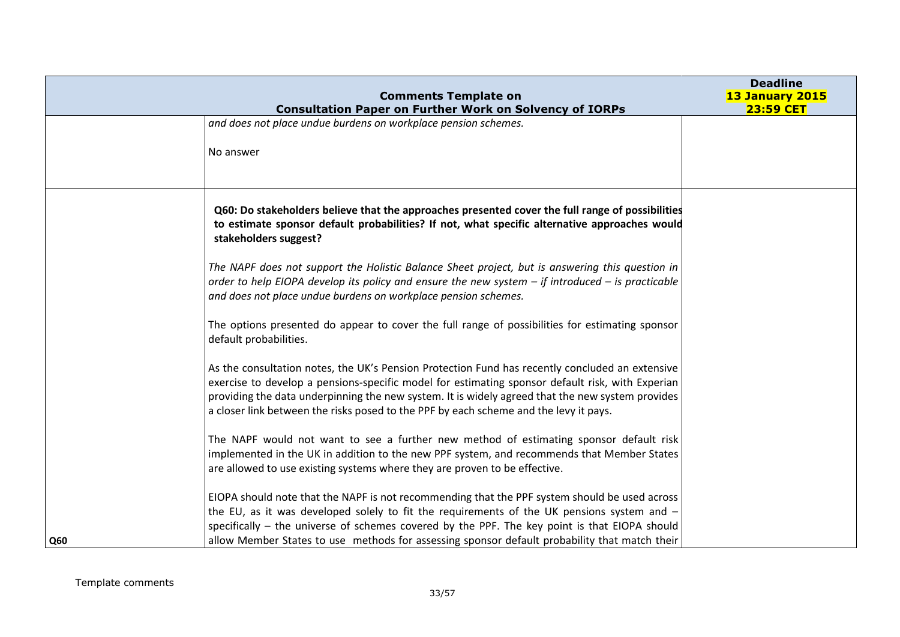|     | <b>Comments Template on</b><br><b>Consultation Paper on Further Work on Solvency of IORPs</b>                                                                                                                                                                                                                                                                                                    | <b>Deadline</b><br><b>13 January 2015</b><br><b>23:59 CET</b> |
|-----|--------------------------------------------------------------------------------------------------------------------------------------------------------------------------------------------------------------------------------------------------------------------------------------------------------------------------------------------------------------------------------------------------|---------------------------------------------------------------|
|     | and does not place undue burdens on workplace pension schemes.                                                                                                                                                                                                                                                                                                                                   |                                                               |
|     | No answer                                                                                                                                                                                                                                                                                                                                                                                        |                                                               |
|     | Q60: Do stakeholders believe that the approaches presented cover the full range of possibilities<br>to estimate sponsor default probabilities? If not, what specific alternative approaches would<br>stakeholders suggest?                                                                                                                                                                       |                                                               |
|     | The NAPF does not support the Holistic Balance Sheet project, but is answering this question in<br>order to help EIOPA develop its policy and ensure the new system $-$ if introduced $-$ is practicable<br>and does not place undue burdens on workplace pension schemes.                                                                                                                       |                                                               |
|     | The options presented do appear to cover the full range of possibilities for estimating sponsor<br>default probabilities.                                                                                                                                                                                                                                                                        |                                                               |
|     | As the consultation notes, the UK's Pension Protection Fund has recently concluded an extensive<br>exercise to develop a pensions-specific model for estimating sponsor default risk, with Experian<br>providing the data underpinning the new system. It is widely agreed that the new system provides<br>a closer link between the risks posed to the PPF by each scheme and the levy it pays. |                                                               |
|     | The NAPF would not want to see a further new method of estimating sponsor default risk<br>implemented in the UK in addition to the new PPF system, and recommends that Member States<br>are allowed to use existing systems where they are proven to be effective.                                                                                                                               |                                                               |
| Q60 | EIOPA should note that the NAPF is not recommending that the PPF system should be used across<br>the EU, as it was developed solely to fit the requirements of the UK pensions system and $-$<br>specifically - the universe of schemes covered by the PPF. The key point is that EIOPA should<br>allow Member States to use methods for assessing sponsor default probability that match their  |                                                               |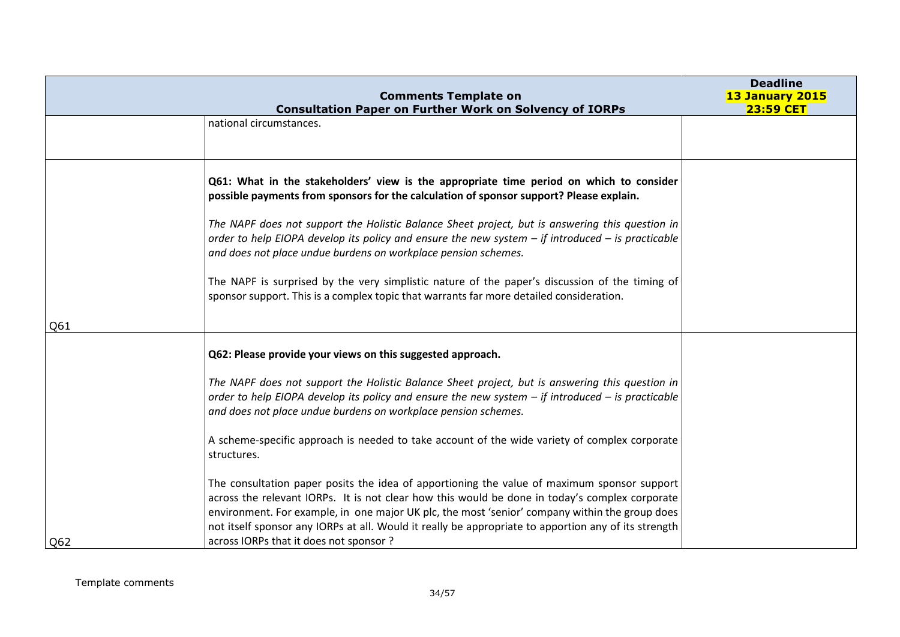|     | <b>Comments Template on</b><br><b>Consultation Paper on Further Work on Solvency of IORPs</b>                                                                                                                                                                                                                                                                                                                                                     | <b>Deadline</b><br><b>13 January 2015</b><br><b>23:59 CET</b> |
|-----|---------------------------------------------------------------------------------------------------------------------------------------------------------------------------------------------------------------------------------------------------------------------------------------------------------------------------------------------------------------------------------------------------------------------------------------------------|---------------------------------------------------------------|
|     | national circumstances.                                                                                                                                                                                                                                                                                                                                                                                                                           |                                                               |
|     | Q61: What in the stakeholders' view is the appropriate time period on which to consider<br>possible payments from sponsors for the calculation of sponsor support? Please explain.                                                                                                                                                                                                                                                                |                                                               |
|     | The NAPF does not support the Holistic Balance Sheet project, but is answering this question in<br>order to help EIOPA develop its policy and ensure the new system $-$ if introduced $-$ is practicable<br>and does not place undue burdens on workplace pension schemes.                                                                                                                                                                        |                                                               |
|     | The NAPF is surprised by the very simplistic nature of the paper's discussion of the timing of<br>sponsor support. This is a complex topic that warrants far more detailed consideration.                                                                                                                                                                                                                                                         |                                                               |
| Q61 |                                                                                                                                                                                                                                                                                                                                                                                                                                                   |                                                               |
|     | Q62: Please provide your views on this suggested approach.                                                                                                                                                                                                                                                                                                                                                                                        |                                                               |
|     | The NAPF does not support the Holistic Balance Sheet project, but is answering this question in<br>order to help EIOPA develop its policy and ensure the new system $-$ if introduced $-$ is practicable<br>and does not place undue burdens on workplace pension schemes.                                                                                                                                                                        |                                                               |
|     | A scheme-specific approach is needed to take account of the wide variety of complex corporate<br>structures.                                                                                                                                                                                                                                                                                                                                      |                                                               |
| Q62 | The consultation paper posits the idea of apportioning the value of maximum sponsor support<br>across the relevant IORPs. It is not clear how this would be done in today's complex corporate<br>environment. For example, in one major UK plc, the most 'senior' company within the group does<br>not itself sponsor any IORPs at all. Would it really be appropriate to apportion any of its strength<br>across IORPs that it does not sponsor? |                                                               |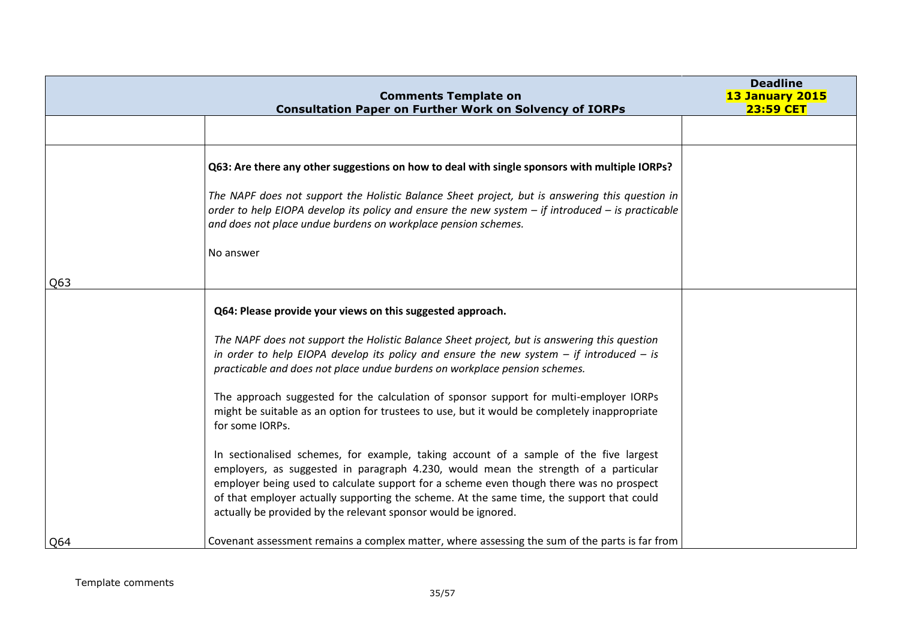|     | <b>Comments Template on</b><br><b>Consultation Paper on Further Work on Solvency of IORPs</b>                                                                                                                                                                                                                                                                                                                                                                                                                                                                                                                                                                                                                                                                                                                                                                                                                                                                                                   | <b>Deadline</b><br><b>13 January 2015</b><br><b>23:59 CET</b> |
|-----|-------------------------------------------------------------------------------------------------------------------------------------------------------------------------------------------------------------------------------------------------------------------------------------------------------------------------------------------------------------------------------------------------------------------------------------------------------------------------------------------------------------------------------------------------------------------------------------------------------------------------------------------------------------------------------------------------------------------------------------------------------------------------------------------------------------------------------------------------------------------------------------------------------------------------------------------------------------------------------------------------|---------------------------------------------------------------|
|     |                                                                                                                                                                                                                                                                                                                                                                                                                                                                                                                                                                                                                                                                                                                                                                                                                                                                                                                                                                                                 |                                                               |
| Q63 | Q63: Are there any other suggestions on how to deal with single sponsors with multiple IORPs?<br>The NAPF does not support the Holistic Balance Sheet project, but is answering this question in<br>order to help EIOPA develop its policy and ensure the new system $-$ if introduced $-$ is practicable<br>and does not place undue burdens on workplace pension schemes.<br>No answer                                                                                                                                                                                                                                                                                                                                                                                                                                                                                                                                                                                                        |                                                               |
|     | Q64: Please provide your views on this suggested approach.<br>The NAPF does not support the Holistic Balance Sheet project, but is answering this question<br>in order to help EIOPA develop its policy and ensure the new system $-$ if introduced $-$ is<br>practicable and does not place undue burdens on workplace pension schemes.<br>The approach suggested for the calculation of sponsor support for multi-employer IORPs<br>might be suitable as an option for trustees to use, but it would be completely inappropriate<br>for some IORPs.<br>In sectionalised schemes, for example, taking account of a sample of the five largest<br>employers, as suggested in paragraph 4.230, would mean the strength of a particular<br>employer being used to calculate support for a scheme even though there was no prospect<br>of that employer actually supporting the scheme. At the same time, the support that could<br>actually be provided by the relevant sponsor would be ignored. |                                                               |
| Q64 | Covenant assessment remains a complex matter, where assessing the sum of the parts is far from                                                                                                                                                                                                                                                                                                                                                                                                                                                                                                                                                                                                                                                                                                                                                                                                                                                                                                  |                                                               |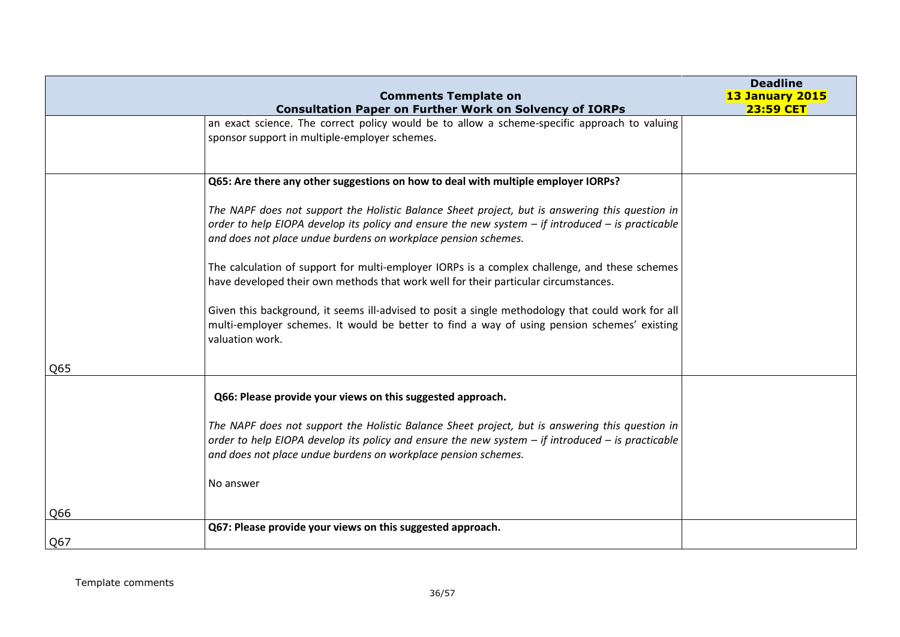|     |                                                                                                                                                                                                                                                                                                                                                                                                                                                                                                                                                                                                                                                                                           | <b>Deadline</b>        |
|-----|-------------------------------------------------------------------------------------------------------------------------------------------------------------------------------------------------------------------------------------------------------------------------------------------------------------------------------------------------------------------------------------------------------------------------------------------------------------------------------------------------------------------------------------------------------------------------------------------------------------------------------------------------------------------------------------------|------------------------|
|     | <b>Comments Template on</b>                                                                                                                                                                                                                                                                                                                                                                                                                                                                                                                                                                                                                                                               | <b>13 January 2015</b> |
|     | <b>Consultation Paper on Further Work on Solvency of IORPs</b>                                                                                                                                                                                                                                                                                                                                                                                                                                                                                                                                                                                                                            | <b>23:59 CET</b>       |
|     | an exact science. The correct policy would be to allow a scheme-specific approach to valuing<br>sponsor support in multiple-employer schemes.                                                                                                                                                                                                                                                                                                                                                                                                                                                                                                                                             |                        |
|     | Q65: Are there any other suggestions on how to deal with multiple employer IORPs?                                                                                                                                                                                                                                                                                                                                                                                                                                                                                                                                                                                                         |                        |
|     | The NAPF does not support the Holistic Balance Sheet project, but is answering this question in<br>order to help EIOPA develop its policy and ensure the new system $-$ if introduced $-$ is practicable<br>and does not place undue burdens on workplace pension schemes.<br>The calculation of support for multi-employer IORPs is a complex challenge, and these schemes<br>have developed their own methods that work well for their particular circumstances.<br>Given this background, it seems ill-advised to posit a single methodology that could work for all<br>multi-employer schemes. It would be better to find a way of using pension schemes' existing<br>valuation work. |                        |
| Q65 |                                                                                                                                                                                                                                                                                                                                                                                                                                                                                                                                                                                                                                                                                           |                        |
|     | Q66: Please provide your views on this suggested approach.<br>The NAPF does not support the Holistic Balance Sheet project, but is answering this question in<br>order to help EIOPA develop its policy and ensure the new system $-$ if introduced $-$ is practicable<br>and does not place undue burdens on workplace pension schemes.<br>No answer                                                                                                                                                                                                                                                                                                                                     |                        |
| Q66 |                                                                                                                                                                                                                                                                                                                                                                                                                                                                                                                                                                                                                                                                                           |                        |
|     | Q67: Please provide your views on this suggested approach.                                                                                                                                                                                                                                                                                                                                                                                                                                                                                                                                                                                                                                |                        |
| Q67 |                                                                                                                                                                                                                                                                                                                                                                                                                                                                                                                                                                                                                                                                                           |                        |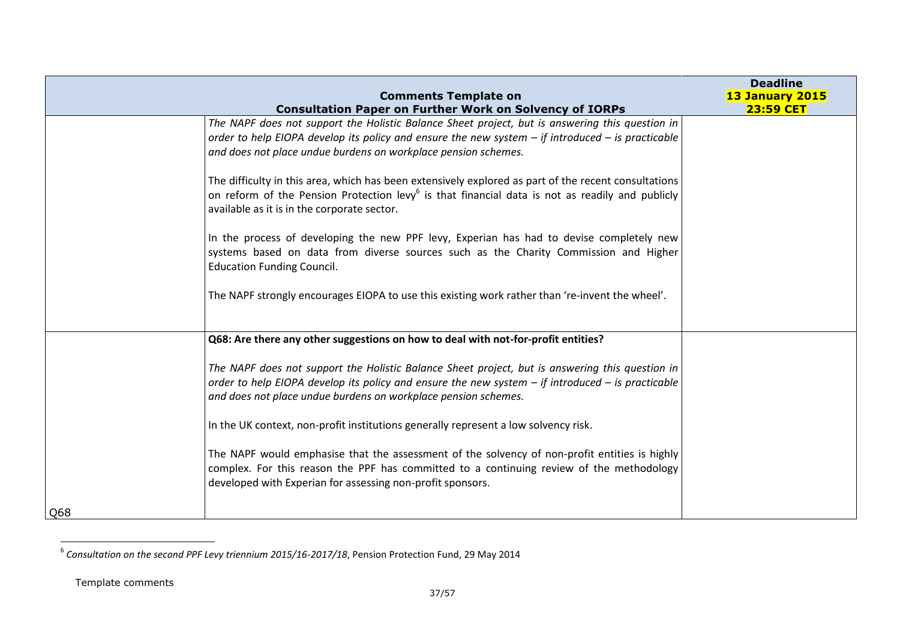|     | <b>Comments Template on</b><br><b>Consultation Paper on Further Work on Solvency of IORPs</b>                                                                                                                                                                              | <b>Deadline</b><br>13 January 2015<br><b>23:59 CET</b> |
|-----|----------------------------------------------------------------------------------------------------------------------------------------------------------------------------------------------------------------------------------------------------------------------------|--------------------------------------------------------|
|     | The NAPF does not support the Holistic Balance Sheet project, but is answering this question in<br>order to help EIOPA develop its policy and ensure the new system $-$ if introduced $-$ is practicable<br>and does not place undue burdens on workplace pension schemes. |                                                        |
|     | The difficulty in this area, which has been extensively explored as part of the recent consultations<br>on reform of the Pension Protection levy <sup>6</sup> is that financial data is not as readily and publicly<br>available as it is in the corporate sector.         |                                                        |
|     | In the process of developing the new PPF levy, Experian has had to devise completely new<br>systems based on data from diverse sources such as the Charity Commission and Higher<br><b>Education Funding Council.</b>                                                      |                                                        |
|     | The NAPF strongly encourages EIOPA to use this existing work rather than 're-invent the wheel'.                                                                                                                                                                            |                                                        |
|     | Q68: Are there any other suggestions on how to deal with not-for-profit entities?                                                                                                                                                                                          |                                                        |
|     | The NAPF does not support the Holistic Balance Sheet project, but is answering this question in<br>order to help EIOPA develop its policy and ensure the new system $-$ if introduced $-$ is practicable<br>and does not place undue burdens on workplace pension schemes. |                                                        |
|     | In the UK context, non-profit institutions generally represent a low solvency risk.                                                                                                                                                                                        |                                                        |
|     | The NAPF would emphasise that the assessment of the solvency of non-profit entities is highly<br>complex. For this reason the PPF has committed to a continuing review of the methodology<br>developed with Experian for assessing non-profit sponsors.                    |                                                        |
| Q68 |                                                                                                                                                                                                                                                                            |                                                        |

 6 *Consultation on the second PPF Levy triennium 2015/16-2017/18*, Pension Protection Fund, 29 May 2014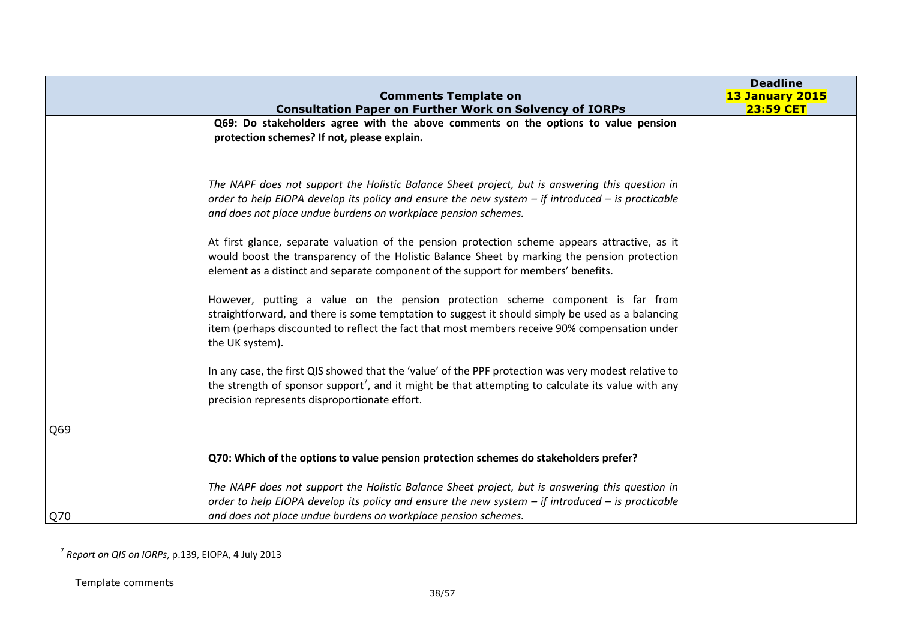|     | <b>Comments Template on</b>                                                                                                                                                                                                                                                                             | <b>Deadline</b><br><b>13 January 2015</b> |
|-----|---------------------------------------------------------------------------------------------------------------------------------------------------------------------------------------------------------------------------------------------------------------------------------------------------------|-------------------------------------------|
|     | <b>Consultation Paper on Further Work on Solvency of IORPs</b>                                                                                                                                                                                                                                          | <b>23:59 CET</b>                          |
|     | Q69: Do stakeholders agree with the above comments on the options to value pension<br>protection schemes? If not, please explain.                                                                                                                                                                       |                                           |
|     | The NAPF does not support the Holistic Balance Sheet project, but is answering this question in<br>order to help EIOPA develop its policy and ensure the new system $-$ if introduced $-$ is practicable<br>and does not place undue burdens on workplace pension schemes.                              |                                           |
|     | At first glance, separate valuation of the pension protection scheme appears attractive, as it<br>would boost the transparency of the Holistic Balance Sheet by marking the pension protection<br>element as a distinct and separate component of the support for members' benefits.                    |                                           |
|     | However, putting a value on the pension protection scheme component is far from<br>straightforward, and there is some temptation to suggest it should simply be used as a balancing<br>item (perhaps discounted to reflect the fact that most members receive 90% compensation under<br>the UK system). |                                           |
|     | In any case, the first QIS showed that the 'value' of the PPF protection was very modest relative to<br>the strength of sponsor support <sup>7</sup> , and it might be that attempting to calculate its value with any<br>precision represents disproportionate effort.                                 |                                           |
| Q69 |                                                                                                                                                                                                                                                                                                         |                                           |
|     | Q70: Which of the options to value pension protection schemes do stakeholders prefer?                                                                                                                                                                                                                   |                                           |
| Q70 | The NAPF does not support the Holistic Balance Sheet project, but is answering this question in<br>order to help EIOPA develop its policy and ensure the new system $-$ if introduced $-$ is practicable<br>and does not place undue burdens on workplace pension schemes.                              |                                           |

 7 *Report on QIS on IORPs*, p.139, EIOPA, 4 July 2013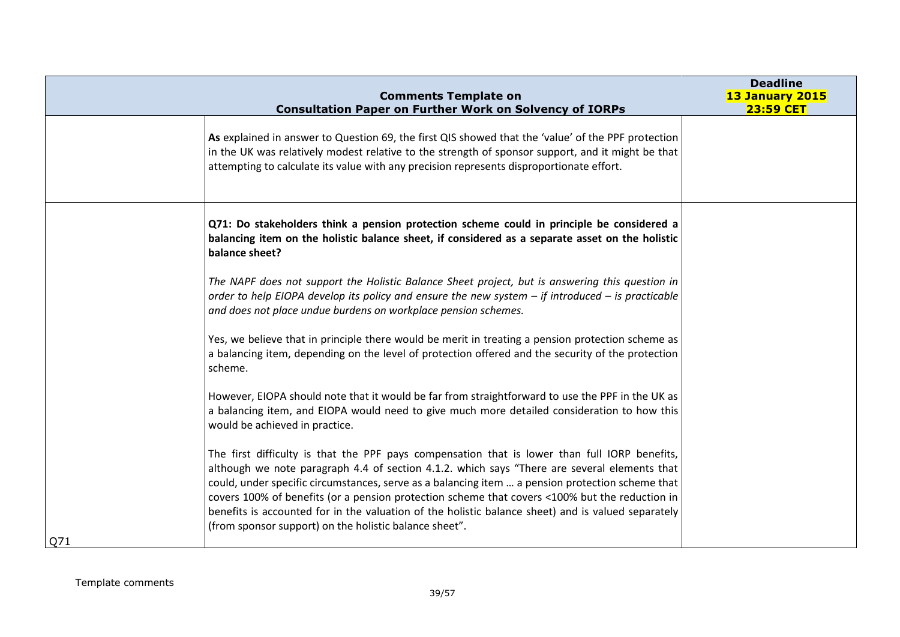| <b>Comments Template on</b><br><b>Consultation Paper on Further Work on Solvency of IORPs</b>                                                                                                                                                                                                                                                                                                                                                                                                                                                                                | <b>Deadline</b><br>13 January 2015<br><b>23:59 CET</b> |
|------------------------------------------------------------------------------------------------------------------------------------------------------------------------------------------------------------------------------------------------------------------------------------------------------------------------------------------------------------------------------------------------------------------------------------------------------------------------------------------------------------------------------------------------------------------------------|--------------------------------------------------------|
| As explained in answer to Question 69, the first QIS showed that the 'value' of the PPF protection<br>in the UK was relatively modest relative to the strength of sponsor support, and it might be that<br>attempting to calculate its value with any precision represents disproportionate effort.                                                                                                                                                                                                                                                                          |                                                        |
| Q71: Do stakeholders think a pension protection scheme could in principle be considered a<br>balancing item on the holistic balance sheet, if considered as a separate asset on the holistic<br>balance sheet?                                                                                                                                                                                                                                                                                                                                                               |                                                        |
| The NAPF does not support the Holistic Balance Sheet project, but is answering this question in<br>order to help EIOPA develop its policy and ensure the new system $-$ if introduced $-$ is practicable<br>and does not place undue burdens on workplace pension schemes.                                                                                                                                                                                                                                                                                                   |                                                        |
| Yes, we believe that in principle there would be merit in treating a pension protection scheme as<br>a balancing item, depending on the level of protection offered and the security of the protection<br>scheme.                                                                                                                                                                                                                                                                                                                                                            |                                                        |
| However, EIOPA should note that it would be far from straightforward to use the PPF in the UK as<br>a balancing item, and EIOPA would need to give much more detailed consideration to how this<br>would be achieved in practice.                                                                                                                                                                                                                                                                                                                                            |                                                        |
| The first difficulty is that the PPF pays compensation that is lower than full IORP benefits,<br>although we note paragraph 4.4 of section 4.1.2. which says "There are several elements that<br>could, under specific circumstances, serve as a balancing item  a pension protection scheme that<br>covers 100% of benefits (or a pension protection scheme that covers <100% but the reduction in<br>benefits is accounted for in the valuation of the holistic balance sheet) and is valued separately<br>(from sponsor support) on the holistic balance sheet".<br>  Q71 |                                                        |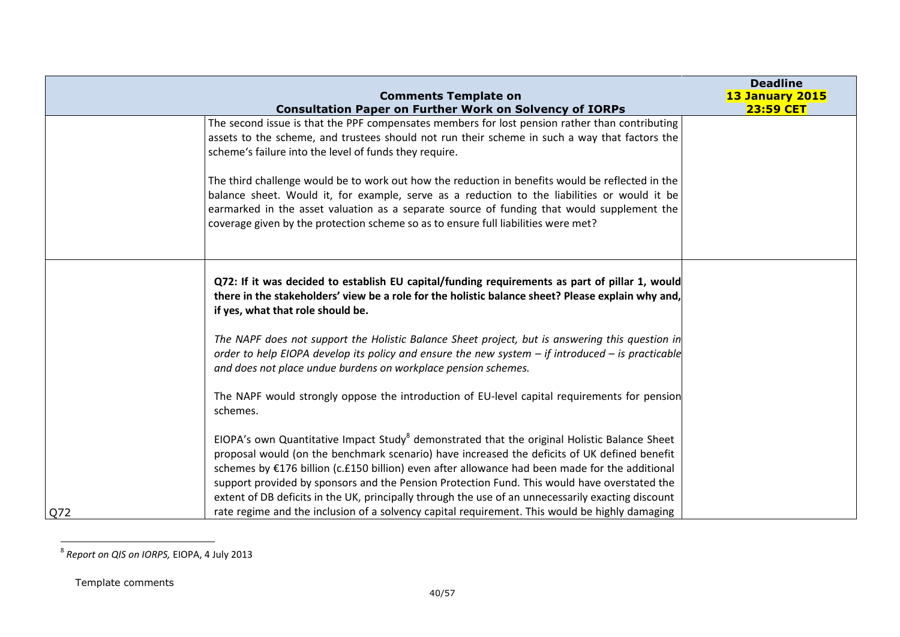|     | <b>Comments Template on</b><br><b>Consultation Paper on Further Work on Solvency of IORPs</b>                                                                                                                                                                                                                                                                                                                                                                                                                                                                                                                      | <b>Deadline</b><br>13 January 2015<br><b>23:59 CET</b> |
|-----|--------------------------------------------------------------------------------------------------------------------------------------------------------------------------------------------------------------------------------------------------------------------------------------------------------------------------------------------------------------------------------------------------------------------------------------------------------------------------------------------------------------------------------------------------------------------------------------------------------------------|--------------------------------------------------------|
|     | The second issue is that the PPF compensates members for lost pension rather than contributing<br>assets to the scheme, and trustees should not run their scheme in such a way that factors the<br>scheme's failure into the level of funds they require.                                                                                                                                                                                                                                                                                                                                                          |                                                        |
|     | The third challenge would be to work out how the reduction in benefits would be reflected in the<br>balance sheet. Would it, for example, serve as a reduction to the liabilities or would it be<br>earmarked in the asset valuation as a separate source of funding that would supplement the<br>coverage given by the protection scheme so as to ensure full liabilities were met?                                                                                                                                                                                                                               |                                                        |
|     | Q72: If it was decided to establish EU capital/funding requirements as part of pillar 1, would<br>there in the stakeholders' view be a role for the holistic balance sheet? Please explain why and,<br>if yes, what that role should be.                                                                                                                                                                                                                                                                                                                                                                           |                                                        |
|     | The NAPF does not support the Holistic Balance Sheet project, but is answering this question in<br>order to help EIOPA develop its policy and ensure the new system $-$ if introduced $-$ is practicable<br>and does not place undue burdens on workplace pension schemes.                                                                                                                                                                                                                                                                                                                                         |                                                        |
|     | The NAPF would strongly oppose the introduction of EU-level capital requirements for pension<br>schemes.                                                                                                                                                                                                                                                                                                                                                                                                                                                                                                           |                                                        |
| Q72 | EIOPA's own Quantitative Impact Study <sup>8</sup> demonstrated that the original Holistic Balance Sheet<br>proposal would (on the benchmark scenario) have increased the deficits of UK defined benefit<br>schemes by €176 billion (c.£150 billion) even after allowance had been made for the additional<br>support provided by sponsors and the Pension Protection Fund. This would have overstated the<br>extent of DB deficits in the UK, principally through the use of an unnecessarily exacting discount<br>rate regime and the inclusion of a solvency capital requirement. This would be highly damaging |                                                        |

 8 *Report on QIS on IORPS,* EIOPA, 4 July 2013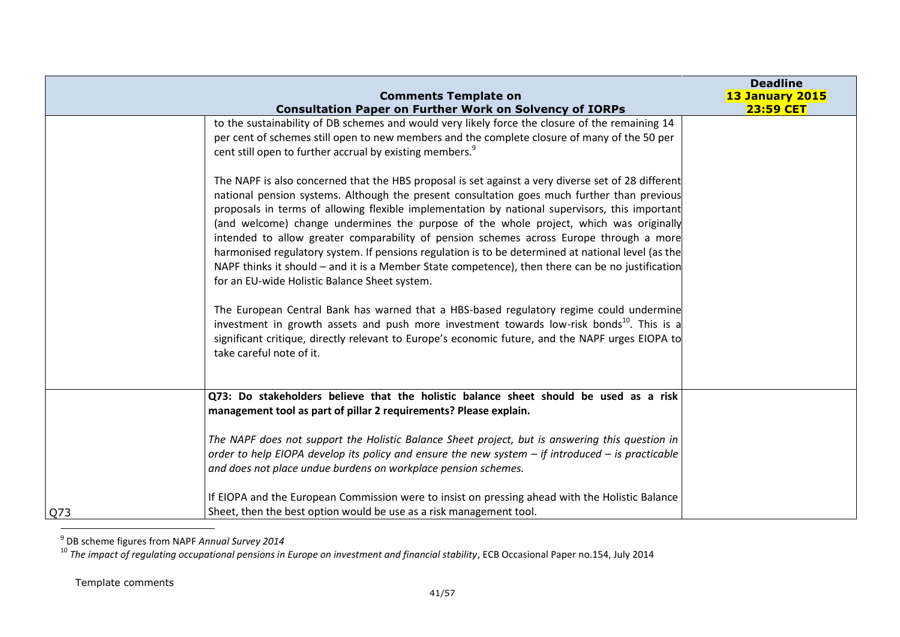|     | <b>Comments Template on</b>                                                                                                                                                                                                                                                                                                                                                                                                                                                                                                                                                                                                                                                                                                                                                                                                                                                                                                                                                                                                                                                             | <b>Deadline</b><br>13 January 2015 |
|-----|-----------------------------------------------------------------------------------------------------------------------------------------------------------------------------------------------------------------------------------------------------------------------------------------------------------------------------------------------------------------------------------------------------------------------------------------------------------------------------------------------------------------------------------------------------------------------------------------------------------------------------------------------------------------------------------------------------------------------------------------------------------------------------------------------------------------------------------------------------------------------------------------------------------------------------------------------------------------------------------------------------------------------------------------------------------------------------------------|------------------------------------|
|     | <b>Consultation Paper on Further Work on Solvency of IORPs</b>                                                                                                                                                                                                                                                                                                                                                                                                                                                                                                                                                                                                                                                                                                                                                                                                                                                                                                                                                                                                                          | <b>23:59 CET</b>                   |
|     | to the sustainability of DB schemes and would very likely force the closure of the remaining 14<br>per cent of schemes still open to new members and the complete closure of many of the 50 per<br>cent still open to further accrual by existing members. <sup>9</sup>                                                                                                                                                                                                                                                                                                                                                                                                                                                                                                                                                                                                                                                                                                                                                                                                                 |                                    |
|     | The NAPF is also concerned that the HBS proposal is set against a very diverse set of 28 different<br>national pension systems. Although the present consultation goes much further than previous<br>proposals in terms of allowing flexible implementation by national supervisors, this important<br>(and welcome) change undermines the purpose of the whole project, which was originally<br>intended to allow greater comparability of pension schemes across Europe through a more<br>harmonised regulatory system. If pensions regulation is to be determined at national level (as the<br>NAPF thinks it should – and it is a Member State competence), then there can be no justification<br>for an EU-wide Holistic Balance Sheet system.<br>The European Central Bank has warned that a HBS-based regulatory regime could undermine<br>investment in growth assets and push more investment towards low-risk bonds <sup>10</sup> . This is a<br>significant critique, directly relevant to Europe's economic future, and the NAPF urges EIOPA to<br>take careful note of it. |                                    |
|     | Q73: Do stakeholders believe that the holistic balance sheet should be used as a risk                                                                                                                                                                                                                                                                                                                                                                                                                                                                                                                                                                                                                                                                                                                                                                                                                                                                                                                                                                                                   |                                    |
|     | management tool as part of pillar 2 requirements? Please explain.                                                                                                                                                                                                                                                                                                                                                                                                                                                                                                                                                                                                                                                                                                                                                                                                                                                                                                                                                                                                                       |                                    |
|     | The NAPF does not support the Holistic Balance Sheet project, but is answering this question in<br>order to help EIOPA develop its policy and ensure the new system $-$ if introduced $-$ is practicable<br>and does not place undue burdens on workplace pension schemes.                                                                                                                                                                                                                                                                                                                                                                                                                                                                                                                                                                                                                                                                                                                                                                                                              |                                    |
| Q73 | If EIOPA and the European Commission were to insist on pressing ahead with the Holistic Balance<br>Sheet, then the best option would be use as a risk management tool.                                                                                                                                                                                                                                                                                                                                                                                                                                                                                                                                                                                                                                                                                                                                                                                                                                                                                                                  |                                    |

9 DB scheme figures from NAPF *Annual Survey 2014*

<sup>10</sup> The impact of regulating occupational pensions in Europe on investment and financial stability, ECB Occasional Paper no.154, July 2014

Template comments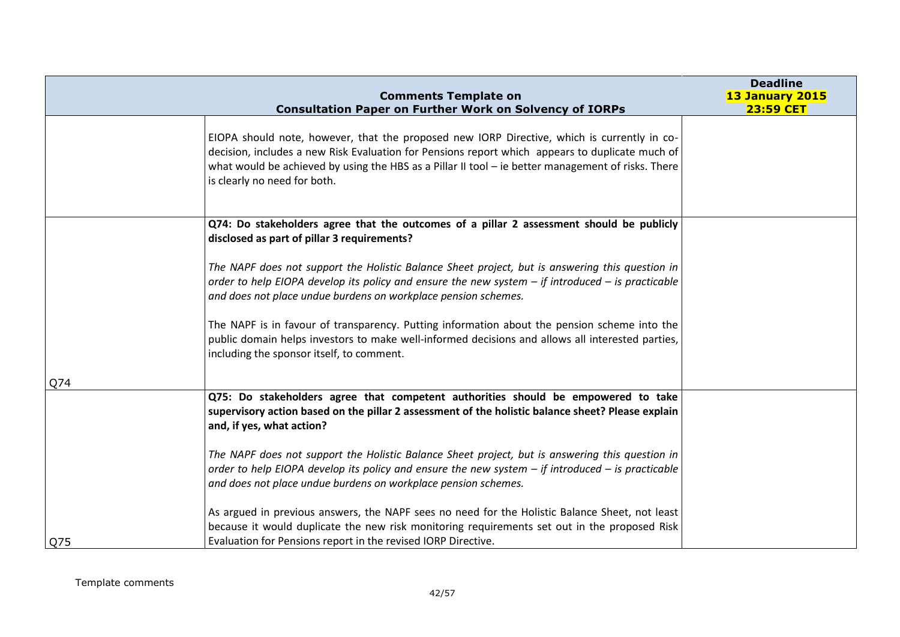|     | <b>Comments Template on</b>                                                                                                                                                                                                                                                                                                          | <b>Deadline</b><br>13 January 2015 |
|-----|--------------------------------------------------------------------------------------------------------------------------------------------------------------------------------------------------------------------------------------------------------------------------------------------------------------------------------------|------------------------------------|
|     | <b>Consultation Paper on Further Work on Solvency of IORPs</b>                                                                                                                                                                                                                                                                       | <b>23:59 CET</b>                   |
|     | EIOPA should note, however, that the proposed new IORP Directive, which is currently in co-<br>decision, includes a new Risk Evaluation for Pensions report which appears to duplicate much of<br>what would be achieved by using the HBS as a Pillar II tool - ie better management of risks. There<br>is clearly no need for both. |                                    |
|     | Q74: Do stakeholders agree that the outcomes of a pillar 2 assessment should be publicly<br>disclosed as part of pillar 3 requirements?                                                                                                                                                                                              |                                    |
|     | The NAPF does not support the Holistic Balance Sheet project, but is answering this question in<br>order to help EIOPA develop its policy and ensure the new system $-$ if introduced $-$ is practicable<br>and does not place undue burdens on workplace pension schemes.                                                           |                                    |
|     | The NAPF is in favour of transparency. Putting information about the pension scheme into the<br>public domain helps investors to make well-informed decisions and allows all interested parties,<br>including the sponsor itself, to comment.                                                                                        |                                    |
| Q74 |                                                                                                                                                                                                                                                                                                                                      |                                    |
|     | Q75: Do stakeholders agree that competent authorities should be empowered to take<br>supervisory action based on the pillar 2 assessment of the holistic balance sheet? Please explain<br>and, if yes, what action?                                                                                                                  |                                    |
|     | The NAPF does not support the Holistic Balance Sheet project, but is answering this question in<br>order to help EIOPA develop its policy and ensure the new system $-$ if introduced $-$ is practicable<br>and does not place undue burdens on workplace pension schemes.                                                           |                                    |
| Q75 | As argued in previous answers, the NAPF sees no need for the Holistic Balance Sheet, not least<br>because it would duplicate the new risk monitoring requirements set out in the proposed Risk<br>Evaluation for Pensions report in the revised IORP Directive.                                                                      |                                    |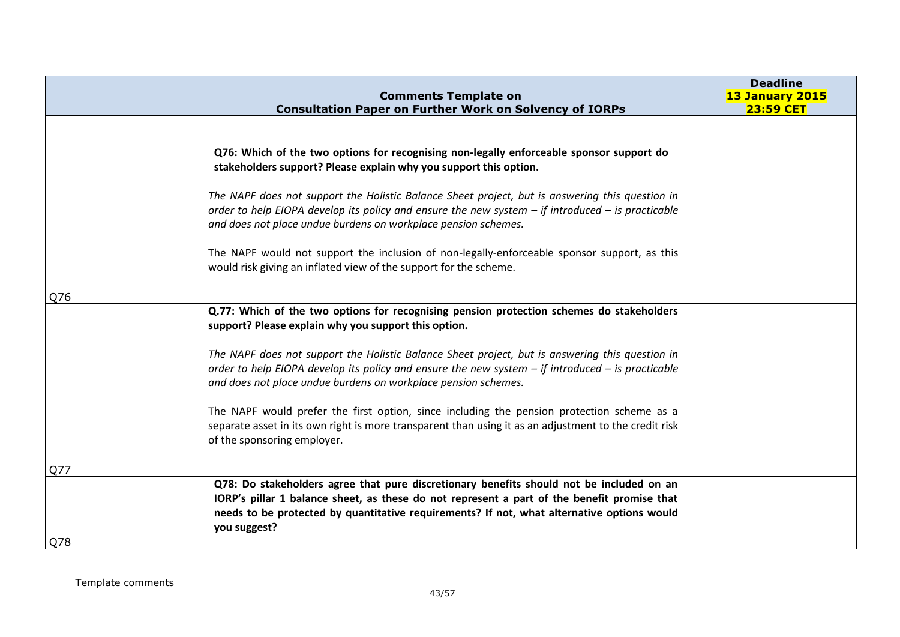|     | <b>Comments Template on</b><br><b>Consultation Paper on Further Work on Solvency of IORPs</b>                                                                                                                                                                                                         | <b>Deadline</b><br>13 January 2015<br><b>23:59 CET</b> |
|-----|-------------------------------------------------------------------------------------------------------------------------------------------------------------------------------------------------------------------------------------------------------------------------------------------------------|--------------------------------------------------------|
|     |                                                                                                                                                                                                                                                                                                       |                                                        |
|     | Q76: Which of the two options for recognising non-legally enforceable sponsor support do<br>stakeholders support? Please explain why you support this option.                                                                                                                                         |                                                        |
|     | The NAPF does not support the Holistic Balance Sheet project, but is answering this question in<br>order to help EIOPA develop its policy and ensure the new system $-$ if introduced $-$ is practicable<br>and does not place undue burdens on workplace pension schemes.                            |                                                        |
|     | The NAPF would not support the inclusion of non-legally-enforceable sponsor support, as this<br>would risk giving an inflated view of the support for the scheme.                                                                                                                                     |                                                        |
| Q76 |                                                                                                                                                                                                                                                                                                       |                                                        |
|     | Q.77: Which of the two options for recognising pension protection schemes do stakeholders<br>support? Please explain why you support this option.                                                                                                                                                     |                                                        |
|     | The NAPF does not support the Holistic Balance Sheet project, but is answering this question in<br>order to help EIOPA develop its policy and ensure the new system $-$ if introduced $-$ is practicable<br>and does not place undue burdens on workplace pension schemes.                            |                                                        |
|     | The NAPF would prefer the first option, since including the pension protection scheme as a<br>separate asset in its own right is more transparent than using it as an adjustment to the credit risk<br>of the sponsoring employer.                                                                    |                                                        |
| Q77 |                                                                                                                                                                                                                                                                                                       |                                                        |
| Q78 | Q78: Do stakeholders agree that pure discretionary benefits should not be included on an<br>IORP's pillar 1 balance sheet, as these do not represent a part of the benefit promise that<br>needs to be protected by quantitative requirements? If not, what alternative options would<br>you suggest? |                                                        |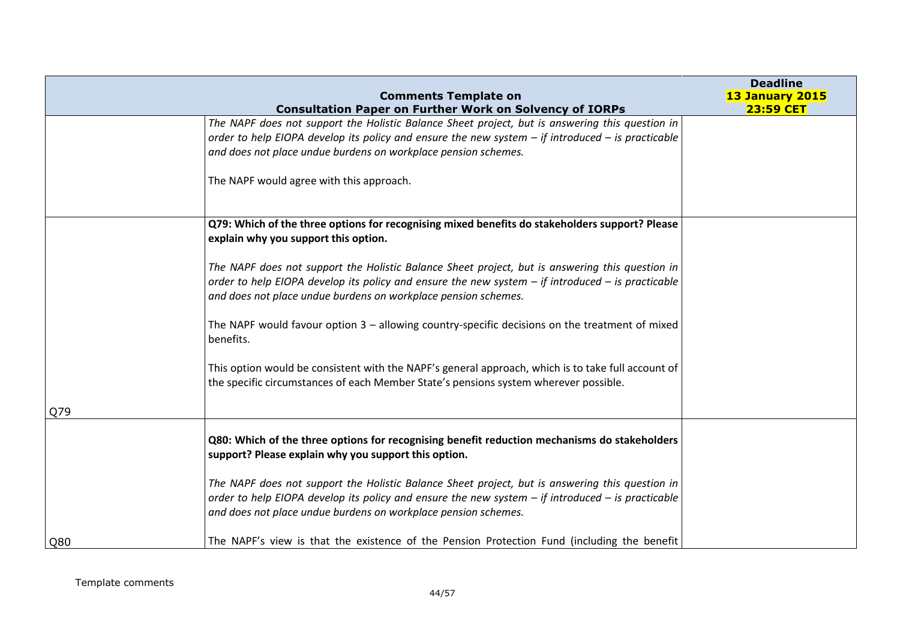|     |                                                                                                                                                                                                                                                                                                                                                                                                                                                                                                                                                                                           | <b>Deadline</b>                     |
|-----|-------------------------------------------------------------------------------------------------------------------------------------------------------------------------------------------------------------------------------------------------------------------------------------------------------------------------------------------------------------------------------------------------------------------------------------------------------------------------------------------------------------------------------------------------------------------------------------------|-------------------------------------|
|     | <b>Comments Template on</b><br><b>Consultation Paper on Further Work on Solvency of IORPs</b>                                                                                                                                                                                                                                                                                                                                                                                                                                                                                             | 13 January 2015<br><b>23:59 CET</b> |
|     | The NAPF does not support the Holistic Balance Sheet project, but is answering this question in<br>order to help EIOPA develop its policy and ensure the new system $-$ if introduced $-$ is practicable<br>and does not place undue burdens on workplace pension schemes.<br>The NAPF would agree with this approach.                                                                                                                                                                                                                                                                    |                                     |
|     | Q79: Which of the three options for recognising mixed benefits do stakeholders support? Please<br>explain why you support this option.                                                                                                                                                                                                                                                                                                                                                                                                                                                    |                                     |
|     | The NAPF does not support the Holistic Balance Sheet project, but is answering this question in<br>order to help EIOPA develop its policy and ensure the new system $-$ if introduced $-$ is practicable<br>and does not place undue burdens on workplace pension schemes.<br>The NAPF would favour option $3$ – allowing country-specific decisions on the treatment of mixed<br>benefits.<br>This option would be consistent with the NAPF's general approach, which is to take full account of<br>the specific circumstances of each Member State's pensions system wherever possible. |                                     |
| Q79 | Q80: Which of the three options for recognising benefit reduction mechanisms do stakeholders<br>support? Please explain why you support this option.                                                                                                                                                                                                                                                                                                                                                                                                                                      |                                     |
|     | The NAPF does not support the Holistic Balance Sheet project, but is answering this question in<br>order to help EIOPA develop its policy and ensure the new system $-$ if introduced $-$ is practicable<br>and does not place undue burdens on workplace pension schemes.                                                                                                                                                                                                                                                                                                                |                                     |
| Q80 | The NAPF's view is that the existence of the Pension Protection Fund (including the benefit                                                                                                                                                                                                                                                                                                                                                                                                                                                                                               |                                     |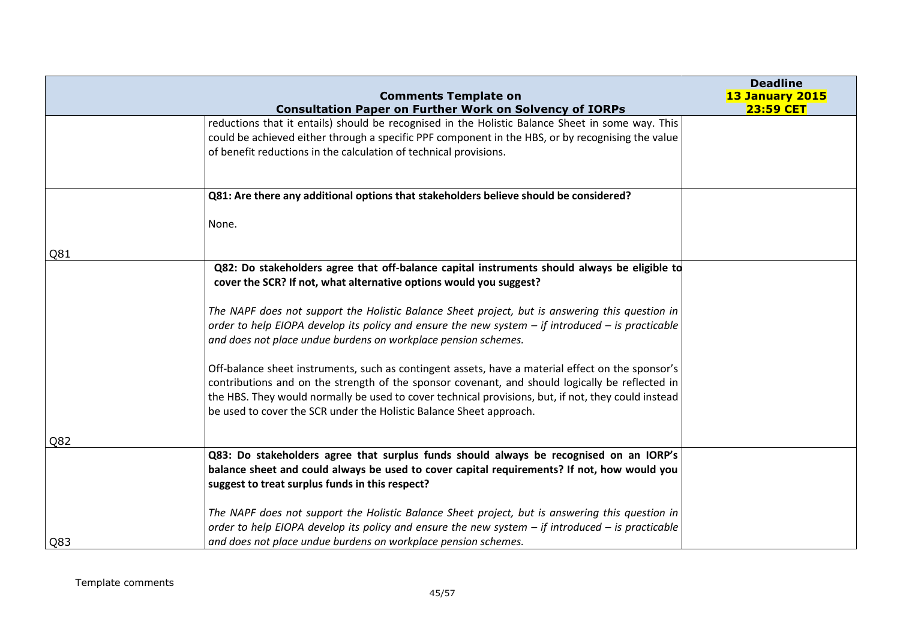|     |                                                                                                                                                                                                                                                                                                                                                                                    | <b>Deadline</b>                            |
|-----|------------------------------------------------------------------------------------------------------------------------------------------------------------------------------------------------------------------------------------------------------------------------------------------------------------------------------------------------------------------------------------|--------------------------------------------|
|     | <b>Comments Template on</b>                                                                                                                                                                                                                                                                                                                                                        | <b>13 January 2015</b><br><b>23:59 CET</b> |
|     | <b>Consultation Paper on Further Work on Solvency of IORPs</b><br>reductions that it entails) should be recognised in the Holistic Balance Sheet in some way. This<br>could be achieved either through a specific PPF component in the HBS, or by recognising the value<br>of benefit reductions in the calculation of technical provisions.                                       |                                            |
|     | Q81: Are there any additional options that stakeholders believe should be considered?                                                                                                                                                                                                                                                                                              |                                            |
|     | None.                                                                                                                                                                                                                                                                                                                                                                              |                                            |
| Q81 |                                                                                                                                                                                                                                                                                                                                                                                    |                                            |
|     | Q82: Do stakeholders agree that off-balance capital instruments should always be eligible to<br>cover the SCR? If not, what alternative options would you suggest?                                                                                                                                                                                                                 |                                            |
|     | The NAPF does not support the Holistic Balance Sheet project, but is answering this question in<br>order to help EIOPA develop its policy and ensure the new system $-$ if introduced $-$ is practicable<br>and does not place undue burdens on workplace pension schemes.                                                                                                         |                                            |
|     | Off-balance sheet instruments, such as contingent assets, have a material effect on the sponsor's<br>contributions and on the strength of the sponsor covenant, and should logically be reflected in<br>the HBS. They would normally be used to cover technical provisions, but, if not, they could instead<br>be used to cover the SCR under the Holistic Balance Sheet approach. |                                            |
| Q82 |                                                                                                                                                                                                                                                                                                                                                                                    |                                            |
|     | Q83: Do stakeholders agree that surplus funds should always be recognised on an IORP's<br>balance sheet and could always be used to cover capital requirements? If not, how would you<br>suggest to treat surplus funds in this respect?                                                                                                                                           |                                            |
| Q83 | The NAPF does not support the Holistic Balance Sheet project, but is answering this question in<br>order to help EIOPA develop its policy and ensure the new system $-$ if introduced $-$ is practicable<br>and does not place undue burdens on workplace pension schemes.                                                                                                         |                                            |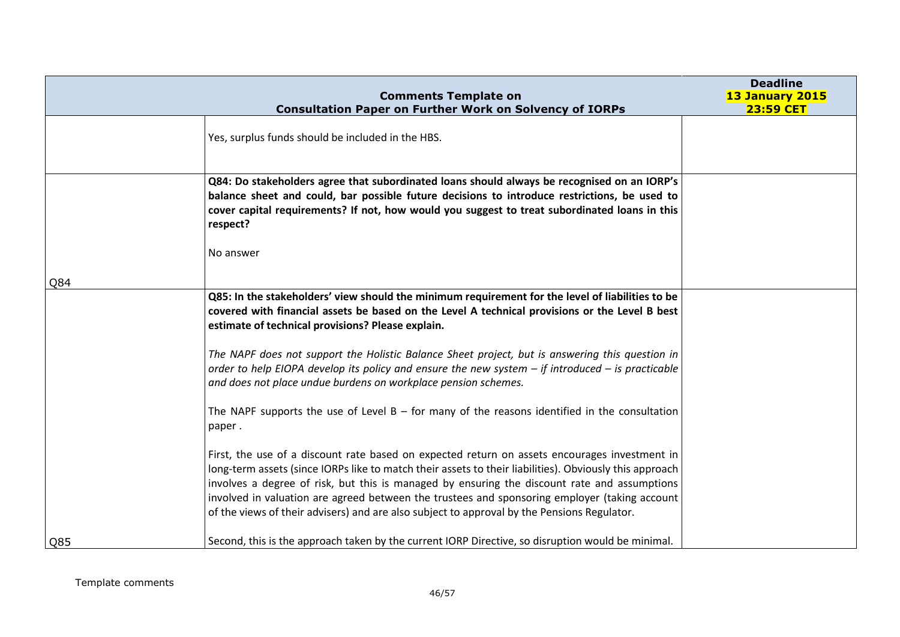|            | <b>Comments Template on</b><br><b>Consultation Paper on Further Work on Solvency of IORPs</b>                                                                                                                                                                                                                                                                                                                                                                                                            | <b>Deadline</b><br>13 January 2015<br><b>23:59 CET</b> |
|------------|----------------------------------------------------------------------------------------------------------------------------------------------------------------------------------------------------------------------------------------------------------------------------------------------------------------------------------------------------------------------------------------------------------------------------------------------------------------------------------------------------------|--------------------------------------------------------|
|            | Yes, surplus funds should be included in the HBS.                                                                                                                                                                                                                                                                                                                                                                                                                                                        |                                                        |
|            | Q84: Do stakeholders agree that subordinated loans should always be recognised on an IORP's<br>balance sheet and could, bar possible future decisions to introduce restrictions, be used to<br>cover capital requirements? If not, how would you suggest to treat subordinated loans in this<br>respect?<br>No answer                                                                                                                                                                                    |                                                        |
| <b>Q84</b> |                                                                                                                                                                                                                                                                                                                                                                                                                                                                                                          |                                                        |
|            | Q85: In the stakeholders' view should the minimum requirement for the level of liabilities to be<br>covered with financial assets be based on the Level A technical provisions or the Level B best<br>estimate of technical provisions? Please explain.                                                                                                                                                                                                                                                  |                                                        |
|            | The NAPF does not support the Holistic Balance Sheet project, but is answering this question in<br>order to help EIOPA develop its policy and ensure the new system $-$ if introduced $-$ is practicable<br>and does not place undue burdens on workplace pension schemes.                                                                                                                                                                                                                               |                                                        |
|            | The NAPF supports the use of Level B $-$ for many of the reasons identified in the consultation<br>paper.                                                                                                                                                                                                                                                                                                                                                                                                |                                                        |
|            | First, the use of a discount rate based on expected return on assets encourages investment in<br>long-term assets (since IORPs like to match their assets to their liabilities). Obviously this approach<br>involves a degree of risk, but this is managed by ensuring the discount rate and assumptions<br>involved in valuation are agreed between the trustees and sponsoring employer (taking account<br>of the views of their advisers) and are also subject to approval by the Pensions Regulator. |                                                        |
| Q85        | Second, this is the approach taken by the current IORP Directive, so disruption would be minimal.                                                                                                                                                                                                                                                                                                                                                                                                        |                                                        |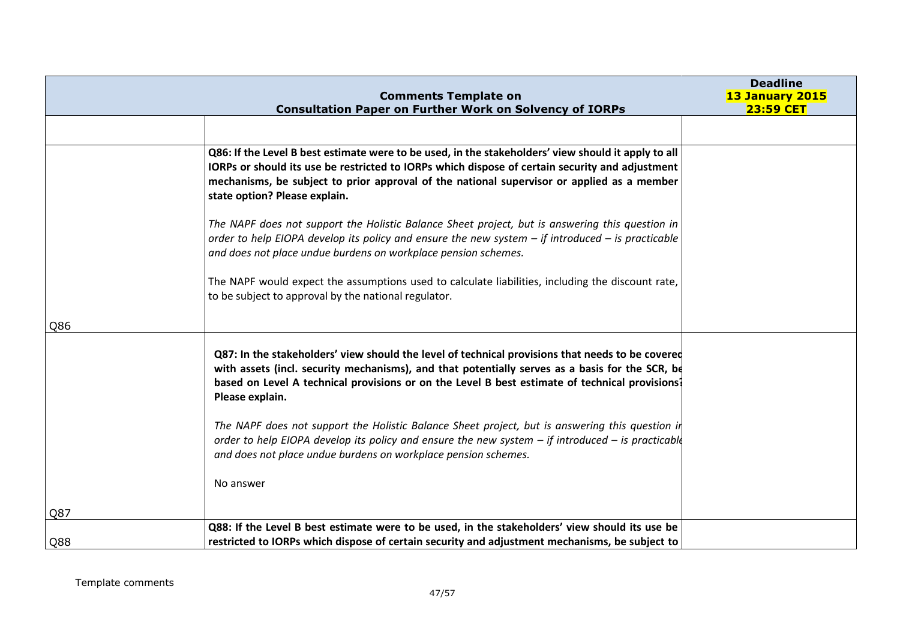|     | <b>Comments Template on</b><br><b>Consultation Paper on Further Work on Solvency of IORPs</b>                                                                                                                                                                                                                                         | <b>Deadline</b><br>13 January 2015<br><b>23:59 CET</b> |
|-----|---------------------------------------------------------------------------------------------------------------------------------------------------------------------------------------------------------------------------------------------------------------------------------------------------------------------------------------|--------------------------------------------------------|
|     |                                                                                                                                                                                                                                                                                                                                       |                                                        |
|     | Q86: If the Level B best estimate were to be used, in the stakeholders' view should it apply to all<br>IORPs or should its use be restricted to IORPs which dispose of certain security and adjustment<br>mechanisms, be subject to prior approval of the national supervisor or applied as a member<br>state option? Please explain. |                                                        |
|     | The NAPF does not support the Holistic Balance Sheet project, but is answering this question in<br>order to help EIOPA develop its policy and ensure the new system $-$ if introduced $-$ is practicable<br>and does not place undue burdens on workplace pension schemes.                                                            |                                                        |
|     | The NAPF would expect the assumptions used to calculate liabilities, including the discount rate,<br>to be subject to approval by the national regulator.                                                                                                                                                                             |                                                        |
| Q86 |                                                                                                                                                                                                                                                                                                                                       |                                                        |
|     | Q87: In the stakeholders' view should the level of technical provisions that needs to be covered<br>with assets (incl. security mechanisms), and that potentially serves as a basis for the SCR, be<br>based on Level A technical provisions or on the Level B best estimate of technical provisions?<br>Please explain.              |                                                        |
|     | The NAPF does not support the Holistic Balance Sheet project, but is answering this question in<br>order to help EIOPA develop its policy and ensure the new system $-$ if introduced $-$ is practicable<br>and does not place undue burdens on workplace pension schemes.                                                            |                                                        |
|     | No answer                                                                                                                                                                                                                                                                                                                             |                                                        |
| Q87 | Q88: If the Level B best estimate were to be used, in the stakeholders' view should its use be                                                                                                                                                                                                                                        |                                                        |
| Q88 | restricted to IORPs which dispose of certain security and adjustment mechanisms, be subject to                                                                                                                                                                                                                                        |                                                        |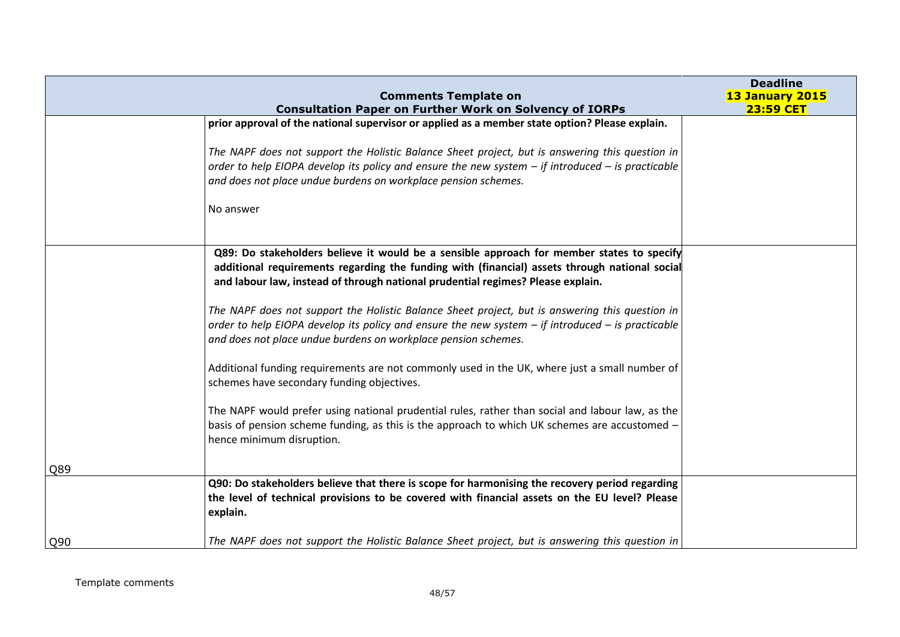|     | <b>Comments Template on</b>                                                                                                                                                                                                                                                | <b>Deadline</b><br><b>13 January 2015</b><br><b>23:59 CET</b> |
|-----|----------------------------------------------------------------------------------------------------------------------------------------------------------------------------------------------------------------------------------------------------------------------------|---------------------------------------------------------------|
|     | <b>Consultation Paper on Further Work on Solvency of IORPs</b><br>prior approval of the national supervisor or applied as a member state option? Please explain.                                                                                                           |                                                               |
|     |                                                                                                                                                                                                                                                                            |                                                               |
|     | The NAPF does not support the Holistic Balance Sheet project, but is answering this question in                                                                                                                                                                            |                                                               |
|     | order to help EIOPA develop its policy and ensure the new system $-$ if introduced $-$ is practicable                                                                                                                                                                      |                                                               |
|     | and does not place undue burdens on workplace pension schemes.                                                                                                                                                                                                             |                                                               |
|     | No answer                                                                                                                                                                                                                                                                  |                                                               |
|     | Q89: Do stakeholders believe it would be a sensible approach for member states to specify<br>additional requirements regarding the funding with (financial) assets through national social                                                                                 |                                                               |
|     | and labour law, instead of through national prudential regimes? Please explain.                                                                                                                                                                                            |                                                               |
|     | The NAPF does not support the Holistic Balance Sheet project, but is answering this question in<br>order to help EIOPA develop its policy and ensure the new system $-$ if introduced $-$ is practicable<br>and does not place undue burdens on workplace pension schemes. |                                                               |
|     | Additional funding requirements are not commonly used in the UK, where just a small number of<br>schemes have secondary funding objectives.                                                                                                                                |                                                               |
|     | The NAPF would prefer using national prudential rules, rather than social and labour law, as the<br>basis of pension scheme funding, as this is the approach to which UK schemes are accustomed -<br>hence minimum disruption.                                             |                                                               |
| Q89 |                                                                                                                                                                                                                                                                            |                                                               |
|     | Q90: Do stakeholders believe that there is scope for harmonising the recovery period regarding<br>the level of technical provisions to be covered with financial assets on the EU level? Please<br>explain.                                                                |                                                               |
| Q90 | The NAPF does not support the Holistic Balance Sheet project, but is answering this question in                                                                                                                                                                            |                                                               |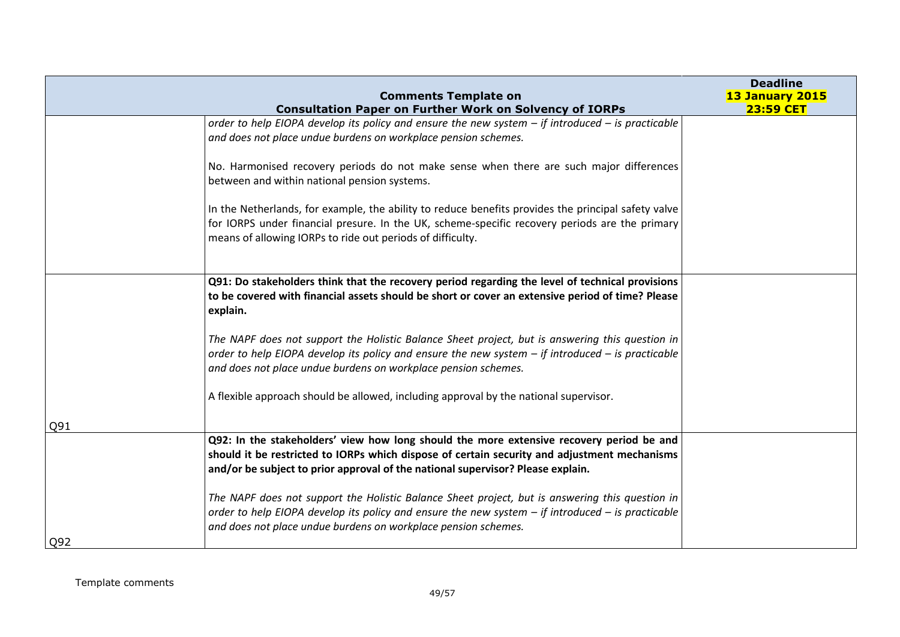|     | <b>Comments Template on</b>                                                                                                                                                                                                                                                 | <b>Deadline</b><br>13 January 2015 |
|-----|-----------------------------------------------------------------------------------------------------------------------------------------------------------------------------------------------------------------------------------------------------------------------------|------------------------------------|
|     | <b>Consultation Paper on Further Work on Solvency of IORPs</b>                                                                                                                                                                                                              | <b>23:59 CET</b>                   |
|     | order to help EIOPA develop its policy and ensure the new system $-$ if introduced $-$ is practicable<br>and does not place undue burdens on workplace pension schemes.                                                                                                     |                                    |
|     | No. Harmonised recovery periods do not make sense when there are such major differences<br>between and within national pension systems.                                                                                                                                     |                                    |
|     | In the Netherlands, for example, the ability to reduce benefits provides the principal safety valve<br>for IORPS under financial presure. In the UK, scheme-specific recovery periods are the primary<br>means of allowing IORPs to ride out periods of difficulty.         |                                    |
|     | Q91: Do stakeholders think that the recovery period regarding the level of technical provisions<br>to be covered with financial assets should be short or cover an extensive period of time? Please<br>explain.                                                             |                                    |
|     | The NAPF does not support the Holistic Balance Sheet project, but is answering this question in<br>order to help EIOPA develop its policy and ensure the new system $-$ if introduced $-$ is practicable<br>and does not place undue burdens on workplace pension schemes.  |                                    |
|     | A flexible approach should be allowed, including approval by the national supervisor.                                                                                                                                                                                       |                                    |
| Q91 |                                                                                                                                                                                                                                                                             |                                    |
|     | Q92: In the stakeholders' view how long should the more extensive recovery period be and<br>should it be restricted to IORPs which dispose of certain security and adjustment mechanisms<br>and/or be subject to prior approval of the national supervisor? Please explain. |                                    |
|     | The NAPF does not support the Holistic Balance Sheet project, but is answering this question in<br>order to help EIOPA develop its policy and ensure the new system $-$ if introduced $-$ is practicable<br>and does not place undue burdens on workplace pension schemes.  |                                    |
| Q92 |                                                                                                                                                                                                                                                                             |                                    |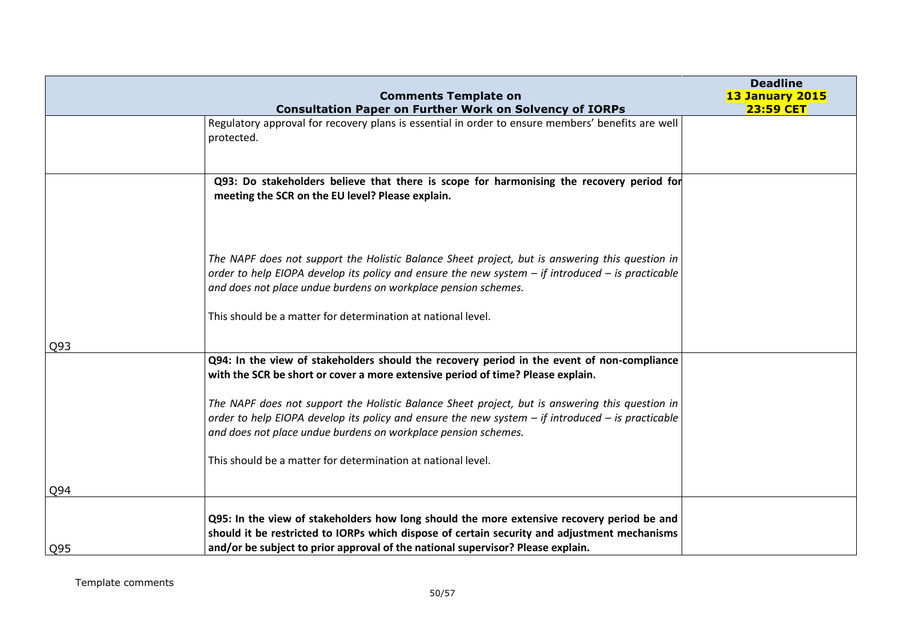|     | <b>Comments Template on</b>                                                                                                                                                                                                                                                                                                                | <b>Deadline</b><br><b>13 January 2015</b> |
|-----|--------------------------------------------------------------------------------------------------------------------------------------------------------------------------------------------------------------------------------------------------------------------------------------------------------------------------------------------|-------------------------------------------|
|     | <b>Consultation Paper on Further Work on Solvency of IORPs</b>                                                                                                                                                                                                                                                                             | <b>23:59 CET</b>                          |
|     | Regulatory approval for recovery plans is essential in order to ensure members' benefits are well<br>protected.                                                                                                                                                                                                                            |                                           |
|     | Q93: Do stakeholders believe that there is scope for harmonising the recovery period for<br>meeting the SCR on the EU level? Please explain.                                                                                                                                                                                               |                                           |
|     | The NAPF does not support the Holistic Balance Sheet project, but is answering this question in<br>order to help EIOPA develop its policy and ensure the new system $-$ if introduced $-$ is practicable<br>and does not place undue burdens on workplace pension schemes.<br>This should be a matter for determination at national level. |                                           |
|     |                                                                                                                                                                                                                                                                                                                                            |                                           |
| Q93 |                                                                                                                                                                                                                                                                                                                                            |                                           |
|     | Q94: In the view of stakeholders should the recovery period in the event of non-compliance<br>with the SCR be short or cover a more extensive period of time? Please explain.                                                                                                                                                              |                                           |
|     | The NAPF does not support the Holistic Balance Sheet project, but is answering this question in<br>order to help EIOPA develop its policy and ensure the new system $-$ if introduced $-$ is practicable<br>and does not place undue burdens on workplace pension schemes.                                                                 |                                           |
|     | This should be a matter for determination at national level.                                                                                                                                                                                                                                                                               |                                           |
| Q94 |                                                                                                                                                                                                                                                                                                                                            |                                           |
|     | Q95: In the view of stakeholders how long should the more extensive recovery period be and<br>should it be restricted to IORPs which dispose of certain security and adjustment mechanisms<br>and/or be subject to prior approval of the national supervisor? Please explain.                                                              |                                           |
| Q95 |                                                                                                                                                                                                                                                                                                                                            |                                           |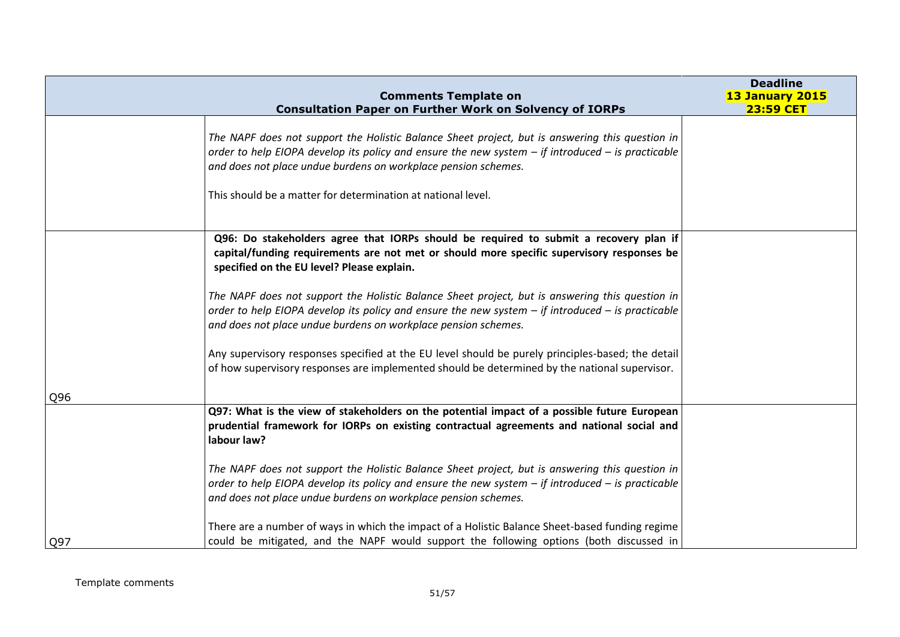|     | <b>Comments Template on</b>                                                                                                                                                                                                                                                                                                                                                                                                                                                                                    | <b>Deadline</b><br>13 January 2015 |
|-----|----------------------------------------------------------------------------------------------------------------------------------------------------------------------------------------------------------------------------------------------------------------------------------------------------------------------------------------------------------------------------------------------------------------------------------------------------------------------------------------------------------------|------------------------------------|
|     | <b>Consultation Paper on Further Work on Solvency of IORPs</b>                                                                                                                                                                                                                                                                                                                                                                                                                                                 | <b>23:59 CET</b>                   |
|     | The NAPF does not support the Holistic Balance Sheet project, but is answering this question in<br>order to help EIOPA develop its policy and ensure the new system $-$ if introduced $-$ is practicable<br>and does not place undue burdens on workplace pension schemes.<br>This should be a matter for determination at national level.                                                                                                                                                                     |                                    |
|     | Q96: Do stakeholders agree that IORPs should be required to submit a recovery plan if<br>capital/funding requirements are not met or should more specific supervisory responses be<br>specified on the EU level? Please explain.<br>The NAPF does not support the Holistic Balance Sheet project, but is answering this question in<br>order to help EIOPA develop its policy and ensure the new system $-$ if introduced $-$ is practicable<br>and does not place undue burdens on workplace pension schemes. |                                    |
|     | Any supervisory responses specified at the EU level should be purely principles-based; the detail<br>of how supervisory responses are implemented should be determined by the national supervisor.                                                                                                                                                                                                                                                                                                             |                                    |
| Q96 |                                                                                                                                                                                                                                                                                                                                                                                                                                                                                                                |                                    |
|     | Q97: What is the view of stakeholders on the potential impact of a possible future European<br>prudential framework for IORPs on existing contractual agreements and national social and<br>labour law?                                                                                                                                                                                                                                                                                                        |                                    |
|     | The NAPF does not support the Holistic Balance Sheet project, but is answering this question in<br>order to help EIOPA develop its policy and ensure the new system $-$ if introduced $-$ is practicable<br>and does not place undue burdens on workplace pension schemes.                                                                                                                                                                                                                                     |                                    |
| Q97 | There are a number of ways in which the impact of a Holistic Balance Sheet-based funding regime<br>could be mitigated, and the NAPF would support the following options (both discussed in                                                                                                                                                                                                                                                                                                                     |                                    |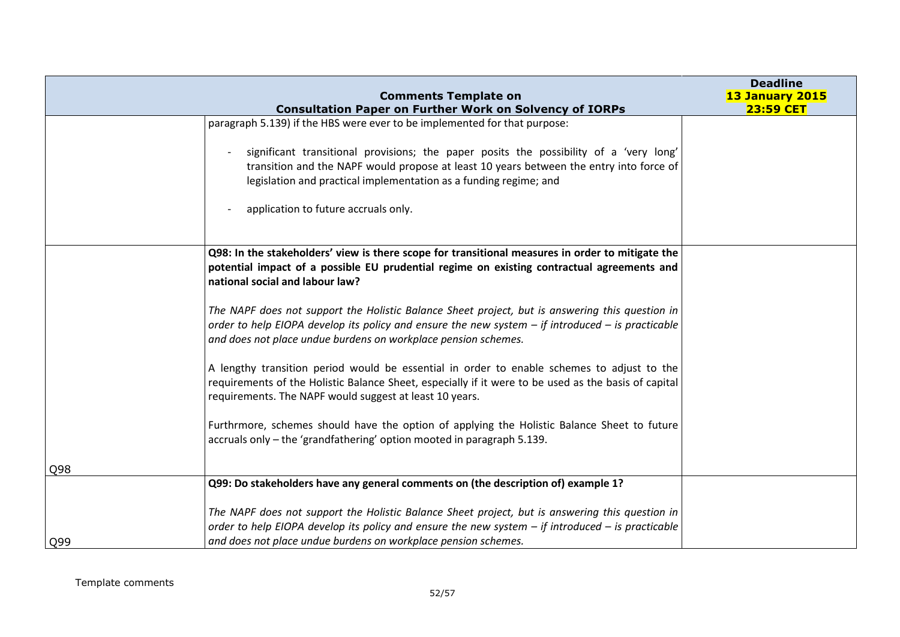| <b>23:59 CET</b> |
|------------------|
|                  |
|                  |
|                  |
|                  |
|                  |
|                  |
|                  |
|                  |
|                  |
|                  |
|                  |
|                  |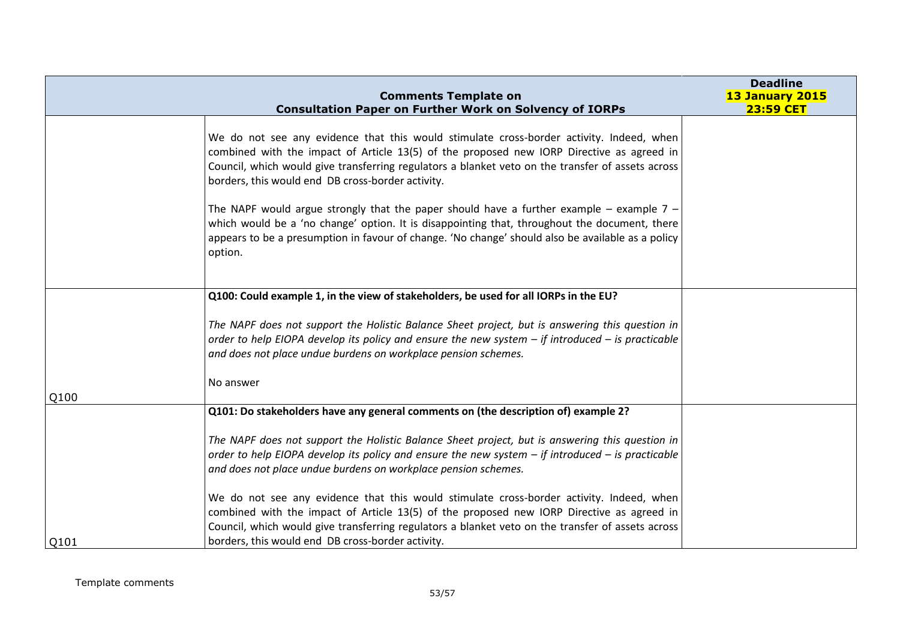|      |                                                                                                                                                                                                                                                                                                                                                 | <b>Deadline</b>  |
|------|-------------------------------------------------------------------------------------------------------------------------------------------------------------------------------------------------------------------------------------------------------------------------------------------------------------------------------------------------|------------------|
|      | <b>Comments Template on</b>                                                                                                                                                                                                                                                                                                                     | 13 January 2015  |
|      | <b>Consultation Paper on Further Work on Solvency of IORPs</b>                                                                                                                                                                                                                                                                                  | <b>23:59 CET</b> |
|      | We do not see any evidence that this would stimulate cross-border activity. Indeed, when<br>combined with the impact of Article 13(5) of the proposed new IORP Directive as agreed in<br>Council, which would give transferring regulators a blanket veto on the transfer of assets across<br>borders, this would end DB cross-border activity. |                  |
|      | The NAPF would argue strongly that the paper should have a further example $-$ example 7 $-$<br>which would be a 'no change' option. It is disappointing that, throughout the document, there<br>appears to be a presumption in favour of change. 'No change' should also be available as a policy<br>option.                                   |                  |
|      | Q100: Could example 1, in the view of stakeholders, be used for all IORPs in the EU?                                                                                                                                                                                                                                                            |                  |
| Q100 | The NAPF does not support the Holistic Balance Sheet project, but is answering this question in<br>order to help EIOPA develop its policy and ensure the new system $-$ if introduced $-$ is practicable<br>and does not place undue burdens on workplace pension schemes.<br>No answer                                                         |                  |
|      | Q101: Do stakeholders have any general comments on (the description of) example 2?                                                                                                                                                                                                                                                              |                  |
|      | The NAPF does not support the Holistic Balance Sheet project, but is answering this question in<br>order to help EIOPA develop its policy and ensure the new system $-$ if introduced $-$ is practicable<br>and does not place undue burdens on workplace pension schemes.                                                                      |                  |
| Q101 | We do not see any evidence that this would stimulate cross-border activity. Indeed, when<br>combined with the impact of Article 13(5) of the proposed new IORP Directive as agreed in<br>Council, which would give transferring regulators a blanket veto on the transfer of assets across<br>borders, this would end DB cross-border activity. |                  |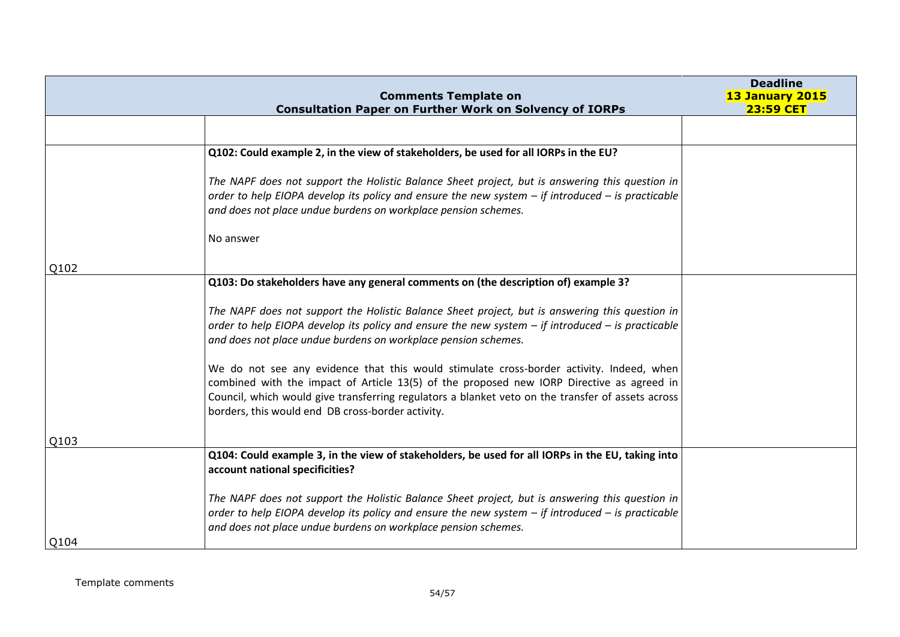|      | <b>Comments Template on</b><br><b>Consultation Paper on Further Work on Solvency of IORPs</b>                                                                                                                                                                                                                                                   | <b>Deadline</b><br>13 January 2015<br><b>23:59 CET</b> |
|------|-------------------------------------------------------------------------------------------------------------------------------------------------------------------------------------------------------------------------------------------------------------------------------------------------------------------------------------------------|--------------------------------------------------------|
|      |                                                                                                                                                                                                                                                                                                                                                 |                                                        |
|      | Q102: Could example 2, in the view of stakeholders, be used for all IORPs in the EU?                                                                                                                                                                                                                                                            |                                                        |
|      | The NAPF does not support the Holistic Balance Sheet project, but is answering this question in<br>order to help EIOPA develop its policy and ensure the new system $-$ if introduced $-$ is practicable<br>and does not place undue burdens on workplace pension schemes.                                                                      |                                                        |
|      | No answer                                                                                                                                                                                                                                                                                                                                       |                                                        |
| Q102 |                                                                                                                                                                                                                                                                                                                                                 |                                                        |
|      | Q103: Do stakeholders have any general comments on (the description of) example 3?                                                                                                                                                                                                                                                              |                                                        |
|      | The NAPF does not support the Holistic Balance Sheet project, but is answering this question in<br>order to help EIOPA develop its policy and ensure the new system $-$ if introduced $-$ is practicable<br>and does not place undue burdens on workplace pension schemes.                                                                      |                                                        |
|      | We do not see any evidence that this would stimulate cross-border activity. Indeed, when<br>combined with the impact of Article 13(5) of the proposed new IORP Directive as agreed in<br>Council, which would give transferring regulators a blanket veto on the transfer of assets across<br>borders, this would end DB cross-border activity. |                                                        |
| Q103 |                                                                                                                                                                                                                                                                                                                                                 |                                                        |
|      | Q104: Could example 3, in the view of stakeholders, be used for all IORPs in the EU, taking into<br>account national specificities?                                                                                                                                                                                                             |                                                        |
|      | The NAPF does not support the Holistic Balance Sheet project, but is answering this question in<br>order to help EIOPA develop its policy and ensure the new system $-$ if introduced $-$ is practicable<br>and does not place undue burdens on workplace pension schemes.                                                                      |                                                        |
| Q104 |                                                                                                                                                                                                                                                                                                                                                 |                                                        |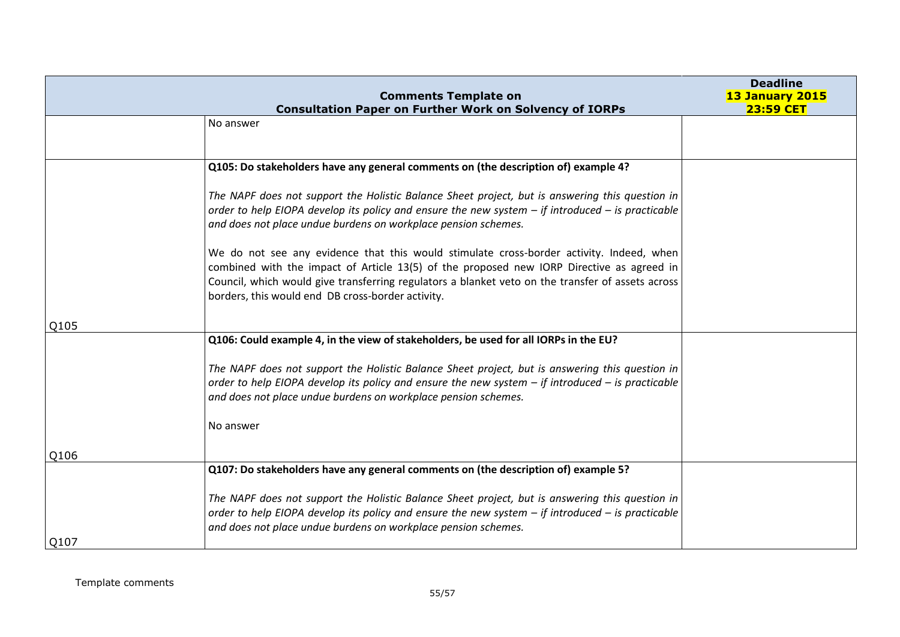|      | <b>Comments Template on</b><br><b>Consultation Paper on Further Work on Solvency of IORPs</b>                                                                                                                                                                                                                                                                                   | <b>Deadline</b><br>13 January 2015<br><b>23:59 CET</b> |
|------|---------------------------------------------------------------------------------------------------------------------------------------------------------------------------------------------------------------------------------------------------------------------------------------------------------------------------------------------------------------------------------|--------------------------------------------------------|
|      | No answer                                                                                                                                                                                                                                                                                                                                                                       |                                                        |
|      | Q105: Do stakeholders have any general comments on (the description of) example 4?                                                                                                                                                                                                                                                                                              |                                                        |
|      | The NAPF does not support the Holistic Balance Sheet project, but is answering this question in<br>order to help EIOPA develop its policy and ensure the new system $-$ if introduced $-$ is practicable<br>and does not place undue burdens on workplace pension schemes.                                                                                                      |                                                        |
|      | We do not see any evidence that this would stimulate cross-border activity. Indeed, when<br>combined with the impact of Article 13(5) of the proposed new IORP Directive as agreed in<br>Council, which would give transferring regulators a blanket veto on the transfer of assets across<br>borders, this would end DB cross-border activity.                                 |                                                        |
| Q105 |                                                                                                                                                                                                                                                                                                                                                                                 |                                                        |
|      | Q106: Could example 4, in the view of stakeholders, be used for all IORPs in the EU?<br>The NAPF does not support the Holistic Balance Sheet project, but is answering this question in<br>order to help EIOPA develop its policy and ensure the new system $-$ if introduced $-$ is practicable<br>and does not place undue burdens on workplace pension schemes.<br>No answer |                                                        |
| Q106 |                                                                                                                                                                                                                                                                                                                                                                                 |                                                        |
| Q107 | Q107: Do stakeholders have any general comments on (the description of) example 5?<br>The NAPF does not support the Holistic Balance Sheet project, but is answering this question in<br>order to help EIOPA develop its policy and ensure the new system $-$ if introduced $-$ is practicable<br>and does not place undue burdens on workplace pension schemes.                |                                                        |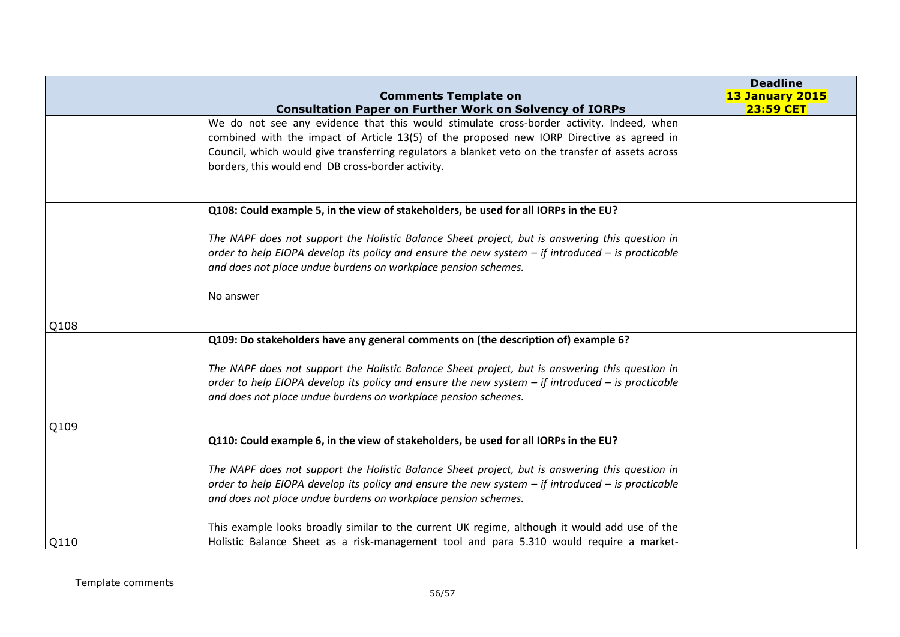|      |                                                                                                                                                                                                                                                                                                                                                                                                                                                                     | <b>Deadline</b>                     |
|------|---------------------------------------------------------------------------------------------------------------------------------------------------------------------------------------------------------------------------------------------------------------------------------------------------------------------------------------------------------------------------------------------------------------------------------------------------------------------|-------------------------------------|
|      | <b>Comments Template on</b><br><b>Consultation Paper on Further Work on Solvency of IORPs</b>                                                                                                                                                                                                                                                                                                                                                                       | 13 January 2015<br><b>23:59 CET</b> |
|      | We do not see any evidence that this would stimulate cross-border activity. Indeed, when<br>combined with the impact of Article 13(5) of the proposed new IORP Directive as agreed in<br>Council, which would give transferring regulators a blanket veto on the transfer of assets across<br>borders, this would end DB cross-border activity.                                                                                                                     |                                     |
|      | Q108: Could example 5, in the view of stakeholders, be used for all IORPs in the EU?                                                                                                                                                                                                                                                                                                                                                                                |                                     |
|      | The NAPF does not support the Holistic Balance Sheet project, but is answering this question in<br>order to help EIOPA develop its policy and ensure the new system $-$ if introduced $-$ is practicable<br>and does not place undue burdens on workplace pension schemes.<br>No answer                                                                                                                                                                             |                                     |
| Q108 |                                                                                                                                                                                                                                                                                                                                                                                                                                                                     |                                     |
|      | Q109: Do stakeholders have any general comments on (the description of) example 6?<br>The NAPF does not support the Holistic Balance Sheet project, but is answering this question in<br>order to help EIOPA develop its policy and ensure the new system $-$ if introduced $-$ is practicable<br>and does not place undue burdens on workplace pension schemes.                                                                                                    |                                     |
| Q109 |                                                                                                                                                                                                                                                                                                                                                                                                                                                                     |                                     |
|      | Q110: Could example 6, in the view of stakeholders, be used for all IORPs in the EU?<br>The NAPF does not support the Holistic Balance Sheet project, but is answering this question in<br>order to help EIOPA develop its policy and ensure the new system $-$ if introduced $-$ is practicable<br>and does not place undue burdens on workplace pension schemes.<br>This example looks broadly similar to the current UK regime, although it would add use of the |                                     |
| Q110 | Holistic Balance Sheet as a risk-management tool and para 5.310 would require a market-                                                                                                                                                                                                                                                                                                                                                                             |                                     |